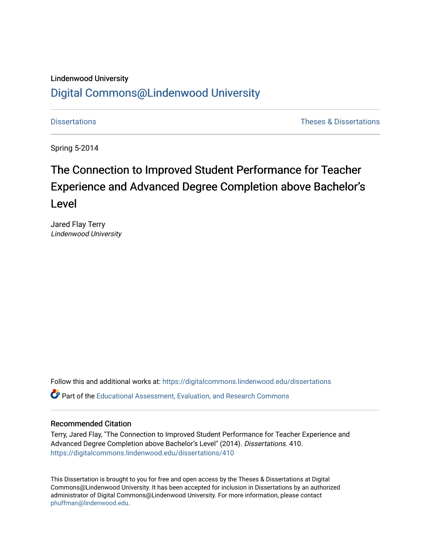#### Lindenwood University

## [Digital Commons@Lindenwood University](https://digitalcommons.lindenwood.edu/)

[Dissertations](https://digitalcommons.lindenwood.edu/dissertations) [Theses & Dissertations](https://digitalcommons.lindenwood.edu/theses-dissertations) 

Spring 5-2014

# The Connection to Improved Student Performance for Teacher Experience and Advanced Degree Completion above Bachelor's Level

Jared Flay Terry Lindenwood University

Follow this and additional works at: [https://digitalcommons.lindenwood.edu/dissertations](https://digitalcommons.lindenwood.edu/dissertations?utm_source=digitalcommons.lindenwood.edu%2Fdissertations%2F410&utm_medium=PDF&utm_campaign=PDFCoverPages) 

Part of the [Educational Assessment, Evaluation, and Research Commons](http://network.bepress.com/hgg/discipline/796?utm_source=digitalcommons.lindenwood.edu%2Fdissertations%2F410&utm_medium=PDF&utm_campaign=PDFCoverPages)

#### Recommended Citation

Terry, Jared Flay, "The Connection to Improved Student Performance for Teacher Experience and Advanced Degree Completion above Bachelor's Level" (2014). Dissertations. 410. [https://digitalcommons.lindenwood.edu/dissertations/410](https://digitalcommons.lindenwood.edu/dissertations/410?utm_source=digitalcommons.lindenwood.edu%2Fdissertations%2F410&utm_medium=PDF&utm_campaign=PDFCoverPages) 

This Dissertation is brought to you for free and open access by the Theses & Dissertations at Digital Commons@Lindenwood University. It has been accepted for inclusion in Dissertations by an authorized administrator of Digital Commons@Lindenwood University. For more information, please contact [phuffman@lindenwood.edu](mailto:phuffman@lindenwood.edu).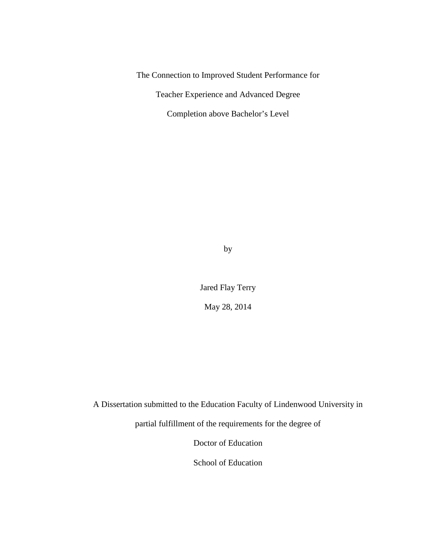The Connection to Improved Student Performance for

Teacher Experience and Advanced Degree

Completion above Bachelor's Level

by

Jared Flay Terry May 28, 2014

A Dissertation submitted to the Education Faculty of Lindenwood University in

partial fulfillment of the requirements for the degree of

Doctor of Education

School of Education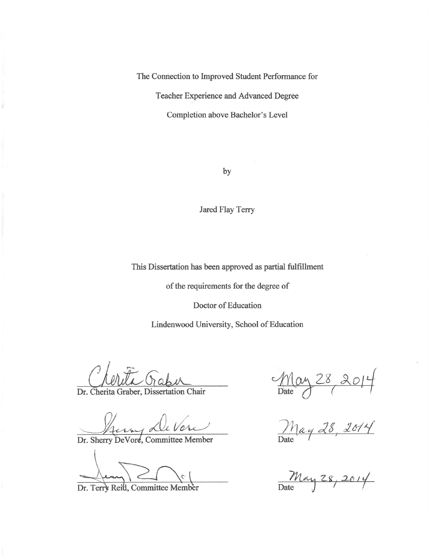The Connection to Improved Student Performance for

Teacher Experience and Advanced Degree

Completion above Bachelor's Level

by

Jared Flay Terry

This Dissertation has been approved as partial fulfillment

of the requirements for the degree of

Doctor of Education

Lindenwood University, School of Education

Dr. Cherita Graber, Dissertation Chair

Dr. Sherry DeVore, Committee Member

Dr. Terry Reid, Committee Member

May 28 2014

May 28, 2014

 $M$ ay 28, 2014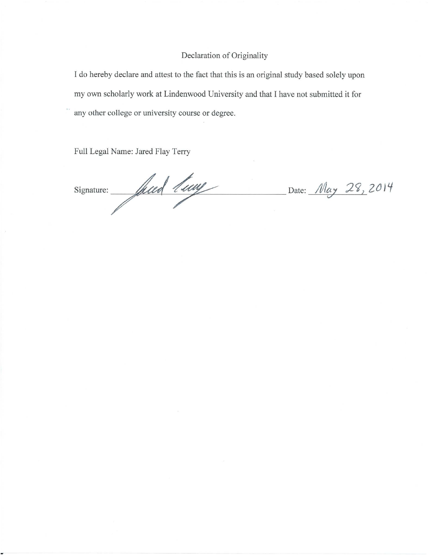#### Declaration of Originality

I do hereby declare and attest to the fact that this is an original study based solely upon my own scholarly work at Lindenwood University and that I have not submitted it for any other college or university course or degree.

Full Legal Name: Jared Flay Terry

Signature: Juin 1 may Date: May 28, 2014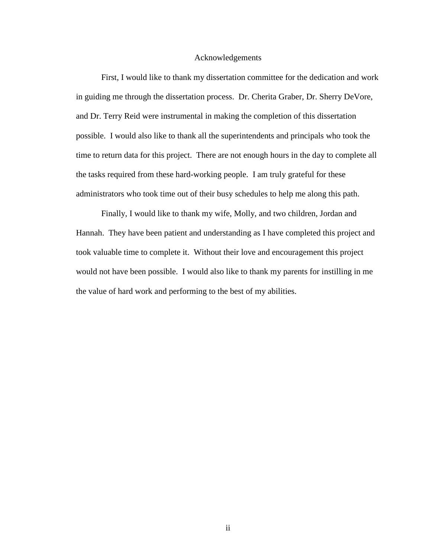#### Acknowledgements

 First, I would like to thank my dissertation committee for the dedication and work in guiding me through the dissertation process. Dr. Cherita Graber, Dr. Sherry DeVore, and Dr. Terry Reid were instrumental in making the completion of this dissertation possible. I would also like to thank all the superintendents and principals who took the time to return data for this project. There are not enough hours in the day to complete all the tasks required from these hard-working people. I am truly grateful for these administrators who took time out of their busy schedules to help me along this path.

 Finally, I would like to thank my wife, Molly, and two children, Jordan and Hannah. They have been patient and understanding as I have completed this project and took valuable time to complete it. Without their love and encouragement this project would not have been possible. I would also like to thank my parents for instilling in me the value of hard work and performing to the best of my abilities.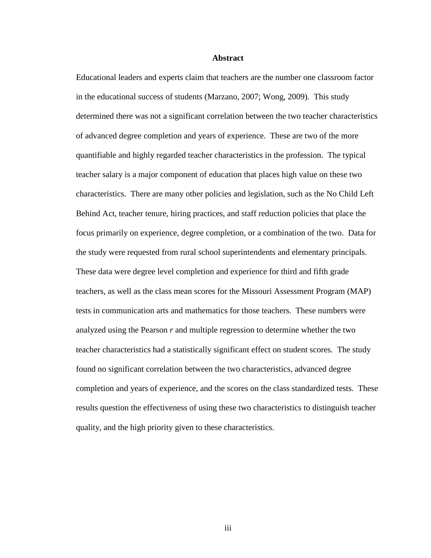#### **Abstract**

Educational leaders and experts claim that teachers are the number one classroom factor in the educational success of students (Marzano, 2007; Wong, 2009). This study determined there was not a significant correlation between the two teacher characteristics of advanced degree completion and years of experience. These are two of the more quantifiable and highly regarded teacher characteristics in the profession. The typical teacher salary is a major component of education that places high value on these two characteristics. There are many other policies and legislation, such as the No Child Left Behind Act, teacher tenure, hiring practices, and staff reduction policies that place the focus primarily on experience, degree completion, or a combination of the two. Data for the study were requested from rural school superintendents and elementary principals. These data were degree level completion and experience for third and fifth grade teachers, as well as the class mean scores for the Missouri Assessment Program (MAP) tests in communication arts and mathematics for those teachers. These numbers were analyzed using the Pearson *r* and multiple regression to determine whether the two teacher characteristics had a statistically significant effect on student scores. The study found no significant correlation between the two characteristics, advanced degree completion and years of experience, and the scores on the class standardized tests. These results question the effectiveness of using these two characteristics to distinguish teacher quality, and the high priority given to these characteristics.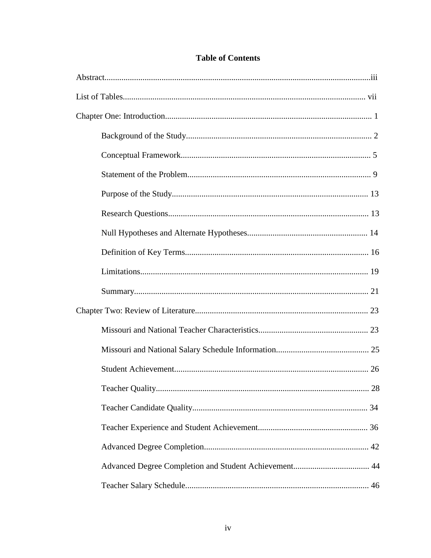### **Table of Contents**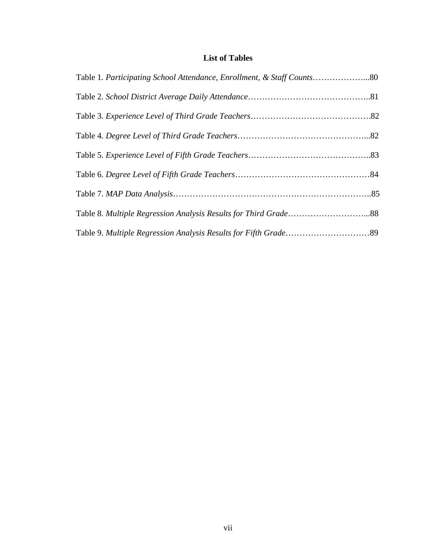### **List of Tables**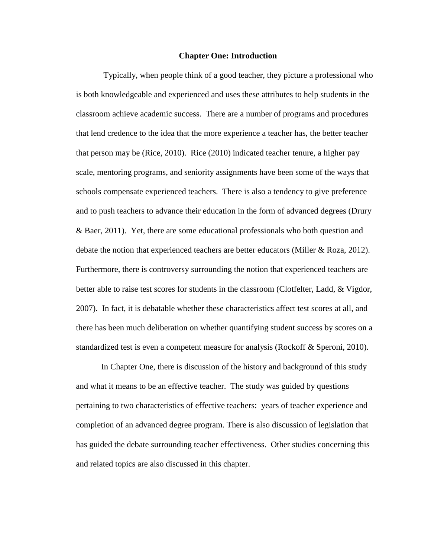#### **Chapter One: Introduction**

 Typically, when people think of a good teacher, they picture a professional who is both knowledgeable and experienced and uses these attributes to help students in the classroom achieve academic success. There are a number of programs and procedures that lend credence to the idea that the more experience a teacher has, the better teacher that person may be (Rice, 2010). Rice (2010) indicated teacher tenure, a higher pay scale, mentoring programs, and seniority assignments have been some of the ways that schools compensate experienced teachers. There is also a tendency to give preference and to push teachers to advance their education in the form of advanced degrees (Drury & Baer, 2011). Yet, there are some educational professionals who both question and debate the notion that experienced teachers are better educators (Miller & Roza, 2012). Furthermore, there is controversy surrounding the notion that experienced teachers are better able to raise test scores for students in the classroom (Clotfelter, Ladd, & Vigdor, 2007). In fact, it is debatable whether these characteristics affect test scores at all, and there has been much deliberation on whether quantifying student success by scores on a standardized test is even a competent measure for analysis (Rockoff & Speroni, 2010).

 In Chapter One, there is discussion of the history and background of this study and what it means to be an effective teacher. The study was guided by questions pertaining to two characteristics of effective teachers: years of teacher experience and completion of an advanced degree program. There is also discussion of legislation that has guided the debate surrounding teacher effectiveness. Other studies concerning this and related topics are also discussed in this chapter.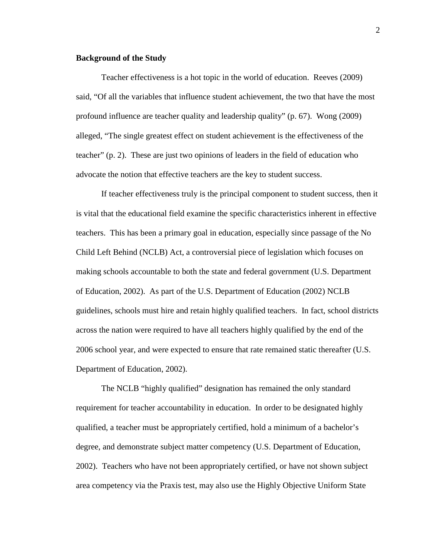#### **Background of the Study**

 Teacher effectiveness is a hot topic in the world of education. Reeves (2009) said, "Of all the variables that influence student achievement, the two that have the most profound influence are teacher quality and leadership quality" (p. 67). Wong (2009) alleged, "The single greatest effect on student achievement is the effectiveness of the teacher" (p. 2). These are just two opinions of leaders in the field of education who advocate the notion that effective teachers are the key to student success.

If teacher effectiveness truly is the principal component to student success, then it is vital that the educational field examine the specific characteristics inherent in effective teachers. This has been a primary goal in education, especially since passage of the No Child Left Behind (NCLB) Act, a controversial piece of legislation which focuses on making schools accountable to both the state and federal government (U.S. Department of Education, 2002). As part of the U.S. Department of Education (2002) NCLB guidelines, schools must hire and retain highly qualified teachers. In fact, school districts across the nation were required to have all teachers highly qualified by the end of the 2006 school year, and were expected to ensure that rate remained static thereafter (U.S. Department of Education, 2002).

The NCLB "highly qualified" designation has remained the only standard requirement for teacher accountability in education. In order to be designated highly qualified, a teacher must be appropriately certified, hold a minimum of a bachelor's degree, and demonstrate subject matter competency (U.S. Department of Education, 2002). Teachers who have not been appropriately certified, or have not shown subject area competency via the Praxis test, may also use the Highly Objective Uniform State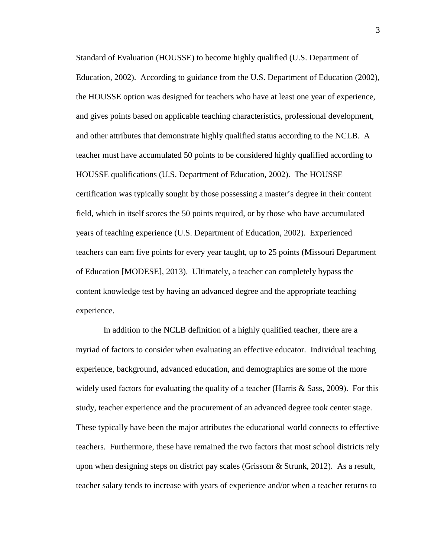Standard of Evaluation (HOUSSE) to become highly qualified (U.S. Department of Education, 2002). According to guidance from the U.S. Department of Education (2002), the HOUSSE option was designed for teachers who have at least one year of experience, and gives points based on applicable teaching characteristics, professional development, and other attributes that demonstrate highly qualified status according to the NCLB. A teacher must have accumulated 50 points to be considered highly qualified according to HOUSSE qualifications (U.S. Department of Education, 2002). The HOUSSE certification was typically sought by those possessing a master's degree in their content field, which in itself scores the 50 points required, or by those who have accumulated years of teaching experience (U.S. Department of Education, 2002). Experienced teachers can earn five points for every year taught, up to 25 points (Missouri Department of Education [MODESE], 2013). Ultimately, a teacher can completely bypass the content knowledge test by having an advanced degree and the appropriate teaching experience.

 In addition to the NCLB definition of a highly qualified teacher, there are a myriad of factors to consider when evaluating an effective educator. Individual teaching experience, background, advanced education, and demographics are some of the more widely used factors for evaluating the quality of a teacher (Harris  $\&$  Sass, 2009). For this study, teacher experience and the procurement of an advanced degree took center stage. These typically have been the major attributes the educational world connects to effective teachers. Furthermore, these have remained the two factors that most school districts rely upon when designing steps on district pay scales (Grissom & Strunk, 2012). As a result, teacher salary tends to increase with years of experience and/or when a teacher returns to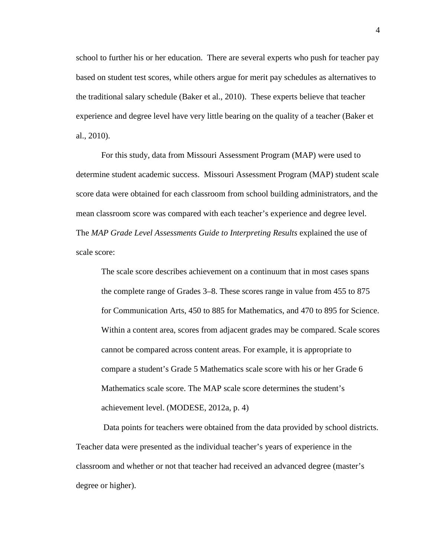school to further his or her education. There are several experts who push for teacher pay based on student test scores, while others argue for merit pay schedules as alternatives to the traditional salary schedule (Baker et al., 2010). These experts believe that teacher experience and degree level have very little bearing on the quality of a teacher (Baker et al., 2010).

 For this study, data from Missouri Assessment Program (MAP) were used to determine student academic success. Missouri Assessment Program (MAP) student scale score data were obtained for each classroom from school building administrators, and the mean classroom score was compared with each teacher's experience and degree level. The *MAP Grade Level Assessments Guide to Interpreting Results* explained the use of scale score:

The scale score describes achievement on a continuum that in most cases spans the complete range of Grades 3–8. These scores range in value from 455 to 875 for Communication Arts, 450 to 885 for Mathematics, and 470 to 895 for Science. Within a content area, scores from adjacent grades may be compared. Scale scores cannot be compared across content areas. For example, it is appropriate to compare a student's Grade 5 Mathematics scale score with his or her Grade 6 Mathematics scale score. The MAP scale score determines the student's achievement level. (MODESE, 2012a, p. 4)

 Data points for teachers were obtained from the data provided by school districts. Teacher data were presented as the individual teacher's years of experience in the classroom and whether or not that teacher had received an advanced degree (master's degree or higher).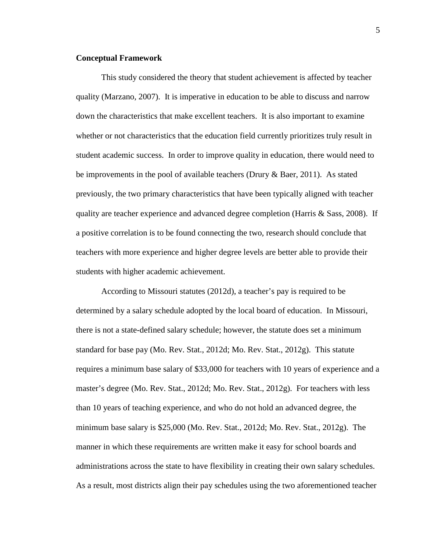#### **Conceptual Framework**

This study considered the theory that student achievement is affected by teacher quality (Marzano, 2007). It is imperative in education to be able to discuss and narrow down the characteristics that make excellent teachers. It is also important to examine whether or not characteristics that the education field currently prioritizes truly result in student academic success. In order to improve quality in education, there would need to be improvements in the pool of available teachers (Drury & Baer, 2011). As stated previously, the two primary characteristics that have been typically aligned with teacher quality are teacher experience and advanced degree completion (Harris & Sass, 2008). If a positive correlation is to be found connecting the two, research should conclude that teachers with more experience and higher degree levels are better able to provide their students with higher academic achievement.

According to Missouri statutes (2012d), a teacher's pay is required to be determined by a salary schedule adopted by the local board of education. In Missouri, there is not a state-defined salary schedule; however, the statute does set a minimum standard for base pay (Mo. Rev. Stat., 2012d; Mo. Rev. Stat., 2012g). This statute requires a minimum base salary of \$33,000 for teachers with 10 years of experience and a master's degree (Mo. Rev. Stat., 2012d; Mo. Rev. Stat., 2012g). For teachers with less than 10 years of teaching experience, and who do not hold an advanced degree, the minimum base salary is \$25,000 (Mo. Rev. Stat., 2012d; Mo. Rev. Stat., 2012g). The manner in which these requirements are written make it easy for school boards and administrations across the state to have flexibility in creating their own salary schedules. As a result, most districts align their pay schedules using the two aforementioned teacher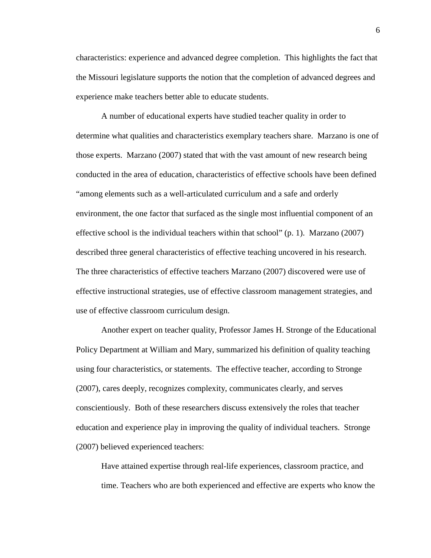characteristics: experience and advanced degree completion. This highlights the fact that the Missouri legislature supports the notion that the completion of advanced degrees and experience make teachers better able to educate students.

A number of educational experts have studied teacher quality in order to determine what qualities and characteristics exemplary teachers share. Marzano is one of those experts. Marzano (2007) stated that with the vast amount of new research being conducted in the area of education, characteristics of effective schools have been defined "among elements such as a well-articulated curriculum and a safe and orderly environment, the one factor that surfaced as the single most influential component of an effective school is the individual teachers within that school" (p. 1). Marzano (2007) described three general characteristics of effective teaching uncovered in his research. The three characteristics of effective teachers Marzano (2007) discovered were use of effective instructional strategies, use of effective classroom management strategies, and use of effective classroom curriculum design.

Another expert on teacher quality, Professor James H. Stronge of the Educational Policy Department at William and Mary, summarized his definition of quality teaching using four characteristics, or statements. The effective teacher, according to Stronge (2007), cares deeply, recognizes complexity, communicates clearly, and serves conscientiously. Both of these researchers discuss extensively the roles that teacher education and experience play in improving the quality of individual teachers. Stronge (2007) believed experienced teachers:

Have attained expertise through real-life experiences, classroom practice, and time. Teachers who are both experienced and effective are experts who know the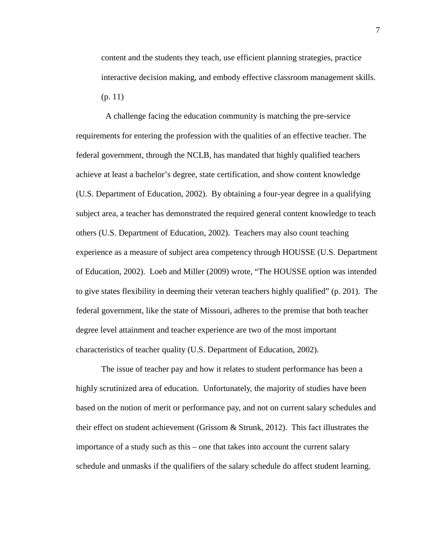content and the students they teach, use efficient planning strategies, practice interactive decision making, and embody effective classroom management skills. (p. 11)

 A challenge facing the education community is matching the pre-service requirements for entering the profession with the qualities of an effective teacher. The federal government, through the NCLB, has mandated that highly qualified teachers achieve at least a bachelor's degree, state certification, and show content knowledge (U.S. Department of Education, 2002). By obtaining a four-year degree in a qualifying subject area, a teacher has demonstrated the required general content knowledge to teach others (U.S. Department of Education, 2002). Teachers may also count teaching experience as a measure of subject area competency through HOUSSE (U.S. Department of Education, 2002). Loeb and Miller (2009) wrote, "The HOUSSE option was intended to give states flexibility in deeming their veteran teachers highly qualified" (p. 201). The federal government, like the state of Missouri, adheres to the premise that both teacher degree level attainment and teacher experience are two of the most important characteristics of teacher quality (U.S. Department of Education, 2002).

The issue of teacher pay and how it relates to student performance has been a highly scrutinized area of education. Unfortunately, the majority of studies have been based on the notion of merit or performance pay, and not on current salary schedules and their effect on student achievement (Grissom & Strunk, 2012). This fact illustrates the importance of a study such as this – one that takes into account the current salary schedule and unmasks if the qualifiers of the salary schedule do affect student learning.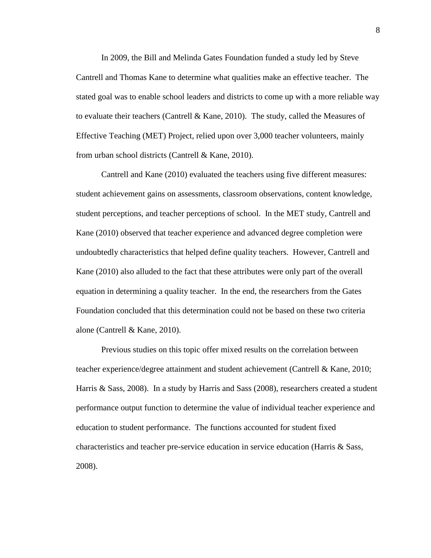In 2009, the Bill and Melinda Gates Foundation funded a study led by Steve Cantrell and Thomas Kane to determine what qualities make an effective teacher. The stated goal was to enable school leaders and districts to come up with a more reliable way to evaluate their teachers (Cantrell & Kane, 2010). The study, called the Measures of Effective Teaching (MET) Project, relied upon over 3,000 teacher volunteers, mainly from urban school districts (Cantrell & Kane, 2010).

Cantrell and Kane (2010) evaluated the teachers using five different measures: student achievement gains on assessments, classroom observations, content knowledge, student perceptions, and teacher perceptions of school. In the MET study, Cantrell and Kane (2010) observed that teacher experience and advanced degree completion were undoubtedly characteristics that helped define quality teachers. However, Cantrell and Kane (2010) also alluded to the fact that these attributes were only part of the overall equation in determining a quality teacher. In the end, the researchers from the Gates Foundation concluded that this determination could not be based on these two criteria alone (Cantrell & Kane, 2010).

Previous studies on this topic offer mixed results on the correlation between teacher experience/degree attainment and student achievement (Cantrell & Kane, 2010; Harris & Sass, 2008). In a study by Harris and Sass (2008), researchers created a student performance output function to determine the value of individual teacher experience and education to student performance. The functions accounted for student fixed characteristics and teacher pre-service education in service education (Harris & Sass, 2008).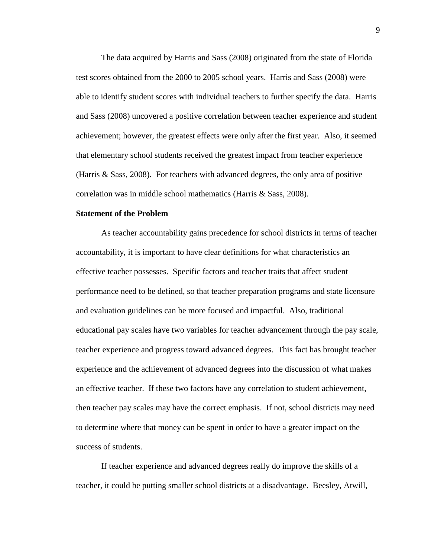The data acquired by Harris and Sass (2008) originated from the state of Florida test scores obtained from the 2000 to 2005 school years. Harris and Sass (2008) were able to identify student scores with individual teachers to further specify the data. Harris and Sass (2008) uncovered a positive correlation between teacher experience and student achievement; however, the greatest effects were only after the first year. Also, it seemed that elementary school students received the greatest impact from teacher experience (Harris & Sass, 2008). For teachers with advanced degrees, the only area of positive correlation was in middle school mathematics (Harris & Sass, 2008).

#### **Statement of the Problem**

As teacher accountability gains precedence for school districts in terms of teacher accountability, it is important to have clear definitions for what characteristics an effective teacher possesses. Specific factors and teacher traits that affect student performance need to be defined, so that teacher preparation programs and state licensure and evaluation guidelines can be more focused and impactful. Also, traditional educational pay scales have two variables for teacher advancement through the pay scale, teacher experience and progress toward advanced degrees. This fact has brought teacher experience and the achievement of advanced degrees into the discussion of what makes an effective teacher. If these two factors have any correlation to student achievement, then teacher pay scales may have the correct emphasis. If not, school districts may need to determine where that money can be spent in order to have a greater impact on the success of students.

If teacher experience and advanced degrees really do improve the skills of a teacher, it could be putting smaller school districts at a disadvantage. Beesley, Atwill,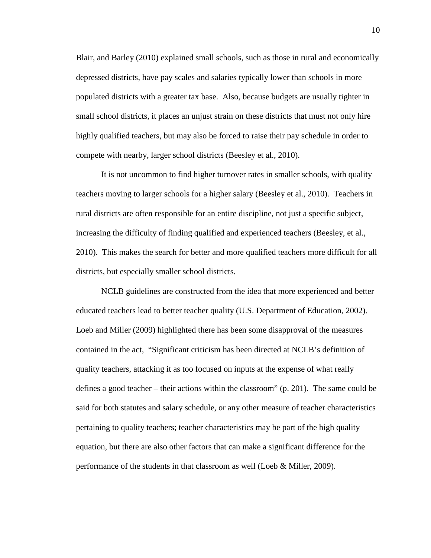Blair, and Barley (2010) explained small schools, such as those in rural and economically depressed districts, have pay scales and salaries typically lower than schools in more populated districts with a greater tax base. Also, because budgets are usually tighter in small school districts, it places an unjust strain on these districts that must not only hire highly qualified teachers, but may also be forced to raise their pay schedule in order to compete with nearby, larger school districts (Beesley et al., 2010).

It is not uncommon to find higher turnover rates in smaller schools, with quality teachers moving to larger schools for a higher salary (Beesley et al., 2010). Teachers in rural districts are often responsible for an entire discipline, not just a specific subject, increasing the difficulty of finding qualified and experienced teachers (Beesley, et al., 2010). This makes the search for better and more qualified teachers more difficult for all districts, but especially smaller school districts.

 NCLB guidelines are constructed from the idea that more experienced and better educated teachers lead to better teacher quality (U.S. Department of Education, 2002). Loeb and Miller (2009) highlighted there has been some disapproval of the measures contained in the act, "Significant criticism has been directed at NCLB's definition of quality teachers, attacking it as too focused on inputs at the expense of what really defines a good teacher – their actions within the classroom" (p. 201). The same could be said for both statutes and salary schedule, or any other measure of teacher characteristics pertaining to quality teachers; teacher characteristics may be part of the high quality equation, but there are also other factors that can make a significant difference for the performance of the students in that classroom as well (Loeb & Miller, 2009).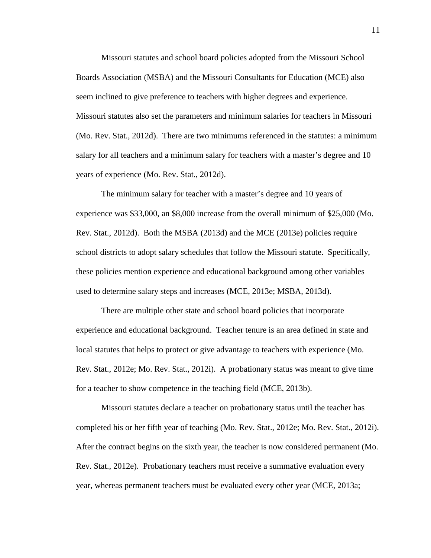Missouri statutes and school board policies adopted from the Missouri School Boards Association (MSBA) and the Missouri Consultants for Education (MCE) also seem inclined to give preference to teachers with higher degrees and experience. Missouri statutes also set the parameters and minimum salaries for teachers in Missouri (Mo. Rev. Stat., 2012d). There are two minimums referenced in the statutes: a minimum salary for all teachers and a minimum salary for teachers with a master's degree and 10 years of experience (Mo. Rev. Stat., 2012d).

The minimum salary for teacher with a master's degree and 10 years of experience was \$33,000, an \$8,000 increase from the overall minimum of \$25,000 (Mo. Rev. Stat., 2012d). Both the MSBA (2013d) and the MCE (2013e) policies require school districts to adopt salary schedules that follow the Missouri statute. Specifically, these policies mention experience and educational background among other variables used to determine salary steps and increases (MCE, 2013e; MSBA, 2013d).

 There are multiple other state and school board policies that incorporate experience and educational background. Teacher tenure is an area defined in state and local statutes that helps to protect or give advantage to teachers with experience (Mo. Rev. Stat., 2012e; Mo. Rev. Stat., 2012i). A probationary status was meant to give time for a teacher to show competence in the teaching field (MCE, 2013b).

Missouri statutes declare a teacher on probationary status until the teacher has completed his or her fifth year of teaching (Mo. Rev. Stat., 2012e; Mo. Rev. Stat., 2012i). After the contract begins on the sixth year, the teacher is now considered permanent (Mo. Rev. Stat., 2012e). Probationary teachers must receive a summative evaluation every year, whereas permanent teachers must be evaluated every other year (MCE, 2013a;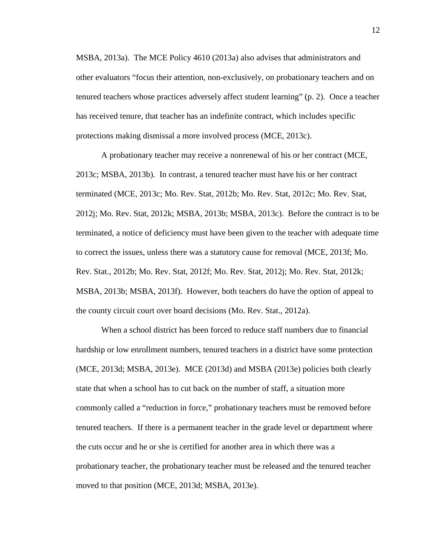MSBA, 2013a). The MCE Policy 4610 (2013a) also advises that administrators and other evaluators "focus their attention, non-exclusively, on probationary teachers and on tenured teachers whose practices adversely affect student learning" (p. 2). Once a teacher has received tenure, that teacher has an indefinite contract, which includes specific protections making dismissal a more involved process (MCE, 2013c).

A probationary teacher may receive a nonrenewal of his or her contract (MCE, 2013c; MSBA, 2013b). In contrast, a tenured teacher must have his or her contract terminated (MCE, 2013c; Mo. Rev. Stat, 2012b; Mo. Rev. Stat, 2012c; Mo. Rev. Stat, 2012j; Mo. Rev. Stat, 2012k; MSBA, 2013b; MSBA, 2013c). Before the contract is to be terminated, a notice of deficiency must have been given to the teacher with adequate time to correct the issues, unless there was a statutory cause for removal (MCE, 2013f; Mo. Rev. Stat., 2012b; Mo. Rev. Stat, 2012f; Mo. Rev. Stat, 2012j; Mo. Rev. Stat, 2012k; MSBA, 2013b; MSBA, 2013f). However, both teachers do have the option of appeal to the county circuit court over board decisions (Mo. Rev. Stat., 2012a).

 When a school district has been forced to reduce staff numbers due to financial hardship or low enrollment numbers, tenured teachers in a district have some protection (MCE, 2013d; MSBA, 2013e). MCE (2013d) and MSBA (2013e) policies both clearly state that when a school has to cut back on the number of staff, a situation more commonly called a "reduction in force," probationary teachers must be removed before tenured teachers. If there is a permanent teacher in the grade level or department where the cuts occur and he or she is certified for another area in which there was a probationary teacher, the probationary teacher must be released and the tenured teacher moved to that position (MCE, 2013d; MSBA, 2013e).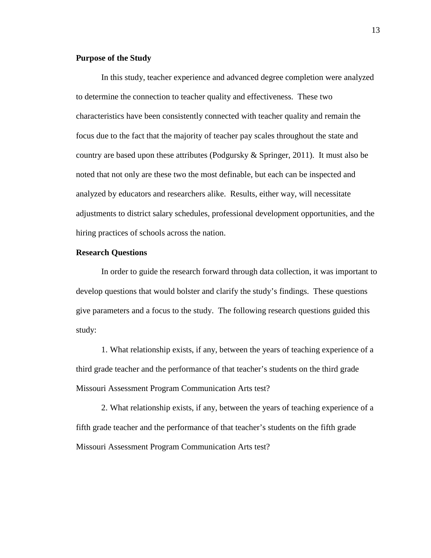#### **Purpose of the Study**

In this study, teacher experience and advanced degree completion were analyzed to determine the connection to teacher quality and effectiveness. These two characteristics have been consistently connected with teacher quality and remain the focus due to the fact that the majority of teacher pay scales throughout the state and country are based upon these attributes (Podgursky & Springer, 2011). It must also be noted that not only are these two the most definable, but each can be inspected and analyzed by educators and researchers alike. Results, either way, will necessitate adjustments to district salary schedules, professional development opportunities, and the hiring practices of schools across the nation.

#### **Research Questions**

In order to guide the research forward through data collection, it was important to develop questions that would bolster and clarify the study's findings. These questions give parameters and a focus to the study. The following research questions guided this study:

1. What relationship exists, if any, between the years of teaching experience of a third grade teacher and the performance of that teacher's students on the third grade Missouri Assessment Program Communication Arts test?

2. What relationship exists, if any, between the years of teaching experience of a fifth grade teacher and the performance of that teacher's students on the fifth grade Missouri Assessment Program Communication Arts test?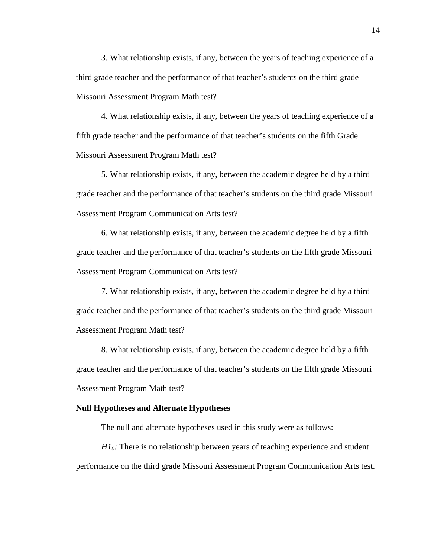3. What relationship exists, if any, between the years of teaching experience of a third grade teacher and the performance of that teacher's students on the third grade Missouri Assessment Program Math test?

4. What relationship exists, if any, between the years of teaching experience of a fifth grade teacher and the performance of that teacher's students on the fifth Grade Missouri Assessment Program Math test?

5. What relationship exists, if any, between the academic degree held by a third grade teacher and the performance of that teacher's students on the third grade Missouri Assessment Program Communication Arts test?

6. What relationship exists, if any, between the academic degree held by a fifth grade teacher and the performance of that teacher's students on the fifth grade Missouri Assessment Program Communication Arts test?

7. What relationship exists, if any, between the academic degree held by a third grade teacher and the performance of that teacher's students on the third grade Missouri Assessment Program Math test?

8. What relationship exists, if any, between the academic degree held by a fifth grade teacher and the performance of that teacher's students on the fifth grade Missouri Assessment Program Math test?

#### **Null Hypotheses and Alternate Hypotheses**

The null and alternate hypotheses used in this study were as follows:

*H1*<sup> $0$ </sup>: There is no relationship between years of teaching experience and student performance on the third grade Missouri Assessment Program Communication Arts test.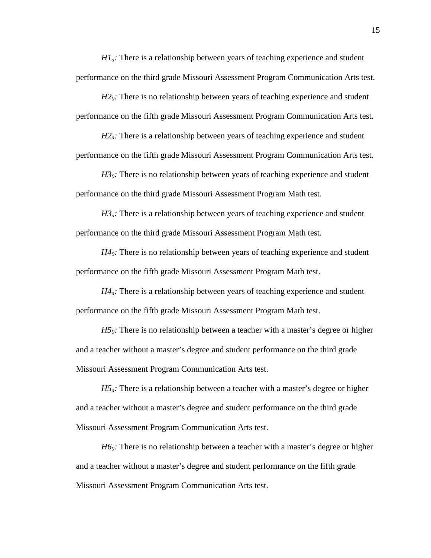*H1a:* There is a relationship between years of teaching experience and student performance on the third grade Missouri Assessment Program Communication Arts test.

*H2*<sup> $0$ </sup>: There is no relationship between years of teaching experience and student performance on the fifth grade Missouri Assessment Program Communication Arts test.

*H2<sub>a</sub>*: There is a relationship between years of teaching experience and student performance on the fifth grade Missouri Assessment Program Communication Arts test.

 $H3<sub>0</sub>$ . There is no relationship between years of teaching experience and student performance on the third grade Missouri Assessment Program Math test.

 $H3<sub>a</sub>$ . There is a relationship between years of teaching experience and student performance on the third grade Missouri Assessment Program Math test.

*H40:* There is no relationship between years of teaching experience and student performance on the fifth grade Missouri Assessment Program Math test.

*H4<sub>a</sub>*: There is a relationship between years of teaching experience and student performance on the fifth grade Missouri Assessment Program Math test.

*H5*<sup> $0$ </sup>: There is no relationship between a teacher with a master's degree or higher and a teacher without a master's degree and student performance on the third grade Missouri Assessment Program Communication Arts test.

*H5a:* There is a relationship between a teacher with a master's degree or higher and a teacher without a master's degree and student performance on the third grade Missouri Assessment Program Communication Arts test.

*H6*<sup> $0$ </sup>: There is no relationship between a teacher with a master's degree or higher and a teacher without a master's degree and student performance on the fifth grade Missouri Assessment Program Communication Arts test.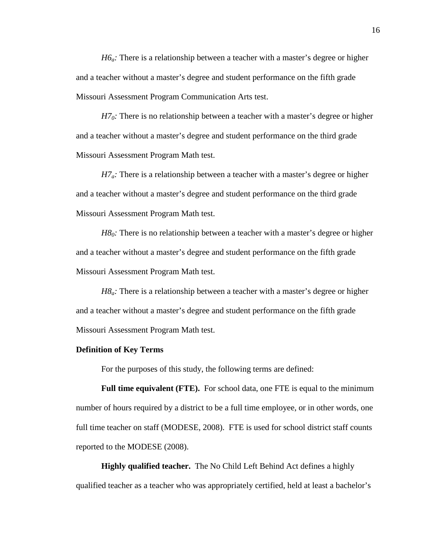*H6a:* There is a relationship between a teacher with a master's degree or higher and a teacher without a master's degree and student performance on the fifth grade Missouri Assessment Program Communication Arts test.

*H7*<sup> $0$ </sup>: There is no relationship between a teacher with a master's degree or higher and a teacher without a master's degree and student performance on the third grade Missouri Assessment Program Math test.

*H7a:* There is a relationship between a teacher with a master's degree or higher and a teacher without a master's degree and student performance on the third grade Missouri Assessment Program Math test.

*H8*<sup> $0$ </sup>: There is no relationship between a teacher with a master's degree or higher and a teacher without a master's degree and student performance on the fifth grade Missouri Assessment Program Math test.

*H8a:* There is a relationship between a teacher with a master's degree or higher and a teacher without a master's degree and student performance on the fifth grade Missouri Assessment Program Math test.

#### **Definition of Key Terms**

For the purposes of this study, the following terms are defined:

**Full time equivalent (FTE).** For school data, one FTE is equal to the minimum number of hours required by a district to be a full time employee, or in other words, one full time teacher on staff (MODESE, 2008). FTE is used for school district staff counts reported to the MODESE (2008).

**Highly qualified teacher.** The No Child Left Behind Act defines a highly qualified teacher as a teacher who was appropriately certified, held at least a bachelor's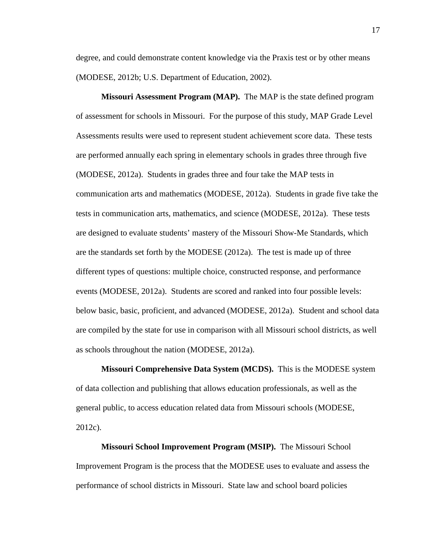degree, and could demonstrate content knowledge via the Praxis test or by other means (MODESE, 2012b; U.S. Department of Education, 2002).

 **Missouri Assessment Program (MAP).** The MAP is the state defined program of assessment for schools in Missouri. For the purpose of this study, MAP Grade Level Assessments results were used to represent student achievement score data. These tests are performed annually each spring in elementary schools in grades three through five (MODESE, 2012a). Students in grades three and four take the MAP tests in communication arts and mathematics (MODESE, 2012a). Students in grade five take the tests in communication arts, mathematics, and science (MODESE, 2012a). These tests are designed to evaluate students' mastery of the Missouri Show-Me Standards, which are the standards set forth by the MODESE (2012a). The test is made up of three different types of questions: multiple choice, constructed response, and performance events (MODESE, 2012a). Students are scored and ranked into four possible levels: below basic, basic, proficient, and advanced (MODESE, 2012a). Student and school data are compiled by the state for use in comparison with all Missouri school districts, as well as schools throughout the nation (MODESE, 2012a).

**Missouri Comprehensive Data System (MCDS).** This is the MODESE system of data collection and publishing that allows education professionals, as well as the general public, to access education related data from Missouri schools (MODESE, 2012c).

**Missouri School Improvement Program (MSIP).** The Missouri School Improvement Program is the process that the MODESE uses to evaluate and assess the performance of school districts in Missouri. State law and school board policies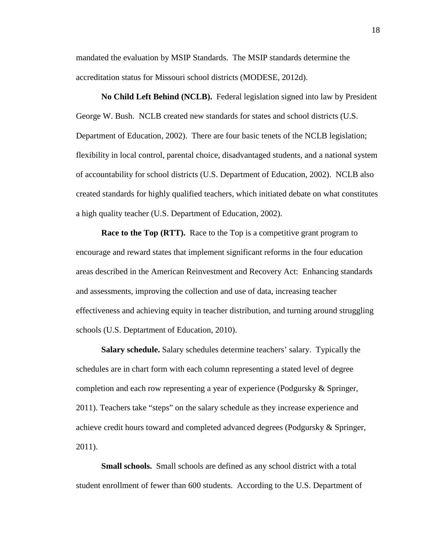mandated the evaluation by MSIP Standards. The MSIP standards determine the accreditation status for Missouri school districts (MODESE, 2012d).

 **No Child Left Behind (NCLB).** Federal legislation signed into law by President George W. Bush. NCLB created new standards for states and school districts (U.S. Department of Education, 2002). There are four basic tenets of the NCLB legislation; flexibility in local control, parental choice, disadvantaged students, and a national system of accountability for school districts (U.S. Department of Education, 2002). NCLB also created standards for highly qualified teachers, which initiated debate on what constitutes a high quality teacher (U.S. Department of Education, 2002).

**Race to the Top (RTT).** Race to the Top is a competitive grant program to encourage and reward states that implement significant reforms in the four education areas described in the American Reinvestment and Recovery Act: Enhancing standards and assessments, improving the collection and use of data, increasing teacher effectiveness and achieving equity in teacher distribution, and turning around struggling schools (U.S. Deptartment of Education, 2010).

**Salary schedule.** Salary schedules determine teachers' salary. Typically the schedules are in chart form with each column representing a stated level of degree completion and each row representing a year of experience (Podgursky & Springer, 2011). Teachers take "steps" on the salary schedule as they increase experience and achieve credit hours toward and completed advanced degrees (Podgursky & Springer, 2011).

**Small schools.** Small schools are defined as any school district with a total student enrollment of fewer than 600 students. According to the U.S. Department of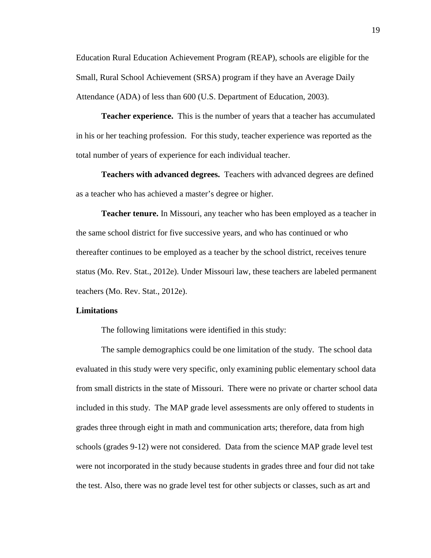Education Rural Education Achievement Program (REAP), schools are eligible for the Small, Rural School Achievement (SRSA) program if they have an Average Daily Attendance (ADA) of less than 600 (U.S. Department of Education, 2003).

**Teacher experience.** This is the number of years that a teacher has accumulated in his or her teaching profession. For this study, teacher experience was reported as the total number of years of experience for each individual teacher.

**Teachers with advanced degrees.** Teachers with advanced degrees are defined as a teacher who has achieved a master's degree or higher.

**Teacher tenure.** In Missouri, any teacher who has been employed as a teacher in the same school district for five successive years, and who has continued or who thereafter continues to be employed as a teacher by the school district, receives tenure status (Mo. Rev. Stat., 2012e). Under Missouri law, these teachers are labeled permanent teachers (Mo. Rev. Stat., 2012e).

#### **Limitations**

The following limitations were identified in this study:

 The sample demographics could be one limitation of the study. The school data evaluated in this study were very specific, only examining public elementary school data from small districts in the state of Missouri. There were no private or charter school data included in this study. The MAP grade level assessments are only offered to students in grades three through eight in math and communication arts; therefore, data from high schools (grades 9-12) were not considered. Data from the science MAP grade level test were not incorporated in the study because students in grades three and four did not take the test. Also, there was no grade level test for other subjects or classes, such as art and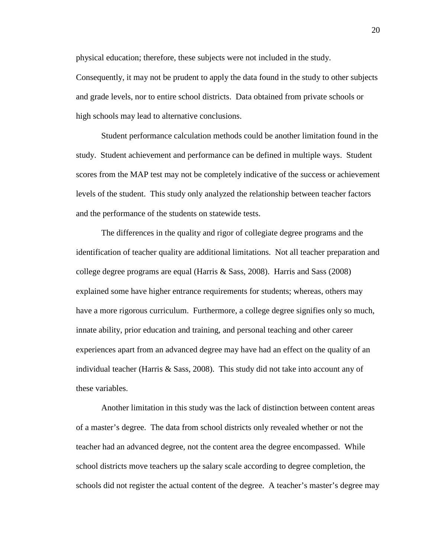physical education; therefore, these subjects were not included in the study.

Consequently, it may not be prudent to apply the data found in the study to other subjects and grade levels, nor to entire school districts. Data obtained from private schools or high schools may lead to alternative conclusions.

Student performance calculation methods could be another limitation found in the study. Student achievement and performance can be defined in multiple ways. Student scores from the MAP test may not be completely indicative of the success or achievement levels of the student. This study only analyzed the relationship between teacher factors and the performance of the students on statewide tests.

 The differences in the quality and rigor of collegiate degree programs and the identification of teacher quality are additional limitations. Not all teacher preparation and college degree programs are equal (Harris  $\&$  Sass, 2008). Harris and Sass (2008) explained some have higher entrance requirements for students; whereas, others may have a more rigorous curriculum. Furthermore, a college degree signifies only so much, innate ability, prior education and training, and personal teaching and other career experiences apart from an advanced degree may have had an effect on the quality of an individual teacher (Harris & Sass, 2008). This study did not take into account any of these variables.

 Another limitation in this study was the lack of distinction between content areas of a master's degree. The data from school districts only revealed whether or not the teacher had an advanced degree, not the content area the degree encompassed. While school districts move teachers up the salary scale according to degree completion, the schools did not register the actual content of the degree. A teacher's master's degree may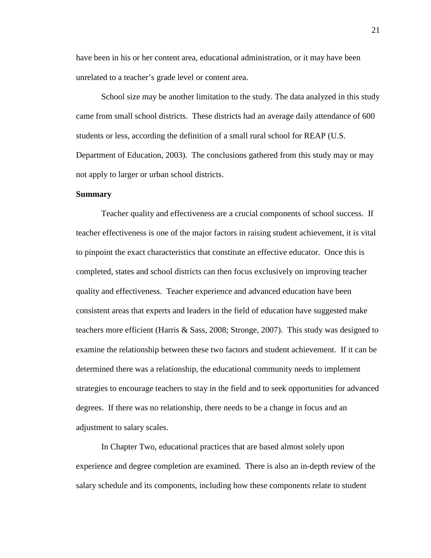have been in his or her content area, educational administration, or it may have been unrelated to a teacher's grade level or content area.

School size may be another limitation to the study. The data analyzed in this study came from small school districts. These districts had an average daily attendance of 600 students or less, according the definition of a small rural school for REAP (U.S. Department of Education, 2003). The conclusions gathered from this study may or may not apply to larger or urban school districts.

#### **Summary**

Teacher quality and effectiveness are a crucial components of school success. If teacher effectiveness is one of the major factors in raising student achievement, it is vital to pinpoint the exact characteristics that constitute an effective educator. Once this is completed, states and school districts can then focus exclusively on improving teacher quality and effectiveness. Teacher experience and advanced education have been consistent areas that experts and leaders in the field of education have suggested make teachers more efficient (Harris & Sass, 2008; Stronge, 2007). This study was designed to examine the relationship between these two factors and student achievement. If it can be determined there was a relationship, the educational community needs to implement strategies to encourage teachers to stay in the field and to seek opportunities for advanced degrees. If there was no relationship, there needs to be a change in focus and an adjustment to salary scales.

 In Chapter Two, educational practices that are based almost solely upon experience and degree completion are examined. There is also an in-depth review of the salary schedule and its components, including how these components relate to student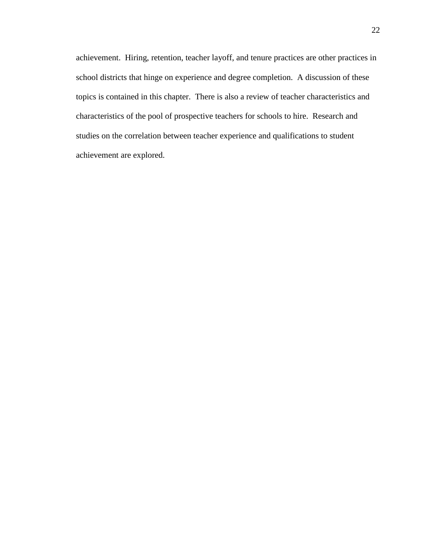achievement. Hiring, retention, teacher layoff, and tenure practices are other practices in school districts that hinge on experience and degree completion. A discussion of these topics is contained in this chapter. There is also a review of teacher characteristics and characteristics of the pool of prospective teachers for schools to hire. Research and studies on the correlation between teacher experience and qualifications to student achievement are explored.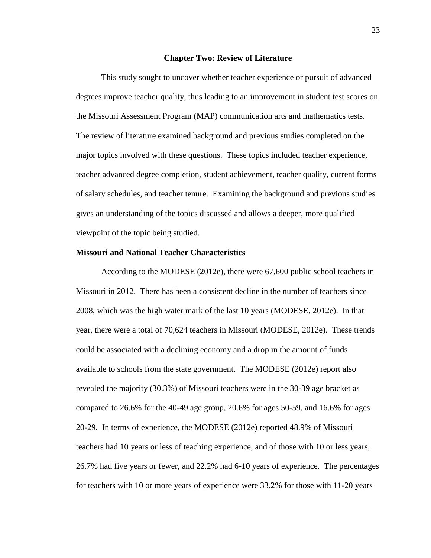#### **Chapter Two: Review of Literature**

This study sought to uncover whether teacher experience or pursuit of advanced degrees improve teacher quality, thus leading to an improvement in student test scores on the Missouri Assessment Program (MAP) communication arts and mathematics tests. The review of literature examined background and previous studies completed on the major topics involved with these questions. These topics included teacher experience, teacher advanced degree completion, student achievement, teacher quality, current forms of salary schedules, and teacher tenure. Examining the background and previous studies gives an understanding of the topics discussed and allows a deeper, more qualified viewpoint of the topic being studied.

#### **Missouri and National Teacher Characteristics**

According to the MODESE (2012e), there were 67,600 public school teachers in Missouri in 2012. There has been a consistent decline in the number of teachers since 2008, which was the high water mark of the last 10 years (MODESE, 2012e). In that year, there were a total of 70,624 teachers in Missouri (MODESE, 2012e). These trends could be associated with a declining economy and a drop in the amount of funds available to schools from the state government. The MODESE (2012e) report also revealed the majority (30.3%) of Missouri teachers were in the 30-39 age bracket as compared to 26.6% for the 40-49 age group, 20.6% for ages 50-59, and 16.6% for ages 20-29. In terms of experience, the MODESE (2012e) reported 48.9% of Missouri teachers had 10 years or less of teaching experience, and of those with 10 or less years, 26.7% had five years or fewer, and 22.2% had 6-10 years of experience. The percentages for teachers with 10 or more years of experience were 33.2% for those with 11-20 years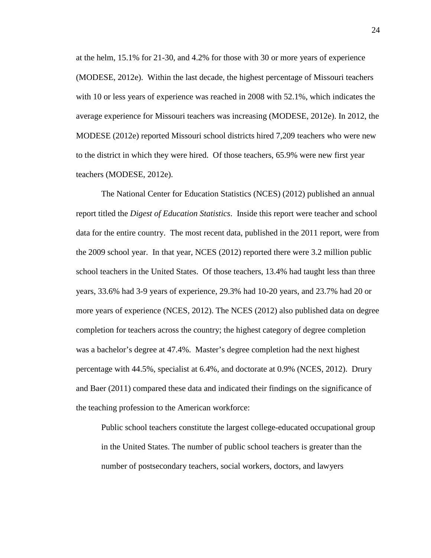at the helm, 15.1% for 21-30, and 4.2% for those with 30 or more years of experience (MODESE, 2012e). Within the last decade, the highest percentage of Missouri teachers with 10 or less years of experience was reached in 2008 with 52.1%, which indicates the average experience for Missouri teachers was increasing (MODESE, 2012e). In 2012, the MODESE (2012e) reported Missouri school districts hired 7,209 teachers who were new to the district in which they were hired. Of those teachers, 65.9% were new first year teachers (MODESE, 2012e).

The National Center for Education Statistics (NCES) (2012) published an annual report titled the *Digest of Education Statistics*. Inside this report were teacher and school data for the entire country. The most recent data, published in the 2011 report, were from the 2009 school year. In that year, NCES (2012) reported there were 3.2 million public school teachers in the United States. Of those teachers, 13.4% had taught less than three years, 33.6% had 3-9 years of experience, 29.3% had 10-20 years, and 23.7% had 20 or more years of experience (NCES, 2012). The NCES (2012) also published data on degree completion for teachers across the country; the highest category of degree completion was a bachelor's degree at 47.4%. Master's degree completion had the next highest percentage with 44.5%, specialist at 6.4%, and doctorate at 0.9% (NCES, 2012). Drury and Baer (2011) compared these data and indicated their findings on the significance of the teaching profession to the American workforce:

Public school teachers constitute the largest college-educated occupational group in the United States. The number of public school teachers is greater than the number of postsecondary teachers, social workers, doctors, and lawyers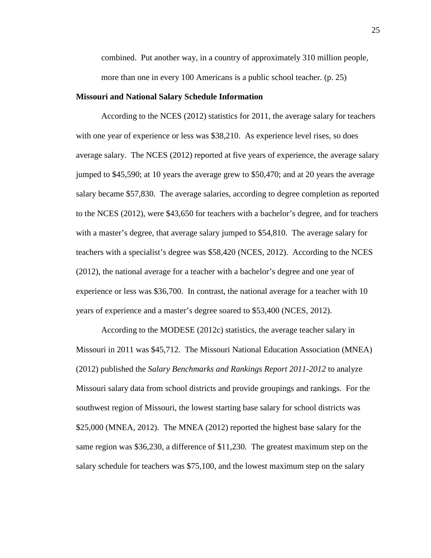combined. Put another way, in a country of approximately 310 million people, more than one in every 100 Americans is a public school teacher. (p. 25)

#### **Missouri and National Salary Schedule Information**

 According to the NCES (2012) statistics for 2011, the average salary for teachers with one year of experience or less was \$38,210. As experience level rises, so does average salary. The NCES (2012) reported at five years of experience, the average salary jumped to \$45,590; at 10 years the average grew to \$50,470; and at 20 years the average salary became \$57,830. The average salaries, according to degree completion as reported to the NCES (2012), were \$43,650 for teachers with a bachelor's degree, and for teachers with a master's degree, that average salary jumped to \$54,810. The average salary for teachers with a specialist's degree was \$58,420 (NCES, 2012). According to the NCES (2012), the national average for a teacher with a bachelor's degree and one year of experience or less was \$36,700. In contrast, the national average for a teacher with 10 years of experience and a master's degree soared to \$53,400 (NCES, 2012).

 According to the MODESE (2012c) statistics, the average teacher salary in Missouri in 2011 was \$45,712. The Missouri National Education Association (MNEA) (2012) published the *Salary Benchmarks and Rankings Report 2011-2012* to analyze Missouri salary data from school districts and provide groupings and rankings. For the southwest region of Missouri, the lowest starting base salary for school districts was \$25,000 (MNEA, 2012). The MNEA (2012) reported the highest base salary for the same region was \$36,230, a difference of \$11,230. The greatest maximum step on the salary schedule for teachers was \$75,100, and the lowest maximum step on the salary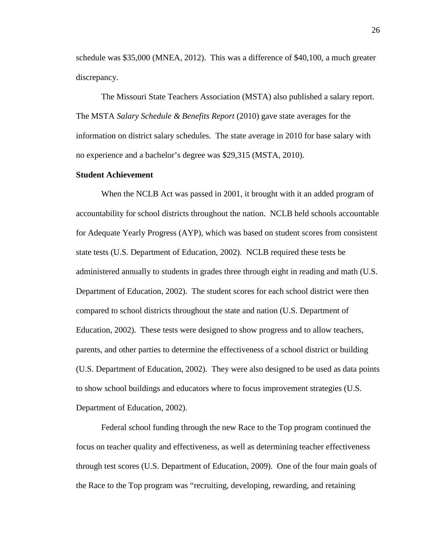schedule was \$35,000 (MNEA, 2012). This was a difference of \$40,100, a much greater discrepancy.

 The Missouri State Teachers Association (MSTA) also published a salary report. The MSTA *Salary Schedule & Benefits Report* (2010) gave state averages for the information on district salary schedules. The state average in 2010 for base salary with no experience and a bachelor's degree was \$29,315 (MSTA, 2010).

#### **Student Achievement**

When the NCLB Act was passed in 2001, it brought with it an added program of accountability for school districts throughout the nation. NCLB held schools accountable for Adequate Yearly Progress (AYP), which was based on student scores from consistent state tests (U.S. Department of Education, 2002). NCLB required these tests be administered annually to students in grades three through eight in reading and math (U.S. Department of Education, 2002). The student scores for each school district were then compared to school districts throughout the state and nation (U.S. Department of Education, 2002). These tests were designed to show progress and to allow teachers, parents, and other parties to determine the effectiveness of a school district or building (U.S. Department of Education, 2002). They were also designed to be used as data points to show school buildings and educators where to focus improvement strategies (U.S. Department of Education, 2002).

Federal school funding through the new Race to the Top program continued the focus on teacher quality and effectiveness, as well as determining teacher effectiveness through test scores (U.S. Department of Education, 2009). One of the four main goals of the Race to the Top program was "recruiting, developing, rewarding, and retaining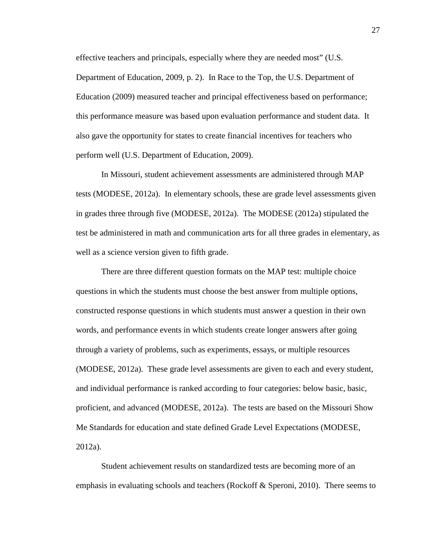effective teachers and principals, especially where they are needed most" (U.S. Department of Education, 2009, p. 2). In Race to the Top, the U.S. Department of Education (2009) measured teacher and principal effectiveness based on performance; this performance measure was based upon evaluation performance and student data. It also gave the opportunity for states to create financial incentives for teachers who perform well (U.S. Department of Education, 2009).

 In Missouri, student achievement assessments are administered through MAP tests (MODESE, 2012a). In elementary schools, these are grade level assessments given in grades three through five (MODESE, 2012a). The MODESE (2012a) stipulated the test be administered in math and communication arts for all three grades in elementary, as well as a science version given to fifth grade.

There are three different question formats on the MAP test: multiple choice questions in which the students must choose the best answer from multiple options, constructed response questions in which students must answer a question in their own words, and performance events in which students create longer answers after going through a variety of problems, such as experiments, essays, or multiple resources (MODESE, 2012a). These grade level assessments are given to each and every student, and individual performance is ranked according to four categories: below basic, basic, proficient, and advanced (MODESE, 2012a). The tests are based on the Missouri Show Me Standards for education and state defined Grade Level Expectations (MODESE, 2012a).

 Student achievement results on standardized tests are becoming more of an emphasis in evaluating schools and teachers (Rockoff & Speroni, 2010). There seems to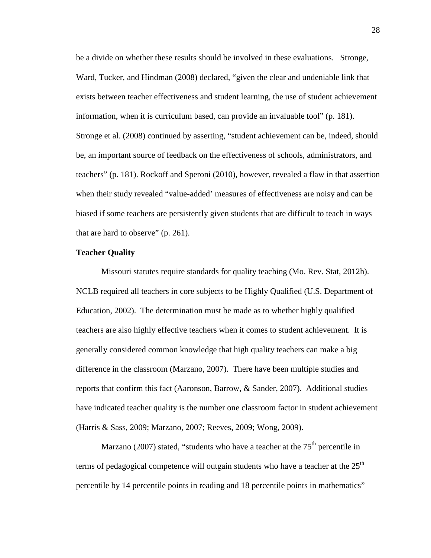be a divide on whether these results should be involved in these evaluations. Stronge, Ward, Tucker, and Hindman (2008) declared, "given the clear and undeniable link that exists between teacher effectiveness and student learning, the use of student achievement information, when it is curriculum based, can provide an invaluable tool" (p. 181). Stronge et al. (2008) continued by asserting, "student achievement can be, indeed, should be, an important source of feedback on the effectiveness of schools, administrators, and teachers" (p. 181). Rockoff and Speroni (2010), however, revealed a flaw in that assertion when their study revealed "value-added' measures of effectiveness are noisy and can be biased if some teachers are persistently given students that are difficult to teach in ways that are hard to observe" (p. 261).

### **Teacher Quality**

Missouri statutes require standards for quality teaching (Mo. Rev. Stat, 2012h). NCLB required all teachers in core subjects to be Highly Qualified (U.S. Department of Education, 2002). The determination must be made as to whether highly qualified teachers are also highly effective teachers when it comes to student achievement. It is generally considered common knowledge that high quality teachers can make a big difference in the classroom (Marzano, 2007). There have been multiple studies and reports that confirm this fact (Aaronson, Barrow, & Sander, 2007). Additional studies have indicated teacher quality is the number one classroom factor in student achievement (Harris & Sass, 2009; Marzano, 2007; Reeves, 2009; Wong, 2009).

Marzano (2007) stated, "students who have a teacher at the  $75<sup>th</sup>$  percentile in terms of pedagogical competence will outgain students who have a teacher at the  $25<sup>th</sup>$ percentile by 14 percentile points in reading and 18 percentile points in mathematics"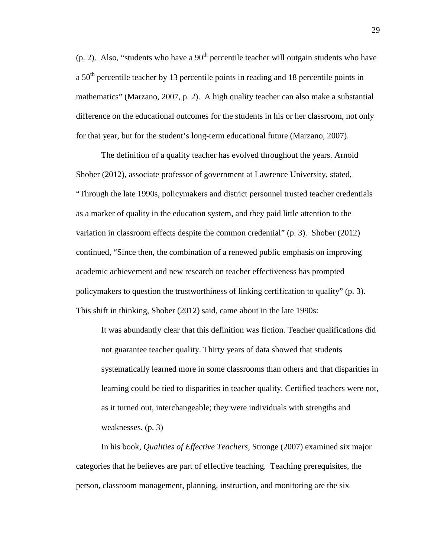(p. 2). Also, "students who have a  $90<sup>th</sup>$  percentile teacher will outgain students who have a  $50<sup>th</sup>$  percentile teacher by 13 percentile points in reading and 18 percentile points in mathematics" (Marzano, 2007, p. 2). A high quality teacher can also make a substantial difference on the educational outcomes for the students in his or her classroom, not only for that year, but for the student's long-term educational future (Marzano, 2007).

 The definition of a quality teacher has evolved throughout the years. Arnold Shober (2012), associate professor of government at Lawrence University, stated, "Through the late 1990s, policymakers and district personnel trusted teacher credentials as a marker of quality in the education system, and they paid little attention to the variation in classroom effects despite the common credential" (p. 3). Shober (2012) continued, "Since then, the combination of a renewed public emphasis on improving academic achievement and new research on teacher effectiveness has prompted policymakers to question the trustworthiness of linking certification to quality" (p. 3). This shift in thinking, Shober (2012) said, came about in the late 1990s:

It was abundantly clear that this definition was fiction. Teacher qualifications did not guarantee teacher quality. Thirty years of data showed that students systematically learned more in some classrooms than others and that disparities in learning could be tied to disparities in teacher quality. Certified teachers were not, as it turned out, interchangeable; they were individuals with strengths and weaknesses. (p. 3)

 In his book, *Qualities of Effective Teachers,* Stronge (2007) examined six major categories that he believes are part of effective teaching. Teaching prerequisites, the person, classroom management, planning, instruction, and monitoring are the six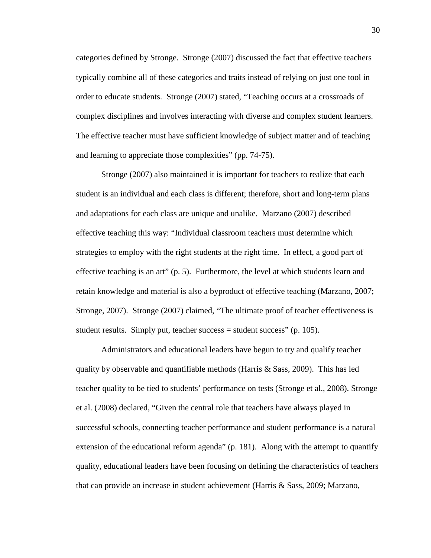categories defined by Stronge. Stronge (2007) discussed the fact that effective teachers typically combine all of these categories and traits instead of relying on just one tool in order to educate students. Stronge (2007) stated, "Teaching occurs at a crossroads of complex disciplines and involves interacting with diverse and complex student learners. The effective teacher must have sufficient knowledge of subject matter and of teaching and learning to appreciate those complexities" (pp. 74-75).

Stronge (2007) also maintained it is important for teachers to realize that each student is an individual and each class is different; therefore, short and long-term plans and adaptations for each class are unique and unalike. Marzano (2007) described effective teaching this way: "Individual classroom teachers must determine which strategies to employ with the right students at the right time. In effect, a good part of effective teaching is an art" (p. 5). Furthermore, the level at which students learn and retain knowledge and material is also a byproduct of effective teaching (Marzano, 2007; Stronge, 2007). Stronge (2007) claimed, "The ultimate proof of teacher effectiveness is student results. Simply put, teacher success  $=$  student success" (p. 105).

 Administrators and educational leaders have begun to try and qualify teacher quality by observable and quantifiable methods (Harris & Sass, 2009). This has led teacher quality to be tied to students' performance on tests (Stronge et al., 2008). Stronge et al. (2008) declared, "Given the central role that teachers have always played in successful schools, connecting teacher performance and student performance is a natural extension of the educational reform agenda" (p. 181). Along with the attempt to quantify quality, educational leaders have been focusing on defining the characteristics of teachers that can provide an increase in student achievement (Harris & Sass, 2009; Marzano,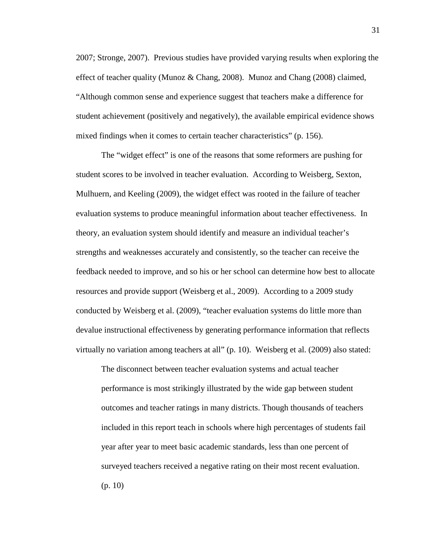2007; Stronge, 2007). Previous studies have provided varying results when exploring the effect of teacher quality (Munoz & Chang, 2008). Munoz and Chang (2008) claimed, "Although common sense and experience suggest that teachers make a difference for student achievement (positively and negatively), the available empirical evidence shows mixed findings when it comes to certain teacher characteristics" (p. 156).

 The "widget effect" is one of the reasons that some reformers are pushing for student scores to be involved in teacher evaluation. According to Weisberg, Sexton, Mulhuern, and Keeling (2009), the widget effect was rooted in the failure of teacher evaluation systems to produce meaningful information about teacher effectiveness. In theory, an evaluation system should identify and measure an individual teacher's strengths and weaknesses accurately and consistently, so the teacher can receive the feedback needed to improve, and so his or her school can determine how best to allocate resources and provide support (Weisberg et al., 2009). According to a 2009 study conducted by Weisberg et al. (2009), "teacher evaluation systems do little more than devalue instructional effectiveness by generating performance information that reflects virtually no variation among teachers at all" (p. 10). Weisberg et al. (2009) also stated:

The disconnect between teacher evaluation systems and actual teacher performance is most strikingly illustrated by the wide gap between student outcomes and teacher ratings in many districts. Though thousands of teachers included in this report teach in schools where high percentages of students fail year after year to meet basic academic standards, less than one percent of surveyed teachers received a negative rating on their most recent evaluation. (p. 10)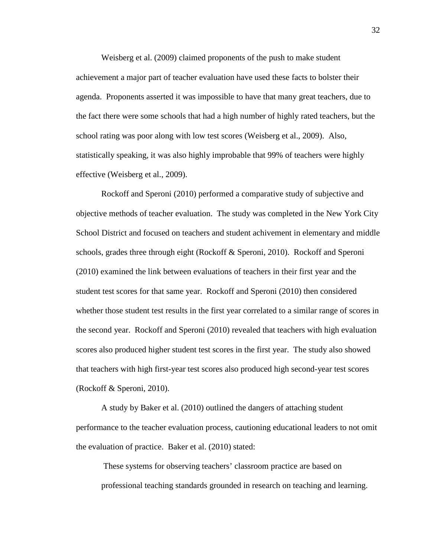Weisberg et al. (2009) claimed proponents of the push to make student achievement a major part of teacher evaluation have used these facts to bolster their agenda. Proponents asserted it was impossible to have that many great teachers, due to the fact there were some schools that had a high number of highly rated teachers, but the school rating was poor along with low test scores (Weisberg et al., 2009). Also, statistically speaking, it was also highly improbable that 99% of teachers were highly effective (Weisberg et al., 2009).

 Rockoff and Speroni (2010) performed a comparative study of subjective and objective methods of teacher evaluation. The study was completed in the New York City School District and focused on teachers and student achivement in elementary and middle schools, grades three through eight (Rockoff & Speroni, 2010). Rockoff and Speroni (2010) examined the link between evaluations of teachers in their first year and the student test scores for that same year. Rockoff and Speroni (2010) then considered whether those student test results in the first year correlated to a similar range of scores in the second year. Rockoff and Speroni (2010) revealed that teachers with high evaluation scores also produced higher student test scores in the first year. The study also showed that teachers with high first-year test scores also produced high second-year test scores (Rockoff & Speroni, 2010).

 A study by Baker et al. (2010) outlined the dangers of attaching student performance to the teacher evaluation process, cautioning educational leaders to not omit the evaluation of practice. Baker et al. (2010) stated:

These systems for observing teachers' classroom practice are based on professional teaching standards grounded in research on teaching and learning.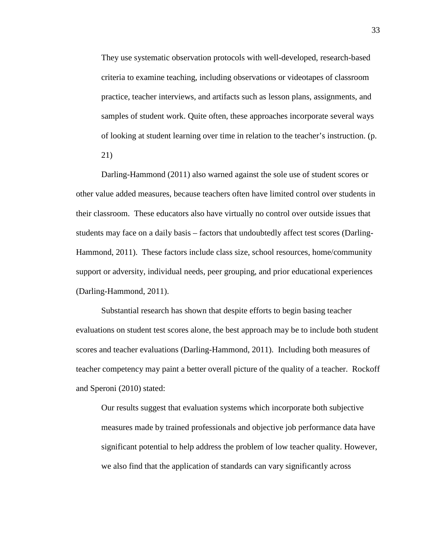They use systematic observation protocols with well-developed, research-based criteria to examine teaching, including observations or videotapes of classroom practice, teacher interviews, and artifacts such as lesson plans, assignments, and samples of student work. Quite often, these approaches incorporate several ways of looking at student learning over time in relation to the teacher's instruction. (p. 21)

 Darling-Hammond (2011) also warned against the sole use of student scores or other value added measures, because teachers often have limited control over students in their classroom. These educators also have virtually no control over outside issues that students may face on a daily basis – factors that undoubtedly affect test scores (Darling-Hammond, 2011). These factors include class size, school resources, home/community support or adversity, individual needs, peer grouping, and prior educational experiences (Darling-Hammond, 2011).

 Substantial research has shown that despite efforts to begin basing teacher evaluations on student test scores alone, the best approach may be to include both student scores and teacher evaluations (Darling-Hammond, 2011). Including both measures of teacher competency may paint a better overall picture of the quality of a teacher. Rockoff and Speroni (2010) stated:

Our results suggest that evaluation systems which incorporate both subjective measures made by trained professionals and objective job performance data have significant potential to help address the problem of low teacher quality. However, we also find that the application of standards can vary significantly across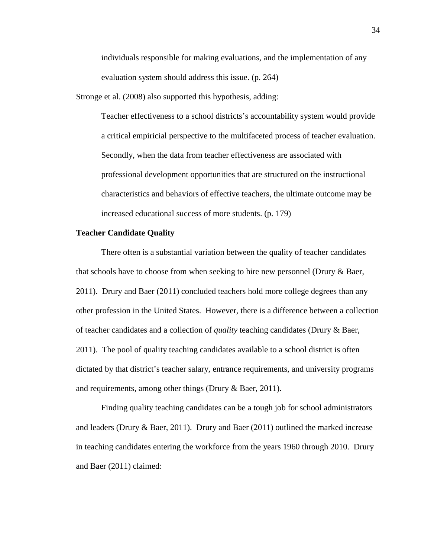individuals responsible for making evaluations, and the implementation of any evaluation system should address this issue. (p. 264)

Stronge et al. (2008) also supported this hypothesis, adding:

Teacher effectiveness to a school districts's accountability system would provide a critical empiricial perspective to the multifaceted process of teacher evaluation. Secondly, when the data from teacher effectiveness are associated with professional development opportunities that are structured on the instructional characteristics and behaviors of effective teachers, the ultimate outcome may be increased educational success of more students. (p. 179)

## **Teacher Candidate Quality**

 There often is a substantial variation between the quality of teacher candidates that schools have to choose from when seeking to hire new personnel (Drury & Baer, 2011). Drury and Baer (2011) concluded teachers hold more college degrees than any other profession in the United States. However, there is a difference between a collection of teacher candidates and a collection of *quality* teaching candidates (Drury & Baer, 2011). The pool of quality teaching candidates available to a school district is often dictated by that district's teacher salary, entrance requirements, and university programs and requirements, among other things (Drury & Baer, 2011).

Finding quality teaching candidates can be a tough job for school administrators and leaders (Drury & Baer, 2011). Drury and Baer (2011) outlined the marked increase in teaching candidates entering the workforce from the years 1960 through 2010. Drury and Baer (2011) claimed: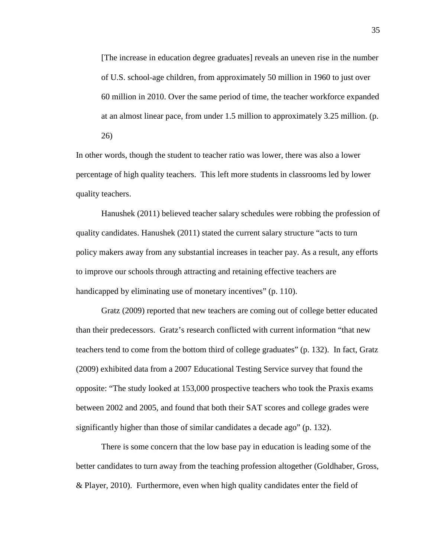[The increase in education degree graduates] reveals an uneven rise in the number of U.S. school-age children, from approximately 50 million in 1960 to just over 60 million in 2010. Over the same period of time, the teacher workforce expanded at an almost linear pace, from under 1.5 million to approximately 3.25 million. (p. 26)

In other words, though the student to teacher ratio was lower, there was also a lower percentage of high quality teachers. This left more students in classrooms led by lower quality teachers.

 Hanushek (2011) believed teacher salary schedules were robbing the profession of quality candidates. Hanushek (2011) stated the current salary structure "acts to turn policy makers away from any substantial increases in teacher pay. As a result, any efforts to improve our schools through attracting and retaining effective teachers are handicapped by eliminating use of monetary incentives" (p. 110).

 Gratz (2009) reported that new teachers are coming out of college better educated than their predecessors. Gratz's research conflicted with current information "that new teachers tend to come from the bottom third of college graduates" (p. 132). In fact, Gratz (2009) exhibited data from a 2007 Educational Testing Service survey that found the opposite: "The study looked at 153,000 prospective teachers who took the Praxis exams between 2002 and 2005, and found that both their SAT scores and college grades were significantly higher than those of similar candidates a decade ago" (p. 132).

 There is some concern that the low base pay in education is leading some of the better candidates to turn away from the teaching profession altogether (Goldhaber, Gross, & Player, 2010). Furthermore, even when high quality candidates enter the field of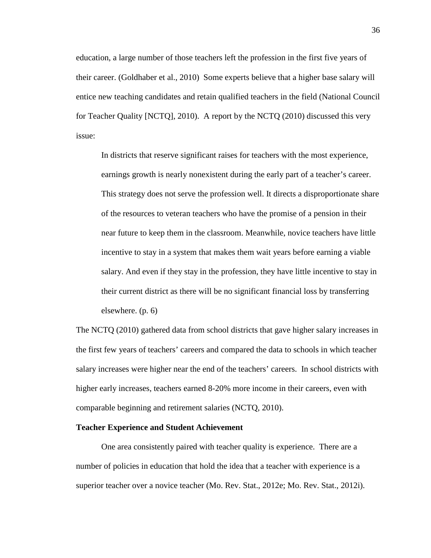education, a large number of those teachers left the profession in the first five years of their career. (Goldhaber et al., 2010) Some experts believe that a higher base salary will entice new teaching candidates and retain qualified teachers in the field (National Council for Teacher Quality [NCTQ], 2010). A report by the NCTQ (2010) discussed this very issue:

In districts that reserve significant raises for teachers with the most experience, earnings growth is nearly nonexistent during the early part of a teacher's career. This strategy does not serve the profession well. It directs a disproportionate share of the resources to veteran teachers who have the promise of a pension in their near future to keep them in the classroom. Meanwhile, novice teachers have little incentive to stay in a system that makes them wait years before earning a viable salary. And even if they stay in the profession, they have little incentive to stay in their current district as there will be no significant financial loss by transferring elsewhere. (p. 6)

The NCTQ (2010) gathered data from school districts that gave higher salary increases in the first few years of teachers' careers and compared the data to schools in which teacher salary increases were higher near the end of the teachers' careers. In school districts with higher early increases, teachers earned 8-20% more income in their careers, even with comparable beginning and retirement salaries (NCTQ, 2010).

# **Teacher Experience and Student Achievement**

One area consistently paired with teacher quality is experience. There are a number of policies in education that hold the idea that a teacher with experience is a superior teacher over a novice teacher (Mo. Rev. Stat., 2012e; Mo. Rev. Stat., 2012i).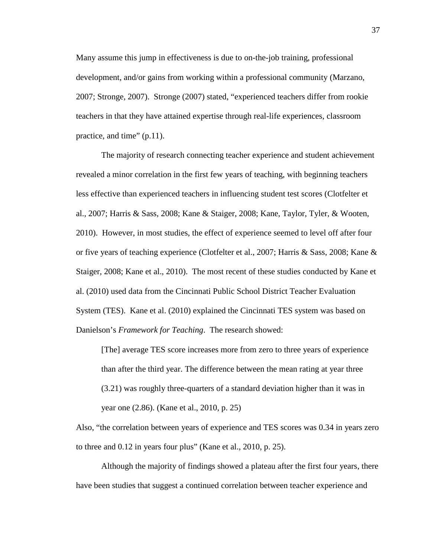Many assume this jump in effectiveness is due to on-the-job training, professional development, and/or gains from working within a professional community (Marzano, 2007; Stronge, 2007). Stronge (2007) stated, "experienced teachers differ from rookie teachers in that they have attained expertise through real-life experiences, classroom practice, and time" (p.11).

The majority of research connecting teacher experience and student achievement revealed a minor correlation in the first few years of teaching, with beginning teachers less effective than experienced teachers in influencing student test scores (Clotfelter et al., 2007; Harris & Sass, 2008; Kane & Staiger, 2008; Kane, Taylor, Tyler, & Wooten, 2010). However, in most studies, the effect of experience seemed to level off after four or five years of teaching experience (Clotfelter et al., 2007; Harris & Sass, 2008; Kane & Staiger, 2008; Kane et al., 2010). The most recent of these studies conducted by Kane et al. (2010) used data from the Cincinnati Public School District Teacher Evaluation System (TES). Kane et al. (2010) explained the Cincinnati TES system was based on Danielson's *Framework for Teaching*. The research showed:

[The] average TES score increases more from zero to three years of experience than after the third year. The difference between the mean rating at year three (3.21) was roughly three-quarters of a standard deviation higher than it was in year one (2.86). (Kane et al., 2010, p. 25)

Also, "the correlation between years of experience and TES scores was 0.34 in years zero to three and 0.12 in years four plus" (Kane et al., 2010, p. 25).

Although the majority of findings showed a plateau after the first four years, there have been studies that suggest a continued correlation between teacher experience and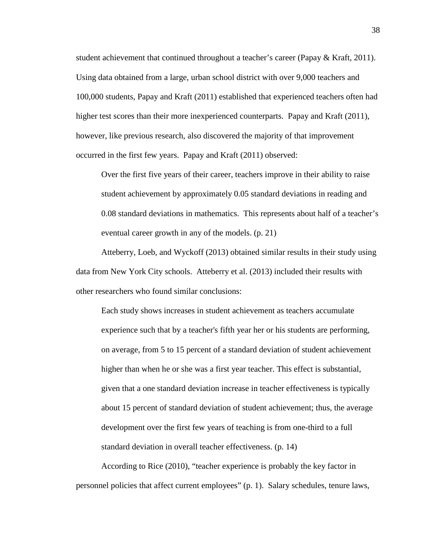student achievement that continued throughout a teacher's career (Papay & Kraft, 2011). Using data obtained from a large, urban school district with over 9,000 teachers and 100,000 students, Papay and Kraft (2011) established that experienced teachers often had higher test scores than their more inexperienced counterparts. Papay and Kraft (2011), however, like previous research, also discovered the majority of that improvement occurred in the first few years. Papay and Kraft (2011) observed:

Over the first five years of their career, teachers improve in their ability to raise student achievement by approximately 0.05 standard deviations in reading and 0.08 standard deviations in mathematics. This represents about half of a teacher's eventual career growth in any of the models. (p. 21)

Atteberry, Loeb, and Wyckoff (2013) obtained similar results in their study using data from New York City schools. Atteberry et al. (2013) included their results with other researchers who found similar conclusions:

Each study shows increases in student achievement as teachers accumulate experience such that by a teacher's fifth year her or his students are performing, on average, from 5 to 15 percent of a standard deviation of student achievement higher than when he or she was a first year teacher. This effect is substantial, given that a one standard deviation increase in teacher effectiveness is typically about 15 percent of standard deviation of student achievement; thus, the average development over the first few years of teaching is from one-third to a full standard deviation in overall teacher effectiveness. (p. 14)

According to Rice (2010), "teacher experience is probably the key factor in personnel policies that affect current employees" (p. 1). Salary schedules, tenure laws,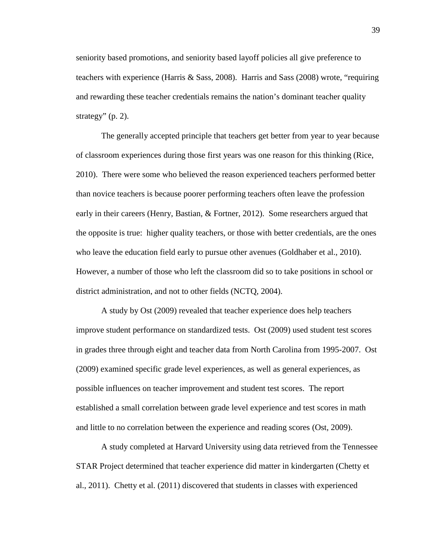seniority based promotions, and seniority based layoff policies all give preference to teachers with experience (Harris & Sass, 2008). Harris and Sass (2008) wrote, "requiring and rewarding these teacher credentials remains the nation's dominant teacher quality strategy"  $(p, 2)$ .

The generally accepted principle that teachers get better from year to year because of classroom experiences during those first years was one reason for this thinking (Rice, 2010). There were some who believed the reason experienced teachers performed better than novice teachers is because poorer performing teachers often leave the profession early in their careers (Henry, Bastian, & Fortner, 2012). Some researchers argued that the opposite is true: higher quality teachers, or those with better credentials, are the ones who leave the education field early to pursue other avenues (Goldhaber et al., 2010). However, a number of those who left the classroom did so to take positions in school or district administration, and not to other fields (NCTQ, 2004).

A study by Ost (2009) revealed that teacher experience does help teachers improve student performance on standardized tests. Ost (2009) used student test scores in grades three through eight and teacher data from North Carolina from 1995-2007. Ost (2009) examined specific grade level experiences, as well as general experiences, as possible influences on teacher improvement and student test scores. The report established a small correlation between grade level experience and test scores in math and little to no correlation between the experience and reading scores (Ost, 2009).

A study completed at Harvard University using data retrieved from the Tennessee STAR Project determined that teacher experience did matter in kindergarten (Chetty et al., 2011). Chetty et al. (2011) discovered that students in classes with experienced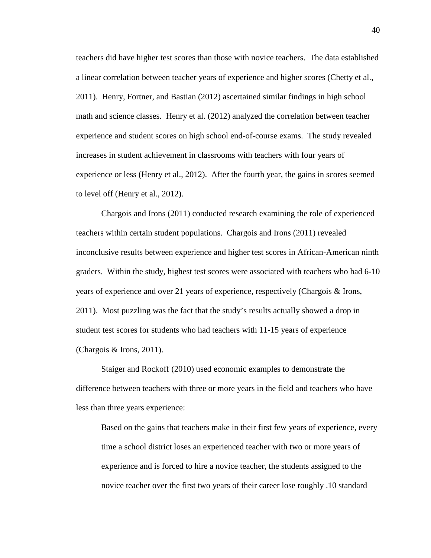teachers did have higher test scores than those with novice teachers. The data established a linear correlation between teacher years of experience and higher scores (Chetty et al., 2011). Henry, Fortner, and Bastian (2012) ascertained similar findings in high school math and science classes. Henry et al. (2012) analyzed the correlation between teacher experience and student scores on high school end-of-course exams. The study revealed increases in student achievement in classrooms with teachers with four years of experience or less (Henry et al., 2012). After the fourth year, the gains in scores seemed to level off (Henry et al., 2012).

Chargois and Irons (2011) conducted research examining the role of experienced teachers within certain student populations. Chargois and Irons (2011) revealed inconclusive results between experience and higher test scores in African-American ninth graders. Within the study, highest test scores were associated with teachers who had 6-10 years of experience and over 21 years of experience, respectively (Chargois & Irons, 2011). Most puzzling was the fact that the study's results actually showed a drop in student test scores for students who had teachers with 11-15 years of experience (Chargois & Irons, 2011).

Staiger and Rockoff (2010) used economic examples to demonstrate the difference between teachers with three or more years in the field and teachers who have less than three years experience:

Based on the gains that teachers make in their first few years of experience, every time a school district loses an experienced teacher with two or more years of experience and is forced to hire a novice teacher, the students assigned to the novice teacher over the first two years of their career lose roughly .10 standard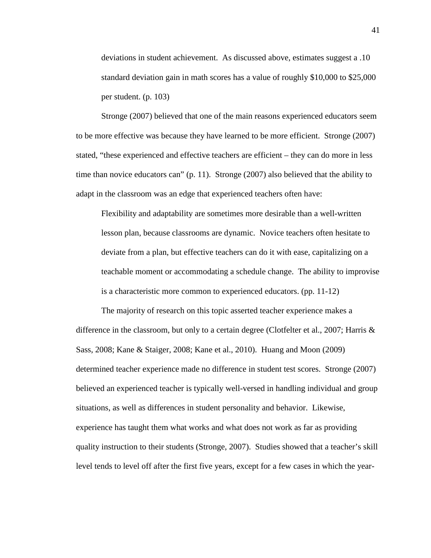deviations in student achievement. As discussed above, estimates suggest a .10 standard deviation gain in math scores has a value of roughly \$10,000 to \$25,000 per student. (p. 103)

Stronge (2007) believed that one of the main reasons experienced educators seem to be more effective was because they have learned to be more efficient. Stronge (2007) stated, "these experienced and effective teachers are efficient – they can do more in less time than novice educators can" (p. 11). Stronge (2007) also believed that the ability to adapt in the classroom was an edge that experienced teachers often have:

Flexibility and adaptability are sometimes more desirable than a well-written lesson plan, because classrooms are dynamic. Novice teachers often hesitate to deviate from a plan, but effective teachers can do it with ease, capitalizing on a teachable moment or accommodating a schedule change. The ability to improvise is a characteristic more common to experienced educators. (pp. 11-12)

The majority of research on this topic asserted teacher experience makes a difference in the classroom, but only to a certain degree (Clotfelter et al., 2007; Harris & Sass, 2008; Kane & Staiger, 2008; Kane et al., 2010). Huang and Moon (2009) determined teacher experience made no difference in student test scores. Stronge (2007) believed an experienced teacher is typically well-versed in handling individual and group situations, as well as differences in student personality and behavior. Likewise, experience has taught them what works and what does not work as far as providing quality instruction to their students (Stronge, 2007). Studies showed that a teacher's skill level tends to level off after the first five years, except for a few cases in which the year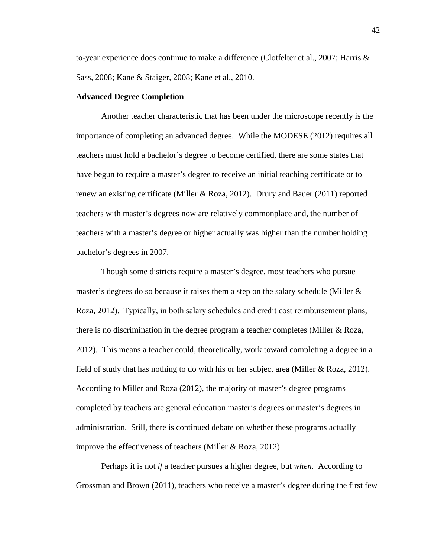to-year experience does continue to make a difference (Clotfelter et al., 2007; Harris & Sass, 2008; Kane & Staiger, 2008; Kane et al., 2010.

#### **Advanced Degree Completion**

Another teacher characteristic that has been under the microscope recently is the importance of completing an advanced degree. While the MODESE (2012) requires all teachers must hold a bachelor's degree to become certified, there are some states that have begun to require a master's degree to receive an initial teaching certificate or to renew an existing certificate (Miller & Roza, 2012). Drury and Bauer (2011) reported teachers with master's degrees now are relatively commonplace and, the number of teachers with a master's degree or higher actually was higher than the number holding bachelor's degrees in 2007.

Though some districts require a master's degree, most teachers who pursue master's degrees do so because it raises them a step on the salary schedule (Miller & Roza, 2012). Typically, in both salary schedules and credit cost reimbursement plans, there is no discrimination in the degree program a teacher completes (Miller & Roza, 2012). This means a teacher could, theoretically, work toward completing a degree in a field of study that has nothing to do with his or her subject area (Miller & Roza, 2012). According to Miller and Roza (2012), the majority of master's degree programs completed by teachers are general education master's degrees or master's degrees in administration. Still, there is continued debate on whether these programs actually improve the effectiveness of teachers (Miller & Roza, 2012).

Perhaps it is not *if* a teacher pursues a higher degree, but *when*. According to Grossman and Brown (2011), teachers who receive a master's degree during the first few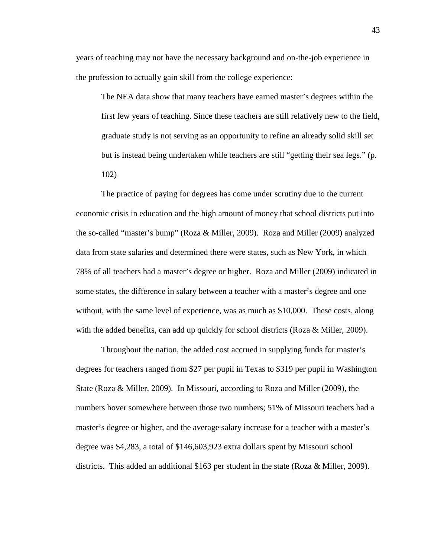years of teaching may not have the necessary background and on-the-job experience in the profession to actually gain skill from the college experience:

The NEA data show that many teachers have earned master's degrees within the first few years of teaching. Since these teachers are still relatively new to the field, graduate study is not serving as an opportunity to refine an already solid skill set but is instead being undertaken while teachers are still "getting their sea legs." (p. 102)

 The practice of paying for degrees has come under scrutiny due to the current economic crisis in education and the high amount of money that school districts put into the so-called "master's bump" (Roza & Miller, 2009). Roza and Miller (2009) analyzed data from state salaries and determined there were states, such as New York, in which 78% of all teachers had a master's degree or higher. Roza and Miller (2009) indicated in some states, the difference in salary between a teacher with a master's degree and one without, with the same level of experience, was as much as \$10,000. These costs, along with the added benefits, can add up quickly for school districts (Roza & Miller, 2009).

Throughout the nation, the added cost accrued in supplying funds for master's degrees for teachers ranged from \$27 per pupil in Texas to \$319 per pupil in Washington State (Roza & Miller, 2009). In Missouri, according to Roza and Miller (2009), the numbers hover somewhere between those two numbers; 51% of Missouri teachers had a master's degree or higher, and the average salary increase for a teacher with a master's degree was \$4,283, a total of \$146,603,923 extra dollars spent by Missouri school districts. This added an additional \$163 per student in the state (Roza & Miller, 2009).

43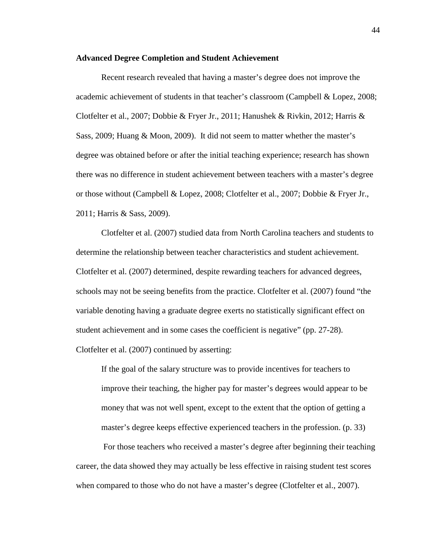### **Advanced Degree Completion and Student Achievement**

Recent research revealed that having a master's degree does not improve the academic achievement of students in that teacher's classroom (Campbell & Lopez, 2008; Clotfelter et al., 2007; Dobbie & Fryer Jr., 2011; Hanushek & Rivkin, 2012; Harris & Sass, 2009; Huang & Moon, 2009). It did not seem to matter whether the master's degree was obtained before or after the initial teaching experience; research has shown there was no difference in student achievement between teachers with a master's degree or those without (Campbell & Lopez, 2008; Clotfelter et al., 2007; Dobbie & Fryer Jr., 2011; Harris & Sass, 2009).

Clotfelter et al. (2007) studied data from North Carolina teachers and students to determine the relationship between teacher characteristics and student achievement. Clotfelter et al. (2007) determined, despite rewarding teachers for advanced degrees, schools may not be seeing benefits from the practice. Clotfelter et al. (2007) found "the variable denoting having a graduate degree exerts no statistically significant effect on student achievement and in some cases the coefficient is negative" (pp. 27-28). Clotfelter et al. (2007) continued by asserting:

If the goal of the salary structure was to provide incentives for teachers to improve their teaching, the higher pay for master's degrees would appear to be money that was not well spent, except to the extent that the option of getting a master's degree keeps effective experienced teachers in the profession. (p. 33)

 For those teachers who received a master's degree after beginning their teaching career, the data showed they may actually be less effective in raising student test scores when compared to those who do not have a master's degree (Clotfelter et al., 2007).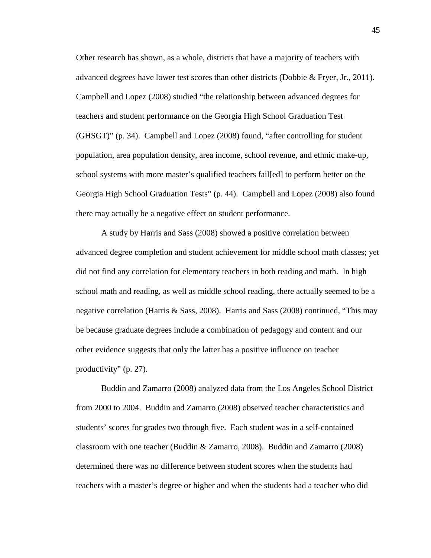Other research has shown, as a whole, districts that have a majority of teachers with advanced degrees have lower test scores than other districts (Dobbie & Fryer, Jr., 2011). Campbell and Lopez (2008) studied "the relationship between advanced degrees for teachers and student performance on the Georgia High School Graduation Test (GHSGT)" (p. 34). Campbell and Lopez (2008) found, "after controlling for student population, area population density, area income, school revenue, and ethnic make-up, school systems with more master's qualified teachers fail[ed] to perform better on the Georgia High School Graduation Tests" (p. 44). Campbell and Lopez (2008) also found there may actually be a negative effect on student performance.

A study by Harris and Sass (2008) showed a positive correlation between advanced degree completion and student achievement for middle school math classes; yet did not find any correlation for elementary teachers in both reading and math. In high school math and reading, as well as middle school reading, there actually seemed to be a negative correlation (Harris & Sass, 2008). Harris and Sass (2008) continued, "This may be because graduate degrees include a combination of pedagogy and content and our other evidence suggests that only the latter has a positive influence on teacher productivity" (p. 27).

Buddin and Zamarro (2008) analyzed data from the Los Angeles School District from 2000 to 2004. Buddin and Zamarro (2008) observed teacher characteristics and students' scores for grades two through five. Each student was in a self-contained classroom with one teacher (Buddin & Zamarro, 2008). Buddin and Zamarro (2008) determined there was no difference between student scores when the students had teachers with a master's degree or higher and when the students had a teacher who did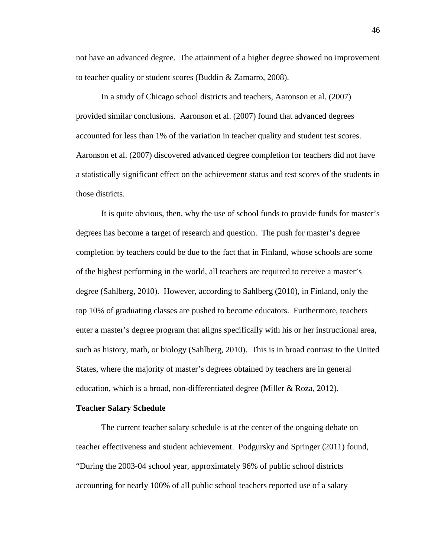not have an advanced degree. The attainment of a higher degree showed no improvement to teacher quality or student scores (Buddin & Zamarro, 2008).

In a study of Chicago school districts and teachers, Aaronson et al. (2007) provided similar conclusions. Aaronson et al. (2007) found that advanced degrees accounted for less than 1% of the variation in teacher quality and student test scores. Aaronson et al. (2007) discovered advanced degree completion for teachers did not have a statistically significant effect on the achievement status and test scores of the students in those districts.

It is quite obvious, then, why the use of school funds to provide funds for master's degrees has become a target of research and question. The push for master's degree completion by teachers could be due to the fact that in Finland, whose schools are some of the highest performing in the world, all teachers are required to receive a master's degree (Sahlberg, 2010). However, according to Sahlberg (2010), in Finland, only the top 10% of graduating classes are pushed to become educators. Furthermore, teachers enter a master's degree program that aligns specifically with his or her instructional area, such as history, math, or biology (Sahlberg, 2010). This is in broad contrast to the United States, where the majority of master's degrees obtained by teachers are in general education, which is a broad, non-differentiated degree (Miller & Roza, 2012).

#### **Teacher Salary Schedule**

 The current teacher salary schedule is at the center of the ongoing debate on teacher effectiveness and student achievement. Podgursky and Springer (2011) found, "During the 2003-04 school year, approximately 96% of public school districts accounting for nearly 100% of all public school teachers reported use of a salary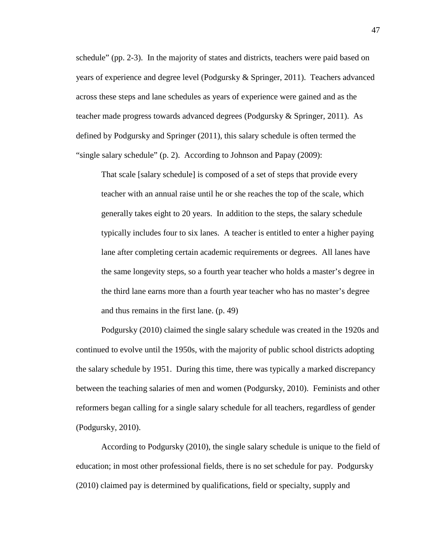schedule" (pp. 2-3). In the majority of states and districts, teachers were paid based on years of experience and degree level (Podgursky & Springer, 2011). Teachers advanced across these steps and lane schedules as years of experience were gained and as the teacher made progress towards advanced degrees (Podgursky & Springer, 2011). As defined by Podgursky and Springer (2011), this salary schedule is often termed the "single salary schedule" (p. 2). According to Johnson and Papay (2009):

That scale [salary schedule] is composed of a set of steps that provide every teacher with an annual raise until he or she reaches the top of the scale, which generally takes eight to 20 years. In addition to the steps, the salary schedule typically includes four to six lanes. A teacher is entitled to enter a higher paying lane after completing certain academic requirements or degrees. All lanes have the same longevity steps, so a fourth year teacher who holds a master's degree in the third lane earns more than a fourth year teacher who has no master's degree and thus remains in the first lane. (p. 49)

Podgursky (2010) claimed the single salary schedule was created in the 1920s and continued to evolve until the 1950s, with the majority of public school districts adopting the salary schedule by 1951. During this time, there was typically a marked discrepancy between the teaching salaries of men and women (Podgursky, 2010). Feminists and other reformers began calling for a single salary schedule for all teachers, regardless of gender (Podgursky, 2010).

 According to Podgursky (2010), the single salary schedule is unique to the field of education; in most other professional fields, there is no set schedule for pay. Podgursky (2010) claimed pay is determined by qualifications, field or specialty, supply and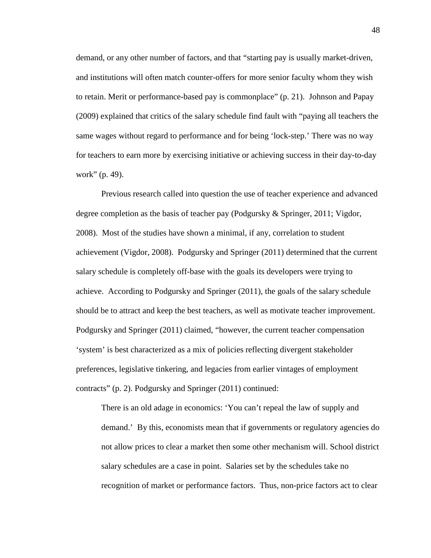demand, or any other number of factors, and that "starting pay is usually market-driven, and institutions will often match counter-offers for more senior faculty whom they wish to retain. Merit or performance-based pay is commonplace" (p. 21). Johnson and Papay (2009) explained that critics of the salary schedule find fault with "paying all teachers the same wages without regard to performance and for being 'lock-step.' There was no way for teachers to earn more by exercising initiative or achieving success in their day-to-day work" (p. 49).

Previous research called into question the use of teacher experience and advanced degree completion as the basis of teacher pay (Podgursky & Springer, 2011; Vigdor, 2008). Most of the studies have shown a minimal, if any, correlation to student achievement (Vigdor, 2008). Podgursky and Springer (2011) determined that the current salary schedule is completely off-base with the goals its developers were trying to achieve. According to Podgursky and Springer (2011), the goals of the salary schedule should be to attract and keep the best teachers, as well as motivate teacher improvement. Podgursky and Springer (2011) claimed, "however, the current teacher compensation 'system' is best characterized as a mix of policies reflecting divergent stakeholder preferences, legislative tinkering, and legacies from earlier vintages of employment contracts" (p. 2). Podgursky and Springer (2011) continued:

There is an old adage in economics: 'You can't repeal the law of supply and demand.' By this, economists mean that if governments or regulatory agencies do not allow prices to clear a market then some other mechanism will. School district salary schedules are a case in point. Salaries set by the schedules take no recognition of market or performance factors. Thus, non-price factors act to clear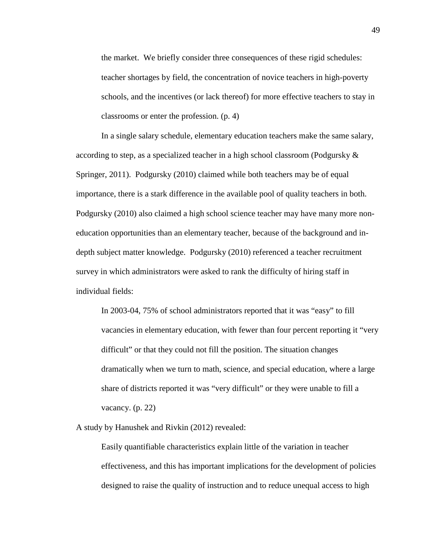the market. We briefly consider three consequences of these rigid schedules: teacher shortages by field, the concentration of novice teachers in high-poverty schools, and the incentives (or lack thereof) for more effective teachers to stay in classrooms or enter the profession. (p. 4)

In a single salary schedule, elementary education teachers make the same salary, according to step, as a specialized teacher in a high school classroom (Podgursky  $\&$ Springer, 2011). Podgursky (2010) claimed while both teachers may be of equal importance, there is a stark difference in the available pool of quality teachers in both. Podgursky (2010) also claimed a high school science teacher may have many more noneducation opportunities than an elementary teacher, because of the background and indepth subject matter knowledge. Podgursky (2010) referenced a teacher recruitment survey in which administrators were asked to rank the difficulty of hiring staff in individual fields:

In 2003-04, 75% of school administrators reported that it was "easy" to fill vacancies in elementary education, with fewer than four percent reporting it "very difficult" or that they could not fill the position. The situation changes dramatically when we turn to math, science, and special education, where a large share of districts reported it was "very difficult" or they were unable to fill a vacancy. (p. 22)

A study by Hanushek and Rivkin (2012) revealed:

Easily quantifiable characteristics explain little of the variation in teacher effectiveness, and this has important implications for the development of policies designed to raise the quality of instruction and to reduce unequal access to high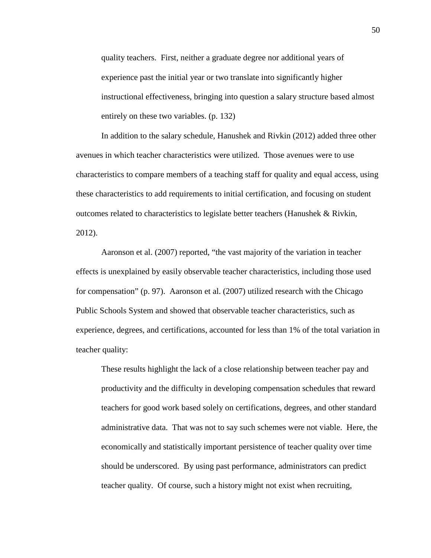quality teachers. First, neither a graduate degree nor additional years of experience past the initial year or two translate into significantly higher instructional effectiveness, bringing into question a salary structure based almost entirely on these two variables. (p. 132)

In addition to the salary schedule, Hanushek and Rivkin (2012) added three other avenues in which teacher characteristics were utilized. Those avenues were to use characteristics to compare members of a teaching staff for quality and equal access, using these characteristics to add requirements to initial certification, and focusing on student outcomes related to characteristics to legislate better teachers (Hanushek & Rivkin, 2012).

 Aaronson et al. (2007) reported, "the vast majority of the variation in teacher effects is unexplained by easily observable teacher characteristics, including those used for compensation" (p. 97). Aaronson et al. (2007) utilized research with the Chicago Public Schools System and showed that observable teacher characteristics, such as experience, degrees, and certifications, accounted for less than 1% of the total variation in teacher quality:

These results highlight the lack of a close relationship between teacher pay and productivity and the difficulty in developing compensation schedules that reward teachers for good work based solely on certifications, degrees, and other standard administrative data. That was not to say such schemes were not viable. Here, the economically and statistically important persistence of teacher quality over time should be underscored. By using past performance, administrators can predict teacher quality. Of course, such a history might not exist when recruiting,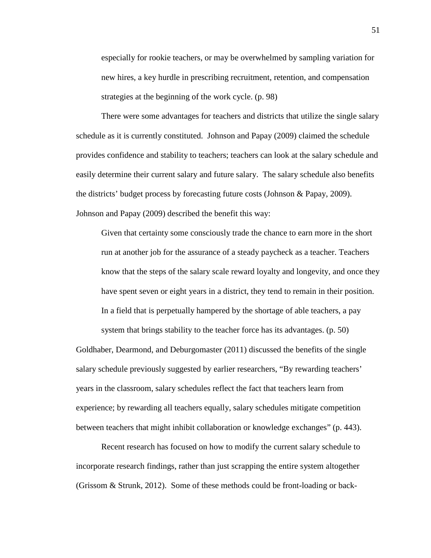especially for rookie teachers, or may be overwhelmed by sampling variation for new hires, a key hurdle in prescribing recruitment, retention, and compensation strategies at the beginning of the work cycle. (p. 98)

 There were some advantages for teachers and districts that utilize the single salary schedule as it is currently constituted. Johnson and Papay (2009) claimed the schedule provides confidence and stability to teachers; teachers can look at the salary schedule and easily determine their current salary and future salary. The salary schedule also benefits the districts' budget process by forecasting future costs (Johnson & Papay, 2009). Johnson and Papay (2009) described the benefit this way:

Given that certainty some consciously trade the chance to earn more in the short run at another job for the assurance of a steady paycheck as a teacher. Teachers know that the steps of the salary scale reward loyalty and longevity, and once they have spent seven or eight years in a district, they tend to remain in their position. In a field that is perpetually hampered by the shortage of able teachers, a pay

system that brings stability to the teacher force has its advantages. (p. 50) Goldhaber, Dearmond, and Deburgomaster (2011) discussed the benefits of the single salary schedule previously suggested by earlier researchers, "By rewarding teachers' years in the classroom, salary schedules reflect the fact that teachers learn from experience; by rewarding all teachers equally, salary schedules mitigate competition between teachers that might inhibit collaboration or knowledge exchanges" (p. 443).

Recent research has focused on how to modify the current salary schedule to incorporate research findings, rather than just scrapping the entire system altogether (Grissom & Strunk, 2012). Some of these methods could be front-loading or back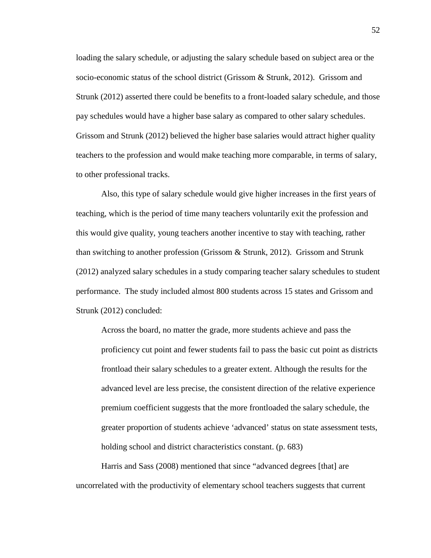loading the salary schedule, or adjusting the salary schedule based on subject area or the socio-economic status of the school district (Grissom & Strunk, 2012). Grissom and Strunk (2012) asserted there could be benefits to a front-loaded salary schedule, and those pay schedules would have a higher base salary as compared to other salary schedules. Grissom and Strunk (2012) believed the higher base salaries would attract higher quality teachers to the profession and would make teaching more comparable, in terms of salary, to other professional tracks.

Also, this type of salary schedule would give higher increases in the first years of teaching, which is the period of time many teachers voluntarily exit the profession and this would give quality, young teachers another incentive to stay with teaching, rather than switching to another profession (Grissom & Strunk, 2012). Grissom and Strunk (2012) analyzed salary schedules in a study comparing teacher salary schedules to student performance. The study included almost 800 students across 15 states and Grissom and Strunk (2012) concluded:

Across the board, no matter the grade, more students achieve and pass the proficiency cut point and fewer students fail to pass the basic cut point as districts frontload their salary schedules to a greater extent. Although the results for the advanced level are less precise, the consistent direction of the relative experience premium coefficient suggests that the more frontloaded the salary schedule, the greater proportion of students achieve 'advanced' status on state assessment tests, holding school and district characteristics constant. (p. 683)

 Harris and Sass (2008) mentioned that since "advanced degrees [that] are uncorrelated with the productivity of elementary school teachers suggests that current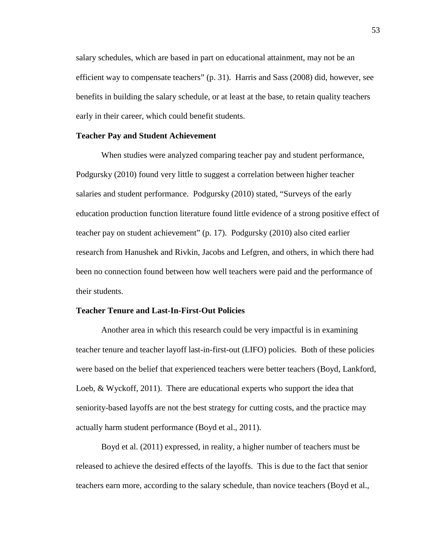salary schedules, which are based in part on educational attainment, may not be an efficient way to compensate teachers" (p. 31). Harris and Sass (2008) did, however, see benefits in building the salary schedule, or at least at the base, to retain quality teachers early in their career, which could benefit students.

# **Teacher Pay and Student Achievement**

 When studies were analyzed comparing teacher pay and student performance, Podgursky (2010) found very little to suggest a correlation between higher teacher salaries and student performance. Podgursky (2010) stated, "Surveys of the early education production function literature found little evidence of a strong positive effect of teacher pay on student achievement" (p. 17). Podgursky (2010) also cited earlier research from Hanushek and Rivkin, Jacobs and Lefgren, and others, in which there had been no connection found between how well teachers were paid and the performance of their students.

### **Teacher Tenure and Last-In-First-Out Policies**

 Another area in which this research could be very impactful is in examining teacher tenure and teacher layoff last-in-first-out (LIFO) policies. Both of these policies were based on the belief that experienced teachers were better teachers (Boyd, Lankford, Loeb, & Wyckoff, 2011). There are educational experts who support the idea that seniority-based layoffs are not the best strategy for cutting costs, and the practice may actually harm student performance (Boyd et al., 2011).

Boyd et al. (2011) expressed, in reality, a higher number of teachers must be released to achieve the desired effects of the layoffs. This is due to the fact that senior teachers earn more, according to the salary schedule, than novice teachers (Boyd et al.,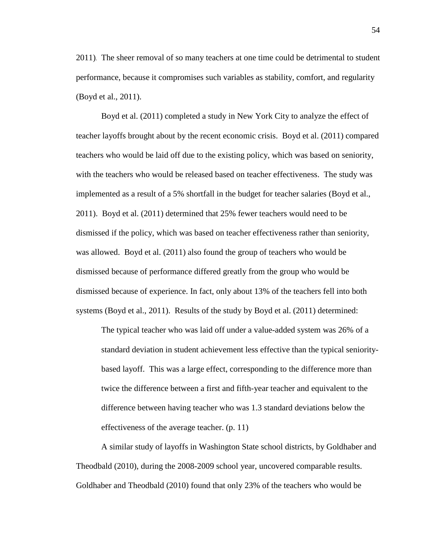2011). The sheer removal of so many teachers at one time could be detrimental to student performance, because it compromises such variables as stability, comfort, and regularity (Boyd et al., 2011).

Boyd et al. (2011) completed a study in New York City to analyze the effect of teacher layoffs brought about by the recent economic crisis. Boyd et al. (2011) compared teachers who would be laid off due to the existing policy, which was based on seniority, with the teachers who would be released based on teacher effectiveness. The study was implemented as a result of a 5% shortfall in the budget for teacher salaries (Boyd et al., 2011). Boyd et al. (2011) determined that 25% fewer teachers would need to be dismissed if the policy, which was based on teacher effectiveness rather than seniority, was allowed. Boyd et al. (2011) also found the group of teachers who would be dismissed because of performance differed greatly from the group who would be dismissed because of experience. In fact, only about 13% of the teachers fell into both systems (Boyd et al., 2011). Results of the study by Boyd et al. (2011) determined:

The typical teacher who was laid off under a value-added system was 26% of a standard deviation in student achievement less effective than the typical senioritybased layoff. This was a large effect, corresponding to the difference more than twice the difference between a first and fifth-year teacher and equivalent to the difference between having teacher who was 1.3 standard deviations below the effectiveness of the average teacher. (p. 11)

A similar study of layoffs in Washington State school districts, by Goldhaber and Theodbald (2010), during the 2008-2009 school year, uncovered comparable results. Goldhaber and Theodbald (2010) found that only 23% of the teachers who would be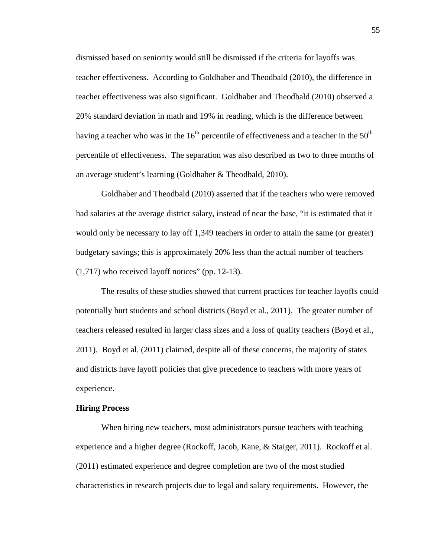dismissed based on seniority would still be dismissed if the criteria for layoffs was teacher effectiveness. According to Goldhaber and Theodbald (2010), the difference in teacher effectiveness was also significant. Goldhaber and Theodbald (2010) observed a 20% standard deviation in math and 19% in reading, which is the difference between having a teacher who was in the 16<sup>th</sup> percentile of effectiveness and a teacher in the 50<sup>th</sup> percentile of effectiveness. The separation was also described as two to three months of an average student's learning (Goldhaber & Theodbald, 2010).

Goldhaber and Theodbald (2010) asserted that if the teachers who were removed had salaries at the average district salary, instead of near the base, "it is estimated that it would only be necessary to lay off 1,349 teachers in order to attain the same (or greater) budgetary savings; this is approximately 20% less than the actual number of teachers (1,717) who received layoff notices" (pp. 12-13).

The results of these studies showed that current practices for teacher layoffs could potentially hurt students and school districts (Boyd et al., 2011). The greater number of teachers released resulted in larger class sizes and a loss of quality teachers (Boyd et al., 2011). Boyd et al. (2011) claimed, despite all of these concerns, the majority of states and districts have layoff policies that give precedence to teachers with more years of experience.

# **Hiring Process**

When hiring new teachers, most administrators pursue teachers with teaching experience and a higher degree (Rockoff, Jacob, Kane, & Staiger, 2011). Rockoff et al. (2011) estimated experience and degree completion are two of the most studied characteristics in research projects due to legal and salary requirements. However, the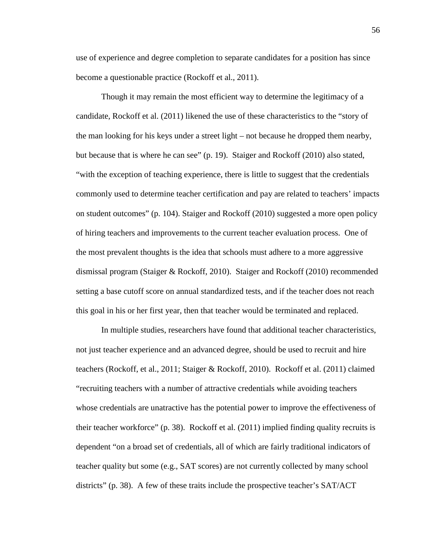use of experience and degree completion to separate candidates for a position has since become a questionable practice (Rockoff et al., 2011).

Though it may remain the most efficient way to determine the legitimacy of a candidate, Rockoff et al. (2011) likened the use of these characteristics to the "story of the man looking for his keys under a street light – not because he dropped them nearby, but because that is where he can see" (p. 19). Staiger and Rockoff (2010) also stated, "with the exception of teaching experience, there is little to suggest that the credentials commonly used to determine teacher certification and pay are related to teachers' impacts on student outcomes" (p. 104). Staiger and Rockoff (2010) suggested a more open policy of hiring teachers and improvements to the current teacher evaluation process. One of the most prevalent thoughts is the idea that schools must adhere to a more aggressive dismissal program (Staiger & Rockoff, 2010). Staiger and Rockoff (2010) recommended setting a base cutoff score on annual standardized tests, and if the teacher does not reach this goal in his or her first year, then that teacher would be terminated and replaced.

 In multiple studies, researchers have found that additional teacher characteristics, not just teacher experience and an advanced degree, should be used to recruit and hire teachers (Rockoff, et al., 2011; Staiger & Rockoff, 2010). Rockoff et al. (2011) claimed "recruiting teachers with a number of attractive credentials while avoiding teachers whose credentials are unatractive has the potential power to improve the effectiveness of their teacher workforce" (p. 38). Rockoff et al. (2011) implied finding quality recruits is dependent "on a broad set of credentials, all of which are fairly traditional indicators of teacher quality but some (e.g., SAT scores) are not currently collected by many school districts" (p. 38). A few of these traits include the prospective teacher's SAT/ACT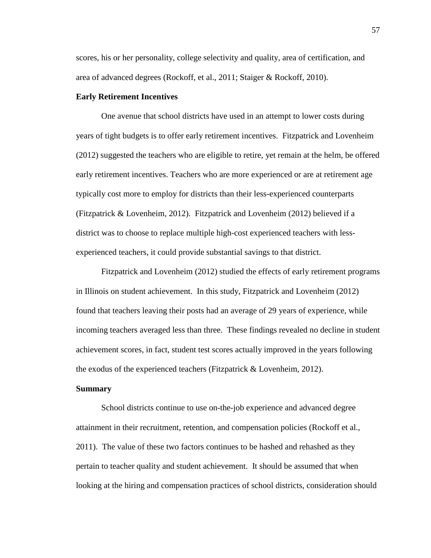scores, his or her personality, college selectivity and quality, area of certification, and area of advanced degrees (Rockoff, et al., 2011; Staiger & Rockoff, 2010).

### **Early Retirement Incentives**

One avenue that school districts have used in an attempt to lower costs during years of tight budgets is to offer early retirement incentives. Fitzpatrick and Lovenheim (2012) suggested the teachers who are eligible to retire, yet remain at the helm, be offered early retirement incentives. Teachers who are more experienced or are at retirement age typically cost more to employ for districts than their less-experienced counterparts (Fitzpatrick & Lovenheim, 2012). Fitzpatrick and Lovenheim (2012) believed if a district was to choose to replace multiple high-cost experienced teachers with lessexperienced teachers, it could provide substantial savings to that district.

 Fitzpatrick and Lovenheim (2012) studied the effects of early retirement programs in Illinois on student achievement. In this study, Fitzpatrick and Lovenheim (2012) found that teachers leaving their posts had an average of 29 years of experience, while incoming teachers averaged less than three. These findings revealed no decline in student achievement scores, in fact, student test scores actually improved in the years following the exodus of the experienced teachers (Fitzpatrick & Lovenheim, 2012).

### **Summary**

 School districts continue to use on-the-job experience and advanced degree attainment in their recruitment, retention, and compensation policies (Rockoff et al., 2011). The value of these two factors continues to be hashed and rehashed as they pertain to teacher quality and student achievement. It should be assumed that when looking at the hiring and compensation practices of school districts, consideration should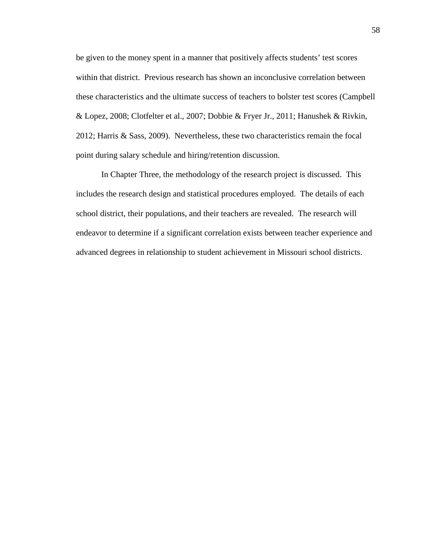be given to the money spent in a manner that positively affects students' test scores within that district. Previous research has shown an inconclusive correlation between these characteristics and the ultimate success of teachers to bolster test scores (Campbell & Lopez, 2008; Clotfelter et al., 2007; Dobbie & Fryer Jr., 2011; Hanushek & Rivkin, 2012; Harris & Sass, 2009). Nevertheless, these two characteristics remain the focal point during salary schedule and hiring/retention discussion.

 In Chapter Three, the methodology of the research project is discussed. This includes the research design and statistical procedures employed. The details of each school district, their populations, and their teachers are revealed. The research will endeavor to determine if a significant correlation exists between teacher experience and advanced degrees in relationship to student achievement in Missouri school districts.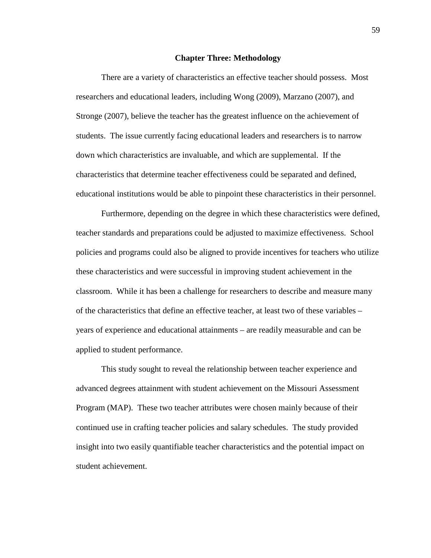### **Chapter Three: Methodology**

There are a variety of characteristics an effective teacher should possess. Most researchers and educational leaders, including Wong (2009), Marzano (2007), and Stronge (2007), believe the teacher has the greatest influence on the achievement of students. The issue currently facing educational leaders and researchers is to narrow down which characteristics are invaluable, and which are supplemental. If the characteristics that determine teacher effectiveness could be separated and defined, educational institutions would be able to pinpoint these characteristics in their personnel.

Furthermore, depending on the degree in which these characteristics were defined, teacher standards and preparations could be adjusted to maximize effectiveness. School policies and programs could also be aligned to provide incentives for teachers who utilize these characteristics and were successful in improving student achievement in the classroom. While it has been a challenge for researchers to describe and measure many of the characteristics that define an effective teacher, at least two of these variables – years of experience and educational attainments – are readily measurable and can be applied to student performance.

This study sought to reveal the relationship between teacher experience and advanced degrees attainment with student achievement on the Missouri Assessment Program (MAP). These two teacher attributes were chosen mainly because of their continued use in crafting teacher policies and salary schedules. The study provided insight into two easily quantifiable teacher characteristics and the potential impact on student achievement.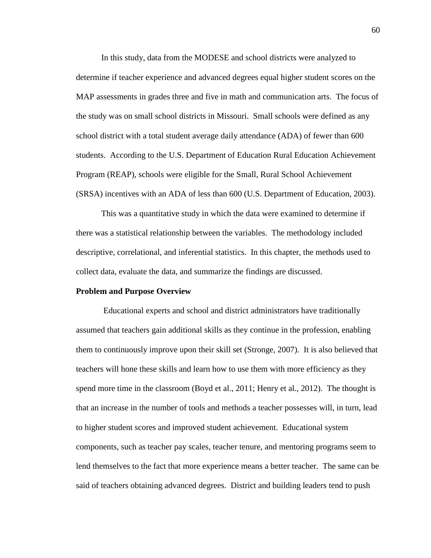In this study, data from the MODESE and school districts were analyzed to determine if teacher experience and advanced degrees equal higher student scores on the MAP assessments in grades three and five in math and communication arts. The focus of the study was on small school districts in Missouri. Small schools were defined as any school district with a total student average daily attendance (ADA) of fewer than 600 students. According to the U.S. Department of Education Rural Education Achievement Program (REAP), schools were eligible for the Small, Rural School Achievement (SRSA) incentives with an ADA of less than 600 (U.S. Department of Education, 2003).

This was a quantitative study in which the data were examined to determine if there was a statistical relationship between the variables. The methodology included descriptive, correlational, and inferential statistics. In this chapter, the methods used to collect data, evaluate the data, and summarize the findings are discussed.

#### **Problem and Purpose Overview**

 Educational experts and school and district administrators have traditionally assumed that teachers gain additional skills as they continue in the profession, enabling them to continuously improve upon their skill set (Stronge, 2007). It is also believed that teachers will hone these skills and learn how to use them with more efficiency as they spend more time in the classroom (Boyd et al., 2011; Henry et al., 2012). The thought is that an increase in the number of tools and methods a teacher possesses will, in turn, lead to higher student scores and improved student achievement. Educational system components, such as teacher pay scales, teacher tenure, and mentoring programs seem to lend themselves to the fact that more experience means a better teacher. The same can be said of teachers obtaining advanced degrees. District and building leaders tend to push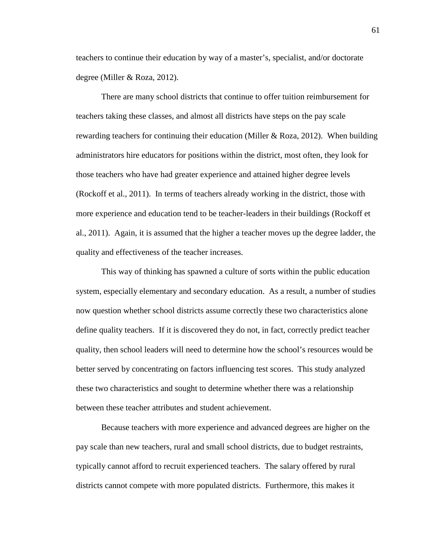teachers to continue their education by way of a master's, specialist, and/or doctorate degree (Miller & Roza, 2012).

There are many school districts that continue to offer tuition reimbursement for teachers taking these classes, and almost all districts have steps on the pay scale rewarding teachers for continuing their education (Miller & Roza, 2012). When building administrators hire educators for positions within the district, most often, they look for those teachers who have had greater experience and attained higher degree levels (Rockoff et al., 2011). In terms of teachers already working in the district, those with more experience and education tend to be teacher-leaders in their buildings (Rockoff et al., 2011). Again, it is assumed that the higher a teacher moves up the degree ladder, the quality and effectiveness of the teacher increases.

This way of thinking has spawned a culture of sorts within the public education system, especially elementary and secondary education. As a result, a number of studies now question whether school districts assume correctly these two characteristics alone define quality teachers. If it is discovered they do not, in fact, correctly predict teacher quality, then school leaders will need to determine how the school's resources would be better served by concentrating on factors influencing test scores. This study analyzed these two characteristics and sought to determine whether there was a relationship between these teacher attributes and student achievement.

Because teachers with more experience and advanced degrees are higher on the pay scale than new teachers, rural and small school districts, due to budget restraints, typically cannot afford to recruit experienced teachers. The salary offered by rural districts cannot compete with more populated districts. Furthermore, this makes it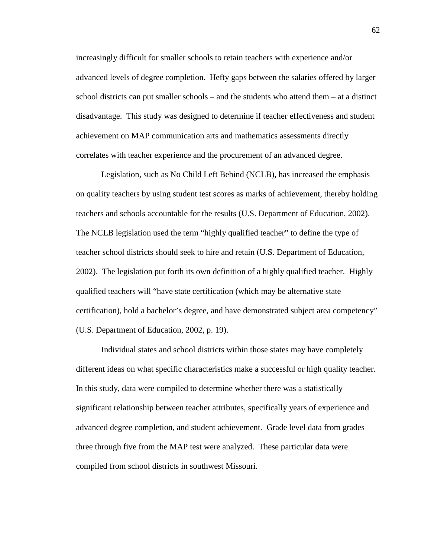increasingly difficult for smaller schools to retain teachers with experience and/or advanced levels of degree completion. Hefty gaps between the salaries offered by larger school districts can put smaller schools – and the students who attend them – at a distinct disadvantage. This study was designed to determine if teacher effectiveness and student achievement on MAP communication arts and mathematics assessments directly correlates with teacher experience and the procurement of an advanced degree.

 Legislation, such as No Child Left Behind (NCLB), has increased the emphasis on quality teachers by using student test scores as marks of achievement, thereby holding teachers and schools accountable for the results (U.S. Department of Education, 2002). The NCLB legislation used the term "highly qualified teacher" to define the type of teacher school districts should seek to hire and retain (U.S. Department of Education, 2002). The legislation put forth its own definition of a highly qualified teacher. Highly qualified teachers will "have state certification (which may be alternative state certification), hold a bachelor's degree, and have demonstrated subject area competency" (U.S. Department of Education, 2002, p. 19).

Individual states and school districts within those states may have completely different ideas on what specific characteristics make a successful or high quality teacher. In this study, data were compiled to determine whether there was a statistically significant relationship between teacher attributes, specifically years of experience and advanced degree completion, and student achievement. Grade level data from grades three through five from the MAP test were analyzed. These particular data were compiled from school districts in southwest Missouri.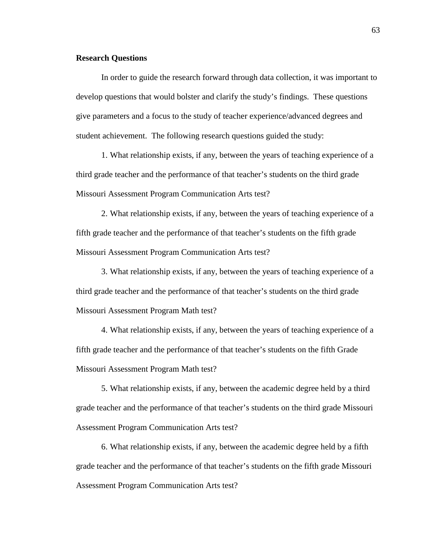### **Research Questions**

In order to guide the research forward through data collection, it was important to develop questions that would bolster and clarify the study's findings. These questions give parameters and a focus to the study of teacher experience/advanced degrees and student achievement. The following research questions guided the study:

1. What relationship exists, if any, between the years of teaching experience of a third grade teacher and the performance of that teacher's students on the third grade Missouri Assessment Program Communication Arts test?

2. What relationship exists, if any, between the years of teaching experience of a fifth grade teacher and the performance of that teacher's students on the fifth grade Missouri Assessment Program Communication Arts test?

3. What relationship exists, if any, between the years of teaching experience of a third grade teacher and the performance of that teacher's students on the third grade Missouri Assessment Program Math test?

4. What relationship exists, if any, between the years of teaching experience of a fifth grade teacher and the performance of that teacher's students on the fifth Grade Missouri Assessment Program Math test?

5. What relationship exists, if any, between the academic degree held by a third grade teacher and the performance of that teacher's students on the third grade Missouri Assessment Program Communication Arts test?

6. What relationship exists, if any, between the academic degree held by a fifth grade teacher and the performance of that teacher's students on the fifth grade Missouri Assessment Program Communication Arts test?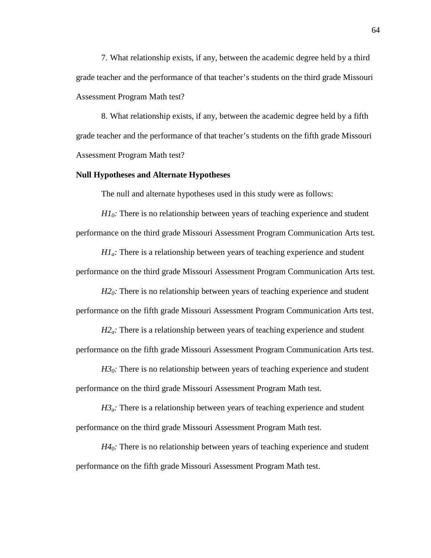7. What relationship exists, if any, between the academic degree held by a third grade teacher and the performance of that teacher's students on the third grade Missouri Assessment Program Math test?

8. What relationship exists, if any, between the academic degree held by a fifth grade teacher and the performance of that teacher's students on the fifth grade Missouri Assessment Program Math test?

#### **Null Hypotheses and Alternate Hypotheses**

The null and alternate hypotheses used in this study were as follows:

*H10:* There is no relationship between years of teaching experience and student performance on the third grade Missouri Assessment Program Communication Arts test.

*H1a:* There is a relationship between years of teaching experience and student performance on the third grade Missouri Assessment Program Communication Arts test.

*H2*<sup> $0$ </sup>: There is no relationship between years of teaching experience and student performance on the fifth grade Missouri Assessment Program Communication Arts test.

*H2<sub>a</sub>*: There is a relationship between years of teaching experience and student performance on the fifth grade Missouri Assessment Program Communication Arts test.

 $H3<sub>0</sub>$ : There is no relationship between years of teaching experience and student performance on the third grade Missouri Assessment Program Math test.

 $H_0^2$ . There is a relationship between years of teaching experience and student performance on the third grade Missouri Assessment Program Math test.

*H4*<sup> $0$ </sup>: There is no relationship between years of teaching experience and student performance on the fifth grade Missouri Assessment Program Math test.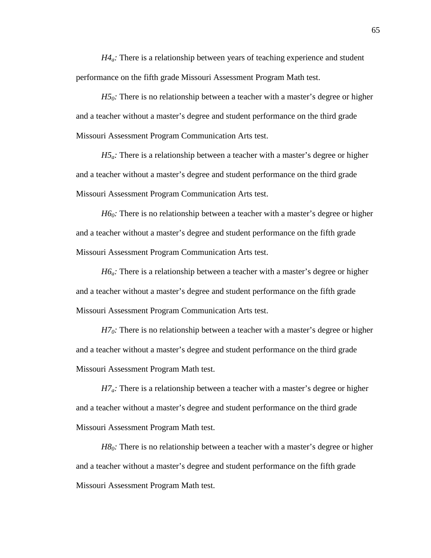*H4a:* There is a relationship between years of teaching experience and student performance on the fifth grade Missouri Assessment Program Math test.

*H5*<sup>0</sup>*:* There is no relationship between a teacher with a master's degree or higher and a teacher without a master's degree and student performance on the third grade Missouri Assessment Program Communication Arts test.

*H5<sub>a</sub>*: There is a relationship between a teacher with a master's degree or higher and a teacher without a master's degree and student performance on the third grade Missouri Assessment Program Communication Arts test.

*H6*<sup> $0$ </sup>: There is no relationship between a teacher with a master's degree or higher and a teacher without a master's degree and student performance on the fifth grade Missouri Assessment Program Communication Arts test.

*H6a:* There is a relationship between a teacher with a master's degree or higher and a teacher without a master's degree and student performance on the fifth grade Missouri Assessment Program Communication Arts test.

*H7*<sup> $0$ </sup>: There is no relationship between a teacher with a master's degree or higher and a teacher without a master's degree and student performance on the third grade Missouri Assessment Program Math test.

*H7a:* There is a relationship between a teacher with a master's degree or higher and a teacher without a master's degree and student performance on the third grade Missouri Assessment Program Math test.

*H8*<sup> $0$ </sup>: There is no relationship between a teacher with a master's degree or higher and a teacher without a master's degree and student performance on the fifth grade Missouri Assessment Program Math test.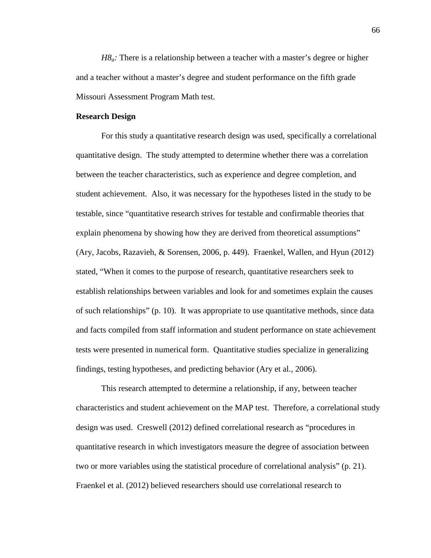*H8a:* There is a relationship between a teacher with a master's degree or higher and a teacher without a master's degree and student performance on the fifth grade Missouri Assessment Program Math test.

## **Research Design**

For this study a quantitative research design was used, specifically a correlational quantitative design. The study attempted to determine whether there was a correlation between the teacher characteristics, such as experience and degree completion, and student achievement. Also, it was necessary for the hypotheses listed in the study to be testable, since "quantitative research strives for testable and confirmable theories that explain phenomena by showing how they are derived from theoretical assumptions" (Ary, Jacobs, Razavieh, & Sorensen, 2006, p. 449). Fraenkel, Wallen, and Hyun (2012) stated, "When it comes to the purpose of research, quantitative researchers seek to establish relationships between variables and look for and sometimes explain the causes of such relationships" (p. 10). It was appropriate to use quantitative methods, since data and facts compiled from staff information and student performance on state achievement tests were presented in numerical form. Quantitative studies specialize in generalizing findings, testing hypotheses, and predicting behavior (Ary et al., 2006).

 This research attempted to determine a relationship, if any, between teacher characteristics and student achievement on the MAP test. Therefore, a correlational study design was used. Creswell (2012) defined correlational research as "procedures in quantitative research in which investigators measure the degree of association between two or more variables using the statistical procedure of correlational analysis" (p. 21). Fraenkel et al. (2012) believed researchers should use correlational research to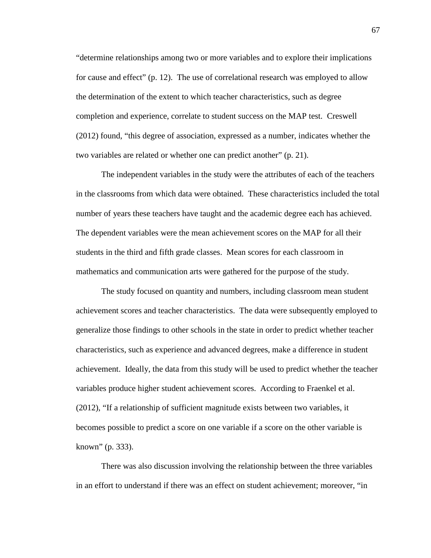"determine relationships among two or more variables and to explore their implications for cause and effect" (p. 12). The use of correlational research was employed to allow the determination of the extent to which teacher characteristics, such as degree completion and experience, correlate to student success on the MAP test. Creswell (2012) found, "this degree of association, expressed as a number, indicates whether the two variables are related or whether one can predict another" (p. 21).

 The independent variables in the study were the attributes of each of the teachers in the classrooms from which data were obtained. These characteristics included the total number of years these teachers have taught and the academic degree each has achieved. The dependent variables were the mean achievement scores on the MAP for all their students in the third and fifth grade classes. Mean scores for each classroom in mathematics and communication arts were gathered for the purpose of the study.

The study focused on quantity and numbers, including classroom mean student achievement scores and teacher characteristics. The data were subsequently employed to generalize those findings to other schools in the state in order to predict whether teacher characteristics, such as experience and advanced degrees, make a difference in student achievement. Ideally, the data from this study will be used to predict whether the teacher variables produce higher student achievement scores. According to Fraenkel et al. (2012), "If a relationship of sufficient magnitude exists between two variables, it becomes possible to predict a score on one variable if a score on the other variable is known" (p. 333).

There was also discussion involving the relationship between the three variables in an effort to understand if there was an effect on student achievement; moreover, "in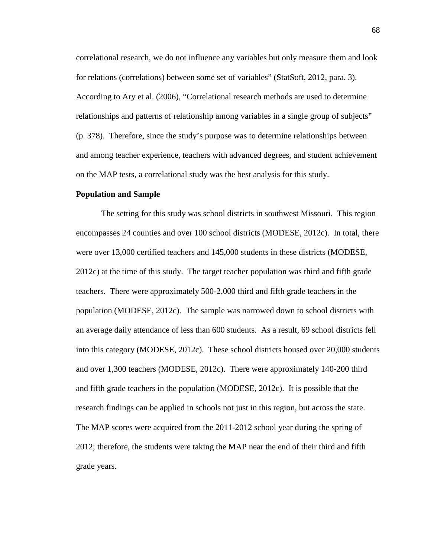correlational research, we do not influence any variables but only measure them and look for relations (correlations) between some set of variables" (StatSoft, 2012, para. 3). According to Ary et al. (2006), "Correlational research methods are used to determine relationships and patterns of relationship among variables in a single group of subjects" (p. 378). Therefore, since the study's purpose was to determine relationships between and among teacher experience, teachers with advanced degrees, and student achievement on the MAP tests, a correlational study was the best analysis for this study.

#### **Population and Sample**

The setting for this study was school districts in southwest Missouri. This region encompasses 24 counties and over 100 school districts (MODESE, 2012c). In total, there were over 13,000 certified teachers and 145,000 students in these districts (MODESE, 2012c) at the time of this study. The target teacher population was third and fifth grade teachers. There were approximately 500-2,000 third and fifth grade teachers in the population (MODESE, 2012c). The sample was narrowed down to school districts with an average daily attendance of less than 600 students. As a result, 69 school districts fell into this category (MODESE, 2012c). These school districts housed over 20,000 students and over 1,300 teachers (MODESE, 2012c). There were approximately 140-200 third and fifth grade teachers in the population (MODESE, 2012c). It is possible that the research findings can be applied in schools not just in this region, but across the state. The MAP scores were acquired from the 2011-2012 school year during the spring of 2012; therefore, the students were taking the MAP near the end of their third and fifth grade years.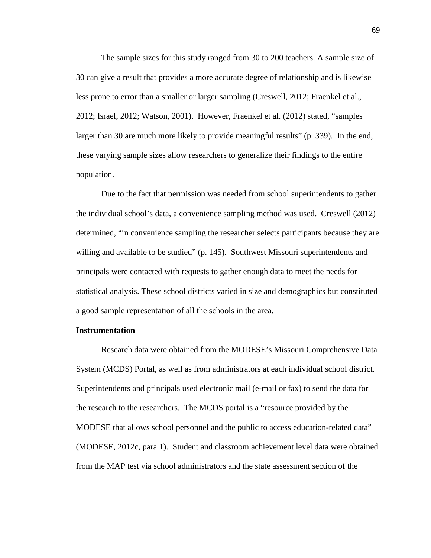The sample sizes for this study ranged from 30 to 200 teachers. A sample size of 30 can give a result that provides a more accurate degree of relationship and is likewise less prone to error than a smaller or larger sampling (Creswell, 2012; Fraenkel et al., 2012; Israel, 2012; Watson, 2001). However, Fraenkel et al. (2012) stated, "samples larger than 30 are much more likely to provide meaningful results" (p. 339). In the end, these varying sample sizes allow researchers to generalize their findings to the entire population.

 Due to the fact that permission was needed from school superintendents to gather the individual school's data, a convenience sampling method was used. Creswell (2012) determined, "in convenience sampling the researcher selects participants because they are willing and available to be studied" (p. 145). Southwest Missouri superintendents and principals were contacted with requests to gather enough data to meet the needs for statistical analysis. These school districts varied in size and demographics but constituted a good sample representation of all the schools in the area.

# **Instrumentation**

Research data were obtained from the MODESE's Missouri Comprehensive Data System (MCDS) Portal, as well as from administrators at each individual school district. Superintendents and principals used electronic mail (e-mail or fax) to send the data for the research to the researchers. The MCDS portal is a "resource provided by the MODESE that allows school personnel and the public to access education-related data" (MODESE, 2012c, para 1). Student and classroom achievement level data were obtained from the MAP test via school administrators and the state assessment section of the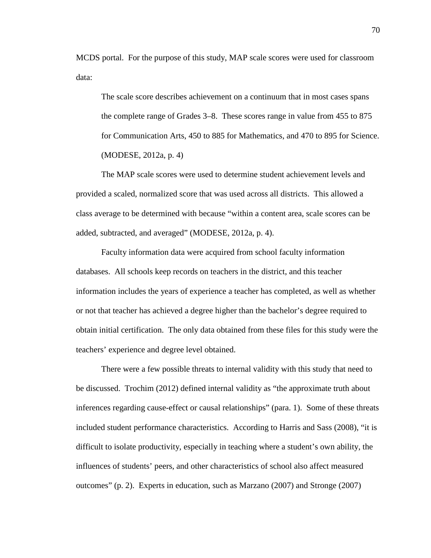MCDS portal. For the purpose of this study, MAP scale scores were used for classroom data:

The scale score describes achievement on a continuum that in most cases spans the complete range of Grades 3–8. These scores range in value from 455 to 875 for Communication Arts, 450 to 885 for Mathematics, and 470 to 895 for Science. (MODESE, 2012a, p. 4)

The MAP scale scores were used to determine student achievement levels and provided a scaled, normalized score that was used across all districts. This allowed a class average to be determined with because "within a content area, scale scores can be added, subtracted, and averaged" (MODESE, 2012a, p. 4).

Faculty information data were acquired from school faculty information databases. All schools keep records on teachers in the district, and this teacher information includes the years of experience a teacher has completed, as well as whether or not that teacher has achieved a degree higher than the bachelor's degree required to obtain initial certification. The only data obtained from these files for this study were the teachers' experience and degree level obtained.

There were a few possible threats to internal validity with this study that need to be discussed. Trochim (2012) defined internal validity as "the approximate truth about inferences regarding cause-effect or causal relationships" (para. 1). Some of these threats included student performance characteristics. According to Harris and Sass (2008), "it is difficult to isolate productivity, especially in teaching where a student's own ability, the influences of students' peers, and other characteristics of school also affect measured outcomes" (p. 2). Experts in education, such as Marzano (2007) and Stronge (2007)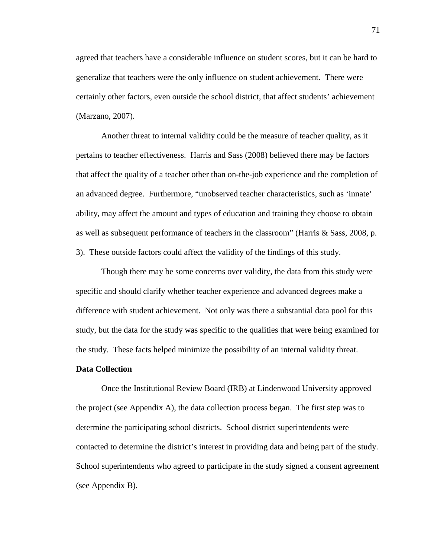agreed that teachers have a considerable influence on student scores, but it can be hard to generalize that teachers were the only influence on student achievement. There were certainly other factors, even outside the school district, that affect students' achievement (Marzano, 2007).

Another threat to internal validity could be the measure of teacher quality, as it pertains to teacher effectiveness. Harris and Sass (2008) believed there may be factors that affect the quality of a teacher other than on-the-job experience and the completion of an advanced degree. Furthermore, "unobserved teacher characteristics, such as 'innate' ability, may affect the amount and types of education and training they choose to obtain as well as subsequent performance of teachers in the classroom" (Harris & Sass, 2008, p. 3). These outside factors could affect the validity of the findings of this study.

Though there may be some concerns over validity, the data from this study were specific and should clarify whether teacher experience and advanced degrees make a difference with student achievement. Not only was there a substantial data pool for this study, but the data for the study was specific to the qualities that were being examined for the study. These facts helped minimize the possibility of an internal validity threat.

# **Data Collection**

Once the Institutional Review Board (IRB) at Lindenwood University approved the project (see Appendix A), the data collection process began. The first step was to determine the participating school districts. School district superintendents were contacted to determine the district's interest in providing data and being part of the study. School superintendents who agreed to participate in the study signed a consent agreement (see Appendix B).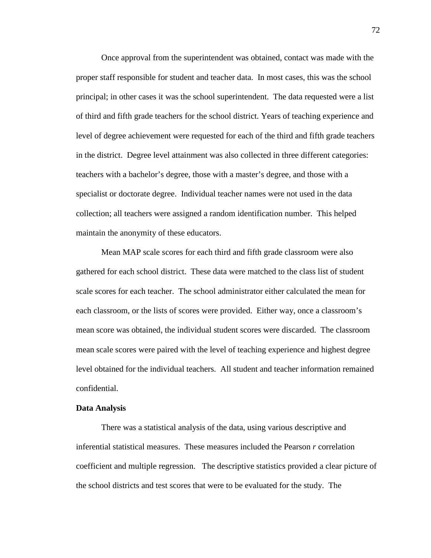Once approval from the superintendent was obtained, contact was made with the proper staff responsible for student and teacher data. In most cases, this was the school principal; in other cases it was the school superintendent. The data requested were a list of third and fifth grade teachers for the school district. Years of teaching experience and level of degree achievement were requested for each of the third and fifth grade teachers in the district. Degree level attainment was also collected in three different categories: teachers with a bachelor's degree, those with a master's degree, and those with a specialist or doctorate degree. Individual teacher names were not used in the data collection; all teachers were assigned a random identification number. This helped maintain the anonymity of these educators.

Mean MAP scale scores for each third and fifth grade classroom were also gathered for each school district. These data were matched to the class list of student scale scores for each teacher. The school administrator either calculated the mean for each classroom, or the lists of scores were provided. Either way, once a classroom's mean score was obtained, the individual student scores were discarded. The classroom mean scale scores were paired with the level of teaching experience and highest degree level obtained for the individual teachers. All student and teacher information remained confidential.

#### **Data Analysis**

There was a statistical analysis of the data, using various descriptive and inferential statistical measures. These measures included the Pearson *r* correlation coefficient and multiple regression. The descriptive statistics provided a clear picture of the school districts and test scores that were to be evaluated for the study. The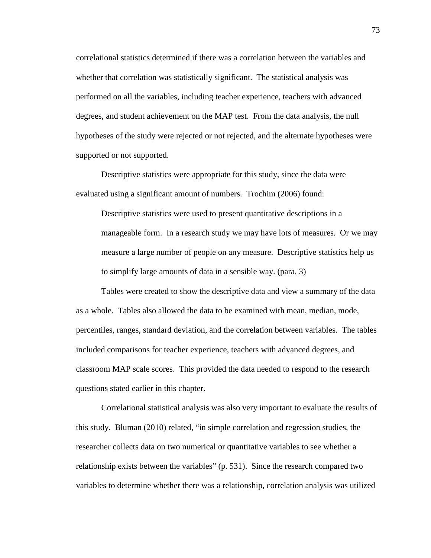correlational statistics determined if there was a correlation between the variables and whether that correlation was statistically significant. The statistical analysis was performed on all the variables, including teacher experience, teachers with advanced degrees, and student achievement on the MAP test. From the data analysis, the null hypotheses of the study were rejected or not rejected, and the alternate hypotheses were supported or not supported.

Descriptive statistics were appropriate for this study, since the data were evaluated using a significant amount of numbers. Trochim (2006) found:

Descriptive statistics were used to present quantitative descriptions in a manageable form. In a research study we may have lots of measures. Or we may measure a large number of people on any measure. Descriptive statistics help us to simplify large amounts of data in a sensible way. (para. 3)

Tables were created to show the descriptive data and view a summary of the data as a whole. Tables also allowed the data to be examined with mean, median, mode, percentiles, ranges, standard deviation, and the correlation between variables. The tables included comparisons for teacher experience, teachers with advanced degrees, and classroom MAP scale scores. This provided the data needed to respond to the research questions stated earlier in this chapter.

Correlational statistical analysis was also very important to evaluate the results of this study. Bluman (2010) related, "in simple correlation and regression studies, the researcher collects data on two numerical or quantitative variables to see whether a relationship exists between the variables" (p. 531). Since the research compared two variables to determine whether there was a relationship, correlation analysis was utilized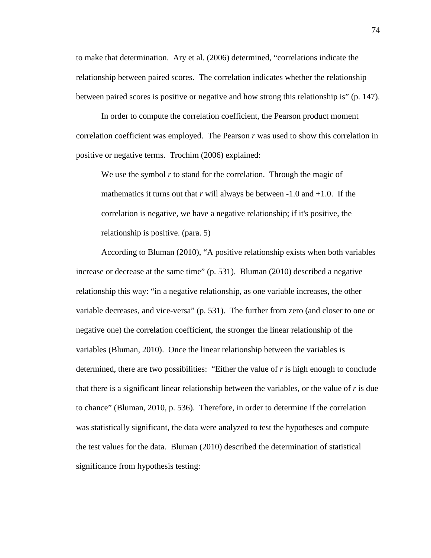to make that determination. Ary et al. (2006) determined, "correlations indicate the relationship between paired scores. The correlation indicates whether the relationship between paired scores is positive or negative and how strong this relationship is" (p. 147).

In order to compute the correlation coefficient, the Pearson product moment correlation coefficient was employed. The Pearson *r* was used to show this correlation in positive or negative terms. Trochim (2006) explained:

We use the symbol *r* to stand for the correlation. Through the magic of mathematics it turns out that  $r$  will always be between  $-1.0$  and  $+1.0$ . If the correlation is negative, we have a negative relationship; if it's positive, the relationship is positive. (para. 5)

According to Bluman (2010), "A positive relationship exists when both variables increase or decrease at the same time" (p. 531). Bluman (2010) described a negative relationship this way: "in a negative relationship, as one variable increases, the other variable decreases, and vice-versa" (p. 531). The further from zero (and closer to one or negative one) the correlation coefficient, the stronger the linear relationship of the variables (Bluman, 2010). Once the linear relationship between the variables is determined, there are two possibilities: "Either the value of *r* is high enough to conclude that there is a significant linear relationship between the variables, or the value of *r* is due to chance" (Bluman, 2010, p. 536). Therefore, in order to determine if the correlation was statistically significant, the data were analyzed to test the hypotheses and compute the test values for the data. Bluman (2010) described the determination of statistical significance from hypothesis testing: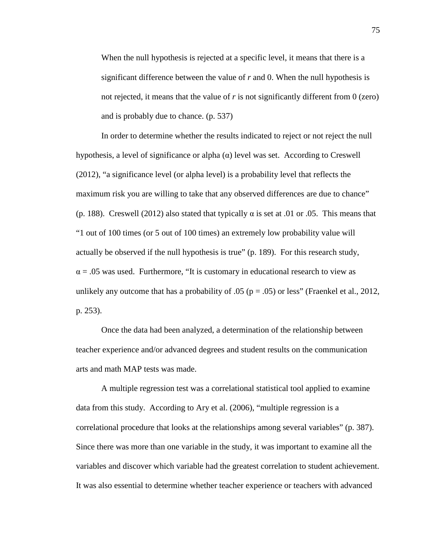When the null hypothesis is rejected at a specific level, it means that there is a significant difference between the value of *r* and 0. When the null hypothesis is not rejected, it means that the value of  $r$  is not significantly different from  $0$  (zero) and is probably due to chance. (p. 537)

In order to determine whether the results indicated to reject or not reject the null hypothesis, a level of significance or alpha  $(\alpha)$  level was set. According to Creswell (2012), "a significance level (or alpha level) is a probability level that reflects the maximum risk you are willing to take that any observed differences are due to chance" (p. 188). Creswell (2012) also stated that typically  $\alpha$  is set at .01 or .05. This means that "1 out of 100 times (or 5 out of 100 times) an extremely low probability value will actually be observed if the null hypothesis is true" (p. 189). For this research study,  $\alpha$  = .05 was used. Furthermore, "It is customary in educational research to view as unlikely any outcome that has a probability of .05 ( $p = .05$ ) or less" (Fraenkel et al., 2012, p. 253).

Once the data had been analyzed, a determination of the relationship between teacher experience and/or advanced degrees and student results on the communication arts and math MAP tests was made.

A multiple regression test was a correlational statistical tool applied to examine data from this study. According to Ary et al. (2006), "multiple regression is a correlational procedure that looks at the relationships among several variables" (p. 387). Since there was more than one variable in the study, it was important to examine all the variables and discover which variable had the greatest correlation to student achievement. It was also essential to determine whether teacher experience or teachers with advanced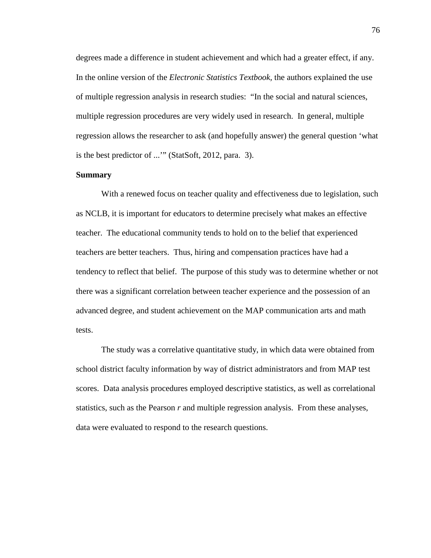degrees made a difference in student achievement and which had a greater effect, if any. In the online version of the *Electronic Statistics Textbook,* the authors explained the use of multiple regression analysis in research studies: "In the social and natural sciences, multiple regression procedures are very widely used in research. In general, multiple regression allows the researcher to ask (and hopefully answer) the general question 'what is the best predictor of ...'" (StatSoft, 2012, para. 3).

### **Summary**

With a renewed focus on teacher quality and effectiveness due to legislation, such as NCLB, it is important for educators to determine precisely what makes an effective teacher. The educational community tends to hold on to the belief that experienced teachers are better teachers. Thus, hiring and compensation practices have had a tendency to reflect that belief. The purpose of this study was to determine whether or not there was a significant correlation between teacher experience and the possession of an advanced degree, and student achievement on the MAP communication arts and math tests.

 The study was a correlative quantitative study, in which data were obtained from school district faculty information by way of district administrators and from MAP test scores. Data analysis procedures employed descriptive statistics, as well as correlational statistics, such as the Pearson *r* and multiple regression analysis. From these analyses, data were evaluated to respond to the research questions.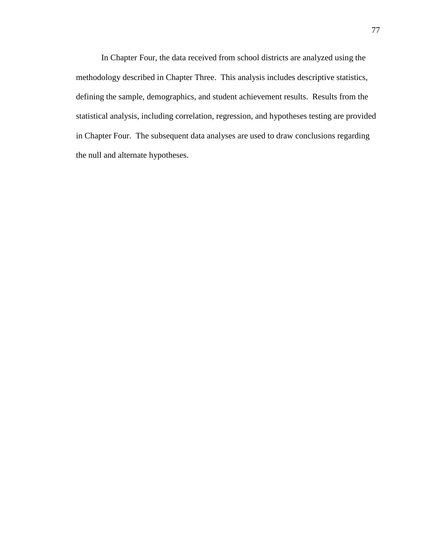In Chapter Four, the data received from school districts are analyzed using the methodology described in Chapter Three. This analysis includes descriptive statistics, defining the sample, demographics, and student achievement results. Results from the statistical analysis, including correlation, regression, and hypotheses testing are provided in Chapter Four. The subsequent data analyses are used to draw conclusions regarding the null and alternate hypotheses.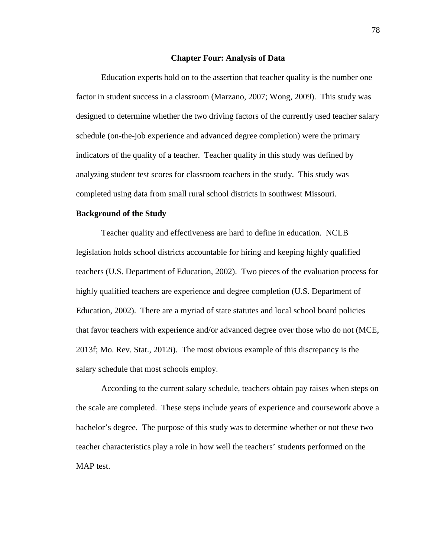#### **Chapter Four: Analysis of Data**

 Education experts hold on to the assertion that teacher quality is the number one factor in student success in a classroom (Marzano, 2007; Wong, 2009). This study was designed to determine whether the two driving factors of the currently used teacher salary schedule (on-the-job experience and advanced degree completion) were the primary indicators of the quality of a teacher. Teacher quality in this study was defined by analyzing student test scores for classroom teachers in the study. This study was completed using data from small rural school districts in southwest Missouri.

#### **Background of the Study**

Teacher quality and effectiveness are hard to define in education. NCLB legislation holds school districts accountable for hiring and keeping highly qualified teachers (U.S. Department of Education, 2002). Two pieces of the evaluation process for highly qualified teachers are experience and degree completion (U.S. Department of Education, 2002). There are a myriad of state statutes and local school board policies that favor teachers with experience and/or advanced degree over those who do not (MCE, 2013f; Mo. Rev. Stat., 2012i). The most obvious example of this discrepancy is the salary schedule that most schools employ.

According to the current salary schedule, teachers obtain pay raises when steps on the scale are completed. These steps include years of experience and coursework above a bachelor's degree. The purpose of this study was to determine whether or not these two teacher characteristics play a role in how well the teachers' students performed on the MAP test.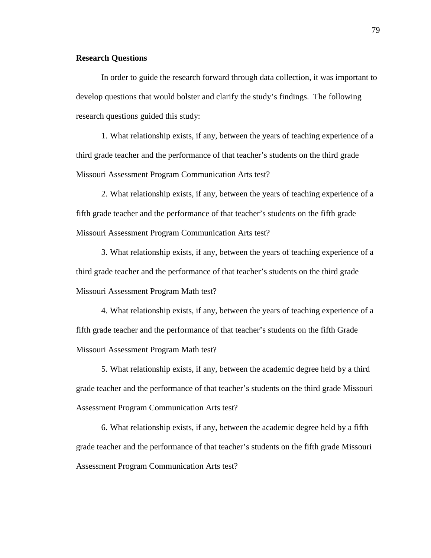### **Research Questions**

In order to guide the research forward through data collection, it was important to develop questions that would bolster and clarify the study's findings. The following research questions guided this study:

1. What relationship exists, if any, between the years of teaching experience of a third grade teacher and the performance of that teacher's students on the third grade Missouri Assessment Program Communication Arts test?

2. What relationship exists, if any, between the years of teaching experience of a fifth grade teacher and the performance of that teacher's students on the fifth grade Missouri Assessment Program Communication Arts test?

3. What relationship exists, if any, between the years of teaching experience of a third grade teacher and the performance of that teacher's students on the third grade Missouri Assessment Program Math test?

4. What relationship exists, if any, between the years of teaching experience of a fifth grade teacher and the performance of that teacher's students on the fifth Grade Missouri Assessment Program Math test?

5. What relationship exists, if any, between the academic degree held by a third grade teacher and the performance of that teacher's students on the third grade Missouri Assessment Program Communication Arts test?

6. What relationship exists, if any, between the academic degree held by a fifth grade teacher and the performance of that teacher's students on the fifth grade Missouri Assessment Program Communication Arts test?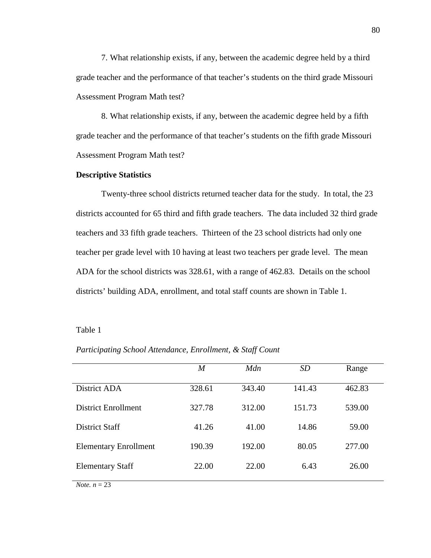7. What relationship exists, if any, between the academic degree held by a third grade teacher and the performance of that teacher's students on the third grade Missouri Assessment Program Math test?

8. What relationship exists, if any, between the academic degree held by a fifth grade teacher and the performance of that teacher's students on the fifth grade Missouri Assessment Program Math test?

### **Descriptive Statistics**

Twenty-three school districts returned teacher data for the study. In total, the 23 districts accounted for 65 third and fifth grade teachers. The data included 32 third grade teachers and 33 fifth grade teachers. Thirteen of the 23 school districts had only one teacher per grade level with 10 having at least two teachers per grade level. The mean ADA for the school districts was 328.61, with a range of 462.83. Details on the school districts' building ADA, enrollment, and total staff counts are shown in Table 1.

### Table 1

| I arricipating School Attendance, Enroundin, & Staff Count |                  |        |           |        |
|------------------------------------------------------------|------------------|--------|-----------|--------|
|                                                            | $\boldsymbol{M}$ | Mdn    | <b>SD</b> | Range  |
| District ADA                                               | 328.61           | 343.40 | 141.43    | 462.83 |
| <b>District Enrollment</b>                                 | 327.78           | 312.00 | 151.73    | 539.00 |
| <b>District Staff</b>                                      | 41.26            | 41.00  | 14.86     | 59.00  |
| <b>Elementary Enrollment</b>                               | 190.39           | 192.00 | 80.05     | 277.00 |
| <b>Elementary Staff</b>                                    | 22.00            | 22.00  | 6.43      | 26.00  |
| <i>Note.</i> $n = 23$                                      |                  |        |           |        |

*Participating School Attendance, Enrollment, & Staff Count*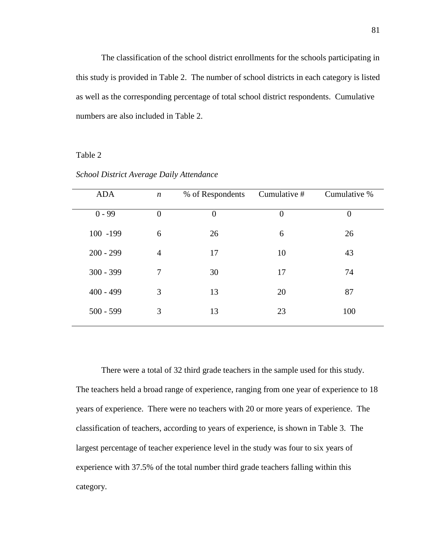The classification of the school district enrollments for the schools participating in this study is provided in Table 2. The number of school districts in each category is listed as well as the corresponding percentage of total school district respondents. Cumulative numbers are also included in Table 2.

# Table 2

| <b>ADA</b>  | $\boldsymbol{n}$ | % of Respondents | Cumulative # | Cumulative %     |
|-------------|------------------|------------------|--------------|------------------|
| $0 - 99$    | $\overline{0}$   | $\theta$         | $\theta$     | $\boldsymbol{0}$ |
| 100 -199    | 6                | 26               | 6            | 26               |
| $200 - 299$ | $\overline{4}$   | 17               | 10           | 43               |
| $300 - 399$ | 7                | 30               | 17           | 74               |
| $400 - 499$ | 3                | 13               | 20           | 87               |
| $500 - 599$ | 3                | 13               | 23           | 100              |
|             |                  |                  |              |                  |

*School District Average Daily Attendance* 

There were a total of 32 third grade teachers in the sample used for this study. The teachers held a broad range of experience, ranging from one year of experience to 18 years of experience. There were no teachers with 20 or more years of experience. The classification of teachers, according to years of experience, is shown in Table 3. The largest percentage of teacher experience level in the study was four to six years of experience with 37.5% of the total number third grade teachers falling within this category.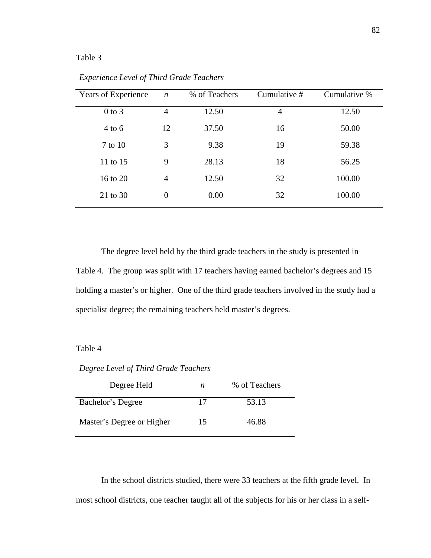# Table 3

| Years of Experience | $\boldsymbol{n}$ | % of Teachers | Cumulative # | Cumulative % |
|---------------------|------------------|---------------|--------------|--------------|
| $0$ to $3$          | $\overline{4}$   | 12.50         | 4            | 12.50        |
| $4$ to 6            | 12               | 37.50         | 16           | 50.00        |
| 7 to 10             | 3                | 9.38          | 19           | 59.38        |
| 11 to 15            | 9                | 28.13         | 18           | 56.25        |
| 16 to 20            | $\overline{4}$   | 12.50         | 32           | 100.00       |
| 21 to 30            | $\theta$         | 0.00          | 32           | 100.00       |

*Experience Level of Third Grade Teachers* 

The degree level held by the third grade teachers in the study is presented in Table 4. The group was split with 17 teachers having earned bachelor's degrees and 15 holding a master's or higher. One of the third grade teachers involved in the study had a specialist degree; the remaining teachers held master's degrees.

# Table 4

*Degree Level of Third Grade Teachers* 

| Degree Held               | n  | % of Teachers |
|---------------------------|----|---------------|
| Bachelor's Degree         | 17 | 53.13         |
| Master's Degree or Higher | 15 | 46.88         |

In the school districts studied, there were 33 teachers at the fifth grade level. In most school districts, one teacher taught all of the subjects for his or her class in a self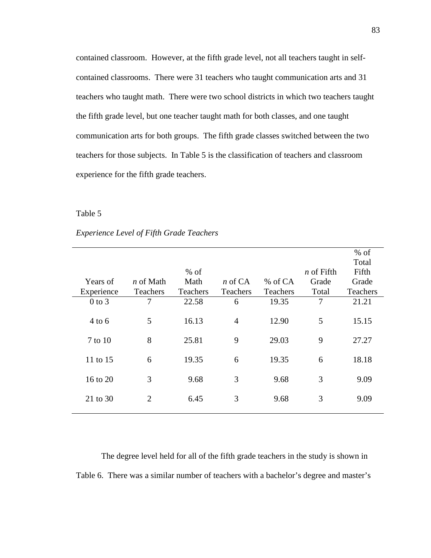contained classroom. However, at the fifth grade level, not all teachers taught in selfcontained classrooms. There were 31 teachers who taught communication arts and 31 teachers who taught math. There were two school districts in which two teachers taught the fifth grade level, but one teacher taught math for both classes, and one taught communication arts for both groups. The fifth grade classes switched between the two teachers for those subjects. In Table 5 is the classification of teachers and classroom experience for the fifth grade teachers.

# Table 5

# *Experience Level of Fifth Grade Teachers*

|            |                  |          |                |                 |                   | $%$ of   |
|------------|------------------|----------|----------------|-----------------|-------------------|----------|
|            |                  |          |                |                 |                   | Total    |
|            |                  | $%$ of   |                |                 | <i>n</i> of Fifth | Fifth    |
| Years of   | <i>n</i> of Math | Math     | $n \in CA$     | $%$ of CA       | Grade             | Grade    |
| Experience | Teachers         | Teachers | Teachers       | <b>Teachers</b> | Total             | Teachers |
| $0$ to $3$ | 7                | 22.58    | 6              | 19.35           | $\overline{7}$    | 21.21    |
|            |                  |          |                |                 |                   |          |
| $4$ to 6   | 5                | 16.13    | $\overline{4}$ | 12.90           | 5                 | 15.15    |
|            |                  |          |                |                 |                   |          |
| 7 to 10    | 8                | 25.81    | 9              | 29.03           | 9                 | 27.27    |
|            |                  |          |                |                 |                   |          |
| 11 to 15   | 6                | 19.35    | 6              | 19.35           | 6                 | 18.18    |
|            |                  |          |                |                 |                   |          |
| 16 to 20   | 3                | 9.68     | 3              | 9.68            | 3                 | 9.09     |
|            |                  |          |                |                 |                   |          |
| 21 to 30   | $\overline{2}$   | 6.45     | 3              | 9.68            | 3                 | 9.09     |
|            |                  |          |                |                 |                   |          |

The degree level held for all of the fifth grade teachers in the study is shown in Table 6. There was a similar number of teachers with a bachelor's degree and master's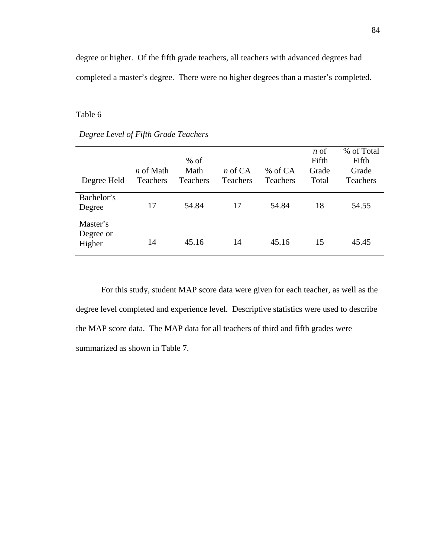degree or higher. Of the fifth grade teachers, all teachers with advanced degrees had completed a master's degree. There were no higher degrees than a master's completed.

### Table 6

| Degree Held                     | <i>n</i> of Math<br>Teachers | $%$ of<br>Math<br>Teachers | $n \in CA$<br><b>Teachers</b> | % of CA<br><b>Teachers</b> | $n \circ f$<br>Fifth<br>Grade<br>Total | % of Total<br>Fifth<br>Grade<br><b>Teachers</b> |
|---------------------------------|------------------------------|----------------------------|-------------------------------|----------------------------|----------------------------------------|-------------------------------------------------|
| Bachelor's<br>Degree            | 17                           | 54.84                      | 17                            | 54.84                      | 18                                     | 54.55                                           |
| Master's<br>Degree or<br>Higher | 14                           | 45.16                      | 14                            | 45.16                      | 15                                     | 45.45                                           |

For this study, student MAP score data were given for each teacher, as well as the degree level completed and experience level. Descriptive statistics were used to describe the MAP score data. The MAP data for all teachers of third and fifth grades were summarized as shown in Table 7.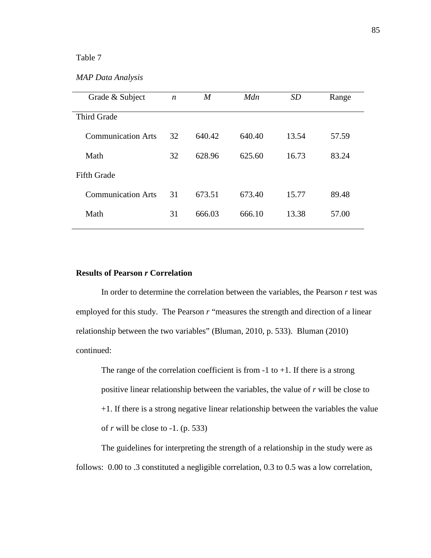# Table 7

| Grade & Subject           | $\boldsymbol{n}$ | $\boldsymbol{M}$ | Mdn    | <i>SD</i> | Range |
|---------------------------|------------------|------------------|--------|-----------|-------|
| <b>Third Grade</b>        |                  |                  |        |           |       |
| <b>Communication Arts</b> | 32               | 640.42           | 640.40 | 13.54     | 57.59 |
| Math                      | 32               | 628.96           | 625.60 | 16.73     | 83.24 |
| <b>Fifth Grade</b>        |                  |                  |        |           |       |
| <b>Communication Arts</b> | 31               | 673.51           | 673.40 | 15.77     | 89.48 |
| Math                      | 31               | 666.03           | 666.10 | 13.38     | 57.00 |
|                           |                  |                  |        |           |       |

# **Results of Pearson** *r* **Correlation**

In order to determine the correlation between the variables, the Pearson *r* test was employed for this study. The Pearson *r* "measures the strength and direction of a linear relationship between the two variables" (Bluman, 2010, p. 533). Bluman (2010) continued:

The range of the correlation coefficient is from  $-1$  to  $+1$ . If there is a strong positive linear relationship between the variables, the value of *r* will be close to +1. If there is a strong negative linear relationship between the variables the value of *r* will be close to -1. (p. 533)

The guidelines for interpreting the strength of a relationship in the study were as follows: 0.00 to .3 constituted a negligible correlation, 0.3 to 0.5 was a low correlation,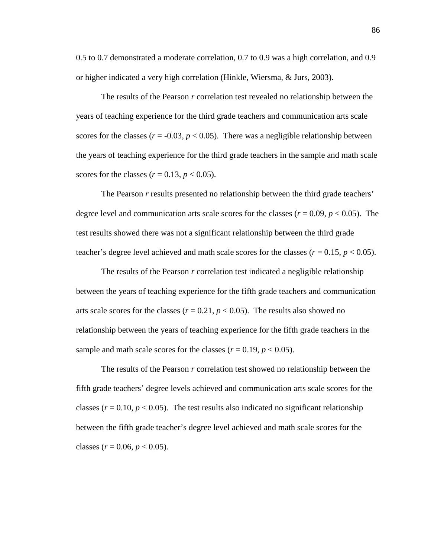0.5 to 0.7 demonstrated a moderate correlation, 0.7 to 0.9 was a high correlation, and 0.9 or higher indicated a very high correlation (Hinkle, Wiersma, & Jurs, 2003).

The results of the Pearson *r* correlation test revealed no relationship between the years of teaching experience for the third grade teachers and communication arts scale scores for the classes  $(r = -0.03, p < 0.05)$ . There was a negligible relationship between the years of teaching experience for the third grade teachers in the sample and math scale scores for the classes  $(r = 0.13, p < 0.05)$ .

The Pearson *r* results presented no relationship between the third grade teachers' degree level and communication arts scale scores for the classes ( $r = 0.09$ ,  $p < 0.05$ ). The test results showed there was not a significant relationship between the third grade teacher's degree level achieved and math scale scores for the classes  $(r = 0.15, p < 0.05)$ .

The results of the Pearson *r* correlation test indicated a negligible relationship between the years of teaching experience for the fifth grade teachers and communication arts scale scores for the classes ( $r = 0.21$ ,  $p < 0.05$ ). The results also showed no relationship between the years of teaching experience for the fifth grade teachers in the sample and math scale scores for the classes  $(r = 0.19, p < 0.05)$ .

The results of the Pearson *r* correlation test showed no relationship between the fifth grade teachers' degree levels achieved and communication arts scale scores for the classes ( $r = 0.10$ ,  $p < 0.05$ ). The test results also indicated no significant relationship between the fifth grade teacher's degree level achieved and math scale scores for the classes ( $r = 0.06$ ,  $p < 0.05$ ).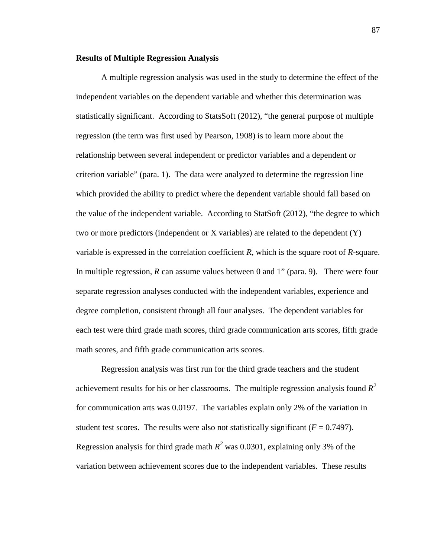#### **Results of Multiple Regression Analysis**

 A multiple regression analysis was used in the study to determine the effect of the independent variables on the dependent variable and whether this determination was statistically significant. According to StatsSoft (2012), "the general purpose of multiple regression (the term was first used by Pearson, 1908) is to learn more about the relationship between several independent or predictor variables and a dependent or criterion variable" (para. 1). The data were analyzed to determine the regression line which provided the ability to predict where the dependent variable should fall based on the value of the independent variable. According to StatSoft (2012), "the degree to which two or more predictors (independent or  $X$  variables) are related to the dependent  $(Y)$ variable is expressed in the correlation coefficient *R*, which is the square root of *R*-square. In multiple regression, *R* can assume values between 0 and 1" (para. 9). There were four separate regression analyses conducted with the independent variables, experience and degree completion, consistent through all four analyses. The dependent variables for each test were third grade math scores, third grade communication arts scores, fifth grade math scores, and fifth grade communication arts scores.

 Regression analysis was first run for the third grade teachers and the student achievement results for his or her classrooms. The multiple regression analysis found *R 2* for communication arts was 0.0197. The variables explain only 2% of the variation in student test scores. The results were also not statistically significant  $(F = 0.7497)$ . Regression analysis for third grade math  $R^2$  was 0.0301, explaining only 3% of the variation between achievement scores due to the independent variables. These results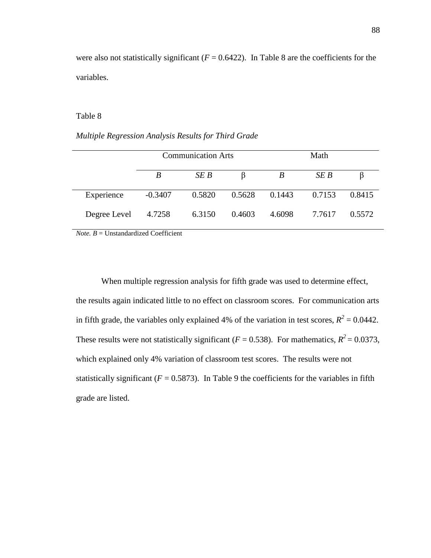were also not statistically significant  $(F = 0.6422)$ . In Table 8 are the coefficients for the variables.

# Table 8

*Multiple Regression Analysis Results for Third Grade* 

|              | <b>Communication Arts</b> |        |        | Math   |        |        |
|--------------|---------------------------|--------|--------|--------|--------|--------|
|              | B                         | SE B   |        | B      | SE B   |        |
| Experience   | $-0.3407$                 | 0.5820 | 0.5628 | 0.1443 | 0.7153 | 0.8415 |
| Degree Level | 4.7258                    | 6.3150 | 0.4603 | 4.6098 | 7.7617 | 0.5572 |

 $Note. B = Unstandardized Coefficient$ 

When multiple regression analysis for fifth grade was used to determine effect, the results again indicated little to no effect on classroom scores. For communication arts in fifth grade, the variables only explained 4% of the variation in test scores,  $R^2 = 0.0442$ . These results were not statistically significant ( $F = 0.538$ ). For mathematics,  $R^2 = 0.0373$ , which explained only 4% variation of classroom test scores. The results were not statistically significant ( $F = 0.5873$ ). In Table 9 the coefficients for the variables in fifth grade are listed.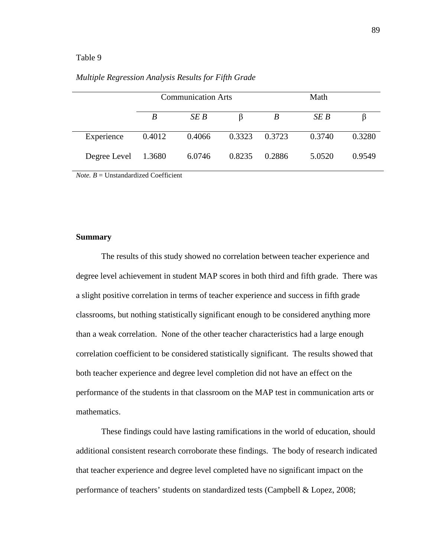# Table 9

|              |        | <b>Communication Arts</b> |        | Math   |        |        |
|--------------|--------|---------------------------|--------|--------|--------|--------|
|              | B      | SEB                       | B      | B      | SE B   |        |
| Experience   | 0.4012 | 0.4066                    | 0.3323 | 0.3723 | 0.3740 | 0.3280 |
| Degree Level | 1.3680 | 6.0746                    | 0.8235 | 0.2886 | 5.0520 | 0.9549 |

# *Multiple Regression Analysis Results for Fifth Grade*

*Note.*  $B =$  Unstandardized Coefficient

#### **Summary**

 The results of this study showed no correlation between teacher experience and degree level achievement in student MAP scores in both third and fifth grade. There was a slight positive correlation in terms of teacher experience and success in fifth grade classrooms, but nothing statistically significant enough to be considered anything more than a weak correlation. None of the other teacher characteristics had a large enough correlation coefficient to be considered statistically significant. The results showed that both teacher experience and degree level completion did not have an effect on the performance of the students in that classroom on the MAP test in communication arts or mathematics.

These findings could have lasting ramifications in the world of education, should additional consistent research corroborate these findings. The body of research indicated that teacher experience and degree level completed have no significant impact on the performance of teachers' students on standardized tests (Campbell & Lopez, 2008;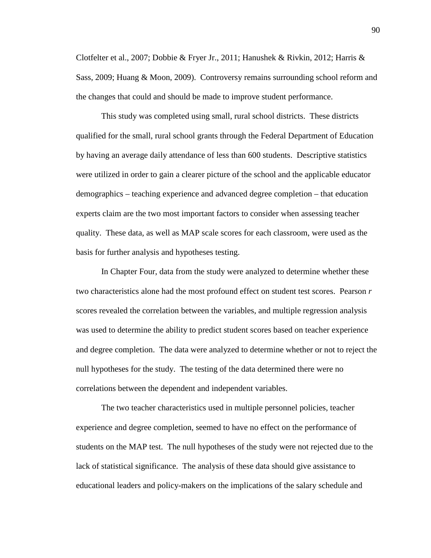Clotfelter et al., 2007; Dobbie & Fryer Jr., 2011; Hanushek & Rivkin, 2012; Harris & Sass, 2009; Huang & Moon, 2009). Controversy remains surrounding school reform and the changes that could and should be made to improve student performance.

This study was completed using small, rural school districts. These districts qualified for the small, rural school grants through the Federal Department of Education by having an average daily attendance of less than 600 students. Descriptive statistics were utilized in order to gain a clearer picture of the school and the applicable educator demographics – teaching experience and advanced degree completion – that education experts claim are the two most important factors to consider when assessing teacher quality. These data, as well as MAP scale scores for each classroom, were used as the basis for further analysis and hypotheses testing.

In Chapter Four, data from the study were analyzed to determine whether these two characteristics alone had the most profound effect on student test scores. Pearson *r* scores revealed the correlation between the variables, and multiple regression analysis was used to determine the ability to predict student scores based on teacher experience and degree completion. The data were analyzed to determine whether or not to reject the null hypotheses for the study. The testing of the data determined there were no correlations between the dependent and independent variables.

The two teacher characteristics used in multiple personnel policies, teacher experience and degree completion, seemed to have no effect on the performance of students on the MAP test. The null hypotheses of the study were not rejected due to the lack of statistical significance. The analysis of these data should give assistance to educational leaders and policy-makers on the implications of the salary schedule and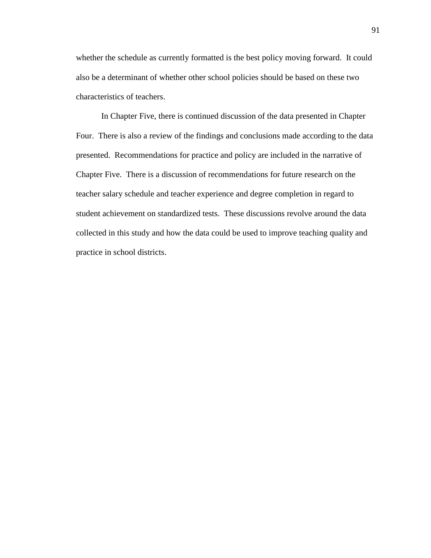whether the schedule as currently formatted is the best policy moving forward. It could also be a determinant of whether other school policies should be based on these two characteristics of teachers.

 In Chapter Five, there is continued discussion of the data presented in Chapter Four. There is also a review of the findings and conclusions made according to the data presented. Recommendations for practice and policy are included in the narrative of Chapter Five. There is a discussion of recommendations for future research on the teacher salary schedule and teacher experience and degree completion in regard to student achievement on standardized tests. These discussions revolve around the data collected in this study and how the data could be used to improve teaching quality and practice in school districts.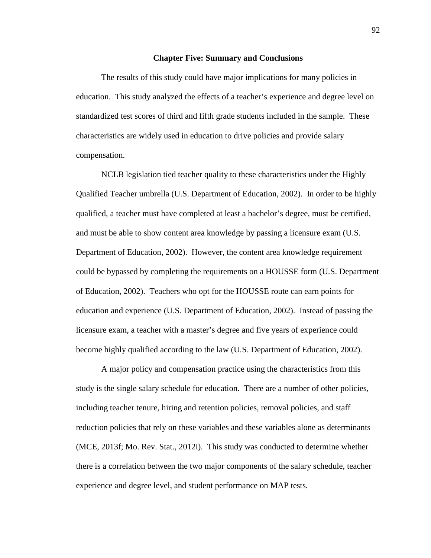### **Chapter Five: Summary and Conclusions**

The results of this study could have major implications for many policies in education. This study analyzed the effects of a teacher's experience and degree level on standardized test scores of third and fifth grade students included in the sample. These characteristics are widely used in education to drive policies and provide salary compensation.

NCLB legislation tied teacher quality to these characteristics under the Highly Qualified Teacher umbrella (U.S. Department of Education, 2002). In order to be highly qualified, a teacher must have completed at least a bachelor's degree, must be certified, and must be able to show content area knowledge by passing a licensure exam (U.S. Department of Education, 2002). However, the content area knowledge requirement could be bypassed by completing the requirements on a HOUSSE form (U.S. Department of Education, 2002). Teachers who opt for the HOUSSE route can earn points for education and experience (U.S. Department of Education, 2002). Instead of passing the licensure exam, a teacher with a master's degree and five years of experience could become highly qualified according to the law (U.S. Department of Education, 2002).

A major policy and compensation practice using the characteristics from this study is the single salary schedule for education. There are a number of other policies, including teacher tenure, hiring and retention policies, removal policies, and staff reduction policies that rely on these variables and these variables alone as determinants (MCE, 2013f; Mo. Rev. Stat., 2012i). This study was conducted to determine whether there is a correlation between the two major components of the salary schedule, teacher experience and degree level, and student performance on MAP tests.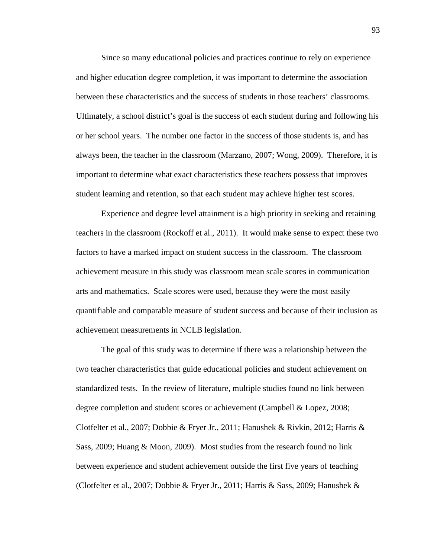Since so many educational policies and practices continue to rely on experience and higher education degree completion, it was important to determine the association between these characteristics and the success of students in those teachers' classrooms. Ultimately, a school district's goal is the success of each student during and following his or her school years. The number one factor in the success of those students is, and has always been, the teacher in the classroom (Marzano, 2007; Wong, 2009). Therefore, it is important to determine what exact characteristics these teachers possess that improves student learning and retention, so that each student may achieve higher test scores.

Experience and degree level attainment is a high priority in seeking and retaining teachers in the classroom (Rockoff et al., 2011). It would make sense to expect these two factors to have a marked impact on student success in the classroom. The classroom achievement measure in this study was classroom mean scale scores in communication arts and mathematics. Scale scores were used, because they were the most easily quantifiable and comparable measure of student success and because of their inclusion as achievement measurements in NCLB legislation.

The goal of this study was to determine if there was a relationship between the two teacher characteristics that guide educational policies and student achievement on standardized tests. In the review of literature, multiple studies found no link between degree completion and student scores or achievement (Campbell & Lopez, 2008; Clotfelter et al., 2007; Dobbie & Fryer Jr., 2011; Hanushek & Rivkin, 2012; Harris & Sass, 2009; Huang & Moon, 2009). Most studies from the research found no link between experience and student achievement outside the first five years of teaching (Clotfelter et al., 2007; Dobbie & Fryer Jr., 2011; Harris & Sass, 2009; Hanushek &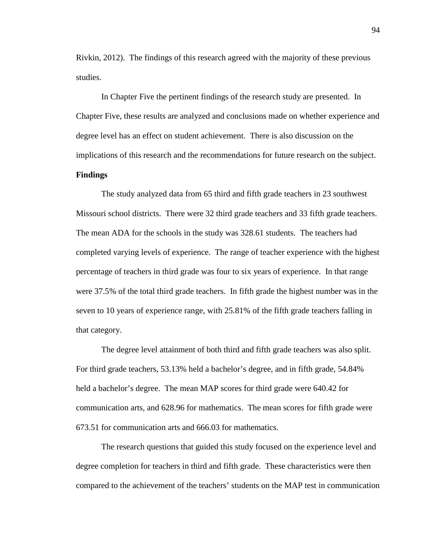Rivkin, 2012). The findings of this research agreed with the majority of these previous studies.

In Chapter Five the pertinent findings of the research study are presented. In Chapter Five, these results are analyzed and conclusions made on whether experience and degree level has an effect on student achievement. There is also discussion on the implications of this research and the recommendations for future research on the subject. **Findings** 

The study analyzed data from 65 third and fifth grade teachers in 23 southwest Missouri school districts. There were 32 third grade teachers and 33 fifth grade teachers. The mean ADA for the schools in the study was 328.61 students. The teachers had completed varying levels of experience. The range of teacher experience with the highest percentage of teachers in third grade was four to six years of experience. In that range were 37.5% of the total third grade teachers. In fifth grade the highest number was in the seven to 10 years of experience range, with 25.81% of the fifth grade teachers falling in that category.

The degree level attainment of both third and fifth grade teachers was also split. For third grade teachers, 53.13% held a bachelor's degree, and in fifth grade, 54.84% held a bachelor's degree. The mean MAP scores for third grade were 640.42 for communication arts, and 628.96 for mathematics. The mean scores for fifth grade were 673.51 for communication arts and 666.03 for mathematics.

 The research questions that guided this study focused on the experience level and degree completion for teachers in third and fifth grade. These characteristics were then compared to the achievement of the teachers' students on the MAP test in communication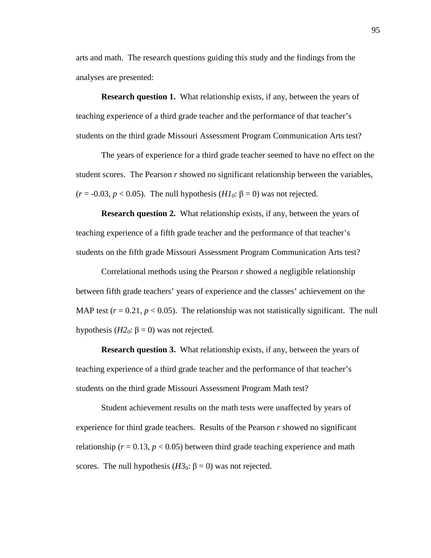arts and math. The research questions guiding this study and the findings from the analyses are presented:

**Research question 1.** What relationship exists, if any, between the years of teaching experience of a third grade teacher and the performance of that teacher's students on the third grade Missouri Assessment Program Communication Arts test?

The years of experience for a third grade teacher seemed to have no effect on the student scores. The Pearson *r* showed no significant relationship between the variables, ( $r = -0.03$ ,  $p < 0.05$ ). The null hypothesis ( $H1<sub>0</sub>$ :  $\beta = 0$ ) was not rejected.

**Research question 2.** What relationship exists, if any, between the years of teaching experience of a fifth grade teacher and the performance of that teacher's students on the fifth grade Missouri Assessment Program Communication Arts test?

Correlational methods using the Pearson *r* showed a negligible relationship between fifth grade teachers' years of experience and the classes' achievement on the MAP test  $(r = 0.21, p < 0.05)$ . The relationship was not statistically significant. The null hypothesis ( $H2<sub>0</sub>$ : β = 0) was not rejected.

**Research question 3.** What relationship exists, if any, between the years of teaching experience of a third grade teacher and the performance of that teacher's students on the third grade Missouri Assessment Program Math test?

Student achievement results on the math tests were unaffected by years of experience for third grade teachers. Results of the Pearson *r* showed no significant relationship ( $r = 0.13$ ,  $p < 0.05$ ) between third grade teaching experience and math scores. The null hypothesis ( $H3_0$ :  $\beta = 0$ ) was not rejected.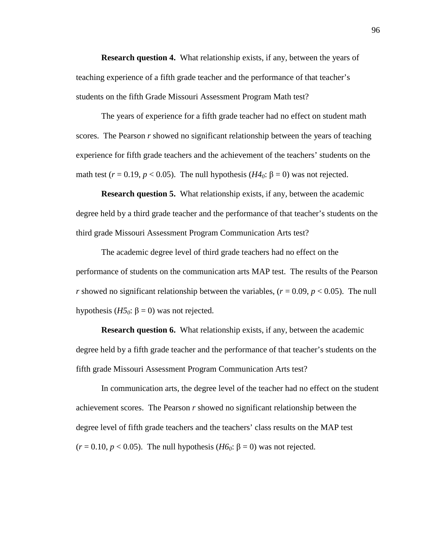**Research question 4.** What relationship exists, if any, between the years of teaching experience of a fifth grade teacher and the performance of that teacher's students on the fifth Grade Missouri Assessment Program Math test?

The years of experience for a fifth grade teacher had no effect on student math scores. The Pearson *r* showed no significant relationship between the years of teaching experience for fifth grade teachers and the achievement of the teachers' students on the math test  $(r = 0.19, p < 0.05)$ . The null hypothesis  $(H4<sub>0</sub>: \beta = 0)$  was not rejected.

**Research question 5.** What relationship exists, if any, between the academic degree held by a third grade teacher and the performance of that teacher's students on the third grade Missouri Assessment Program Communication Arts test?

The academic degree level of third grade teachers had no effect on the performance of students on the communication arts MAP test. The results of the Pearson *r* showed no significant relationship between the variables,  $(r = 0.09, p < 0.05)$ . The null hypothesis ( $H5<sub>0</sub>$ : β = 0) was not rejected.

**Research question 6.** What relationship exists, if any, between the academic degree held by a fifth grade teacher and the performance of that teacher's students on the fifth grade Missouri Assessment Program Communication Arts test?

In communication arts, the degree level of the teacher had no effect on the student achievement scores. The Pearson *r* showed no significant relationship between the degree level of fifth grade teachers and the teachers' class results on the MAP test ( $r = 0.10$ ,  $p < 0.05$ ). The null hypothesis ( $H6_0$ :  $\beta = 0$ ) was not rejected.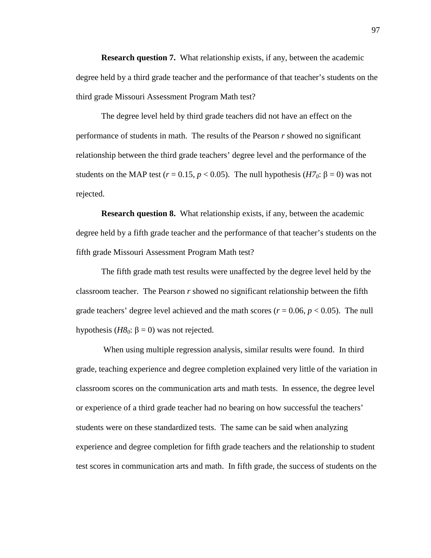**Research question 7.** What relationship exists, if any, between the academic degree held by a third grade teacher and the performance of that teacher's students on the third grade Missouri Assessment Program Math test?

The degree level held by third grade teachers did not have an effect on the performance of students in math. The results of the Pearson *r* showed no significant relationship between the third grade teachers' degree level and the performance of the students on the MAP test ( $r = 0.15$ ,  $p < 0.05$ ). The null hypothesis ( $H7_0$ :  $\beta = 0$ ) was not rejected.

**Research question 8.** What relationship exists, if any, between the academic degree held by a fifth grade teacher and the performance of that teacher's students on the fifth grade Missouri Assessment Program Math test?

The fifth grade math test results were unaffected by the degree level held by the classroom teacher. The Pearson *r* showed no significant relationship between the fifth grade teachers' degree level achieved and the math scores ( $r = 0.06$ ,  $p < 0.05$ ). The null hypothesis ( $H8$ <sup>0</sup>: β = 0) was not rejected.

 When using multiple regression analysis, similar results were found. In third grade, teaching experience and degree completion explained very little of the variation in classroom scores on the communication arts and math tests. In essence, the degree level or experience of a third grade teacher had no bearing on how successful the teachers' students were on these standardized tests. The same can be said when analyzing experience and degree completion for fifth grade teachers and the relationship to student test scores in communication arts and math. In fifth grade, the success of students on the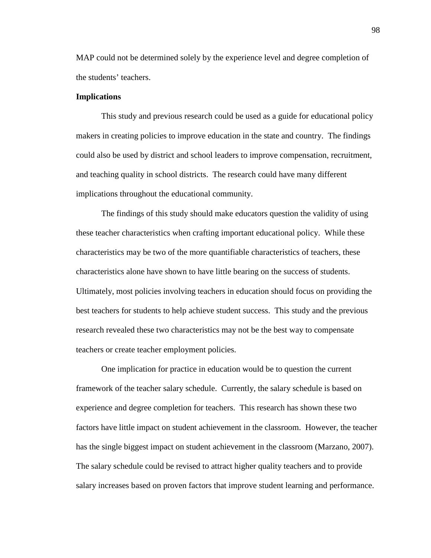MAP could not be determined solely by the experience level and degree completion of the students' teachers.

#### **Implications**

This study and previous research could be used as a guide for educational policy makers in creating policies to improve education in the state and country. The findings could also be used by district and school leaders to improve compensation, recruitment, and teaching quality in school districts. The research could have many different implications throughout the educational community.

The findings of this study should make educators question the validity of using these teacher characteristics when crafting important educational policy. While these characteristics may be two of the more quantifiable characteristics of teachers, these characteristics alone have shown to have little bearing on the success of students. Ultimately, most policies involving teachers in education should focus on providing the best teachers for students to help achieve student success. This study and the previous research revealed these two characteristics may not be the best way to compensate teachers or create teacher employment policies.

One implication for practice in education would be to question the current framework of the teacher salary schedule. Currently, the salary schedule is based on experience and degree completion for teachers. This research has shown these two factors have little impact on student achievement in the classroom. However, the teacher has the single biggest impact on student achievement in the classroom (Marzano, 2007). The salary schedule could be revised to attract higher quality teachers and to provide salary increases based on proven factors that improve student learning and performance.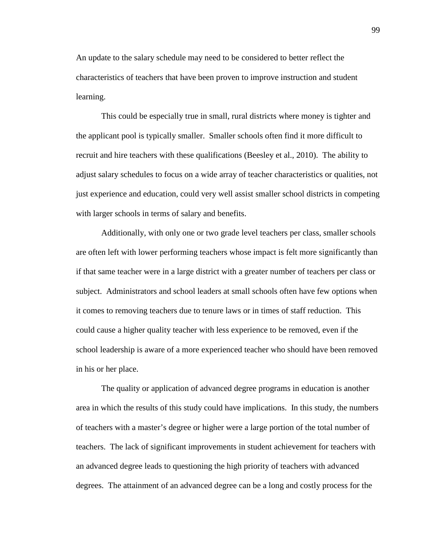An update to the salary schedule may need to be considered to better reflect the characteristics of teachers that have been proven to improve instruction and student learning.

This could be especially true in small, rural districts where money is tighter and the applicant pool is typically smaller. Smaller schools often find it more difficult to recruit and hire teachers with these qualifications (Beesley et al., 2010). The ability to adjust salary schedules to focus on a wide array of teacher characteristics or qualities, not just experience and education, could very well assist smaller school districts in competing with larger schools in terms of salary and benefits.

Additionally, with only one or two grade level teachers per class, smaller schools are often left with lower performing teachers whose impact is felt more significantly than if that same teacher were in a large district with a greater number of teachers per class or subject. Administrators and school leaders at small schools often have few options when it comes to removing teachers due to tenure laws or in times of staff reduction. This could cause a higher quality teacher with less experience to be removed, even if the school leadership is aware of a more experienced teacher who should have been removed in his or her place.

The quality or application of advanced degree programs in education is another area in which the results of this study could have implications. In this study, the numbers of teachers with a master's degree or higher were a large portion of the total number of teachers. The lack of significant improvements in student achievement for teachers with an advanced degree leads to questioning the high priority of teachers with advanced degrees. The attainment of an advanced degree can be a long and costly process for the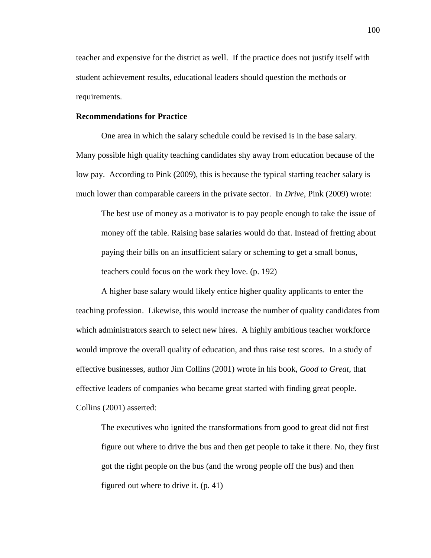teacher and expensive for the district as well. If the practice does not justify itself with student achievement results, educational leaders should question the methods or requirements.

## **Recommendations for Practice**

 One area in which the salary schedule could be revised is in the base salary. Many possible high quality teaching candidates shy away from education because of the low pay. According to Pink (2009), this is because the typical starting teacher salary is much lower than comparable careers in the private sector. In *Drive*, Pink (2009) wrote:

The best use of money as a motivator is to pay people enough to take the issue of money off the table. Raising base salaries would do that. Instead of fretting about paying their bills on an insufficient salary or scheming to get a small bonus, teachers could focus on the work they love. (p. 192)

A higher base salary would likely entice higher quality applicants to enter the teaching profession. Likewise, this would increase the number of quality candidates from which administrators search to select new hires. A highly ambitious teacher workforce would improve the overall quality of education, and thus raise test scores. In a study of effective businesses, author Jim Collins (2001) wrote in his book, *Good to Great*, that effective leaders of companies who became great started with finding great people. Collins (2001) asserted:

The executives who ignited the transformations from good to great did not first figure out where to drive the bus and then get people to take it there. No, they first got the right people on the bus (and the wrong people off the bus) and then figured out where to drive it. (p. 41)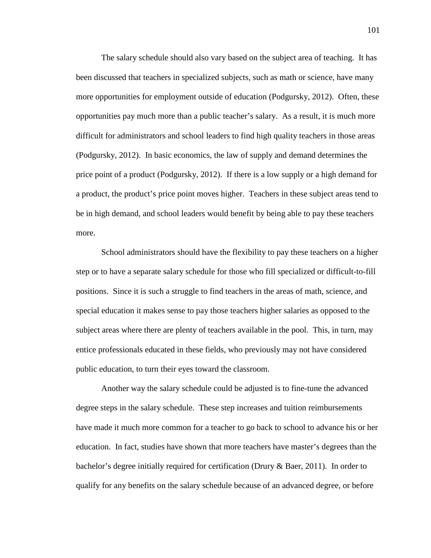The salary schedule should also vary based on the subject area of teaching. It has been discussed that teachers in specialized subjects, such as math or science, have many more opportunities for employment outside of education (Podgursky, 2012). Often, these opportunities pay much more than a public teacher's salary. As a result, it is much more difficult for administrators and school leaders to find high quality teachers in those areas (Podgursky, 2012). In basic economics, the law of supply and demand determines the price point of a product (Podgursky, 2012). If there is a low supply or a high demand for a product, the product's price point moves higher. Teachers in these subject areas tend to be in high demand, and school leaders would benefit by being able to pay these teachers more.

School administrators should have the flexibility to pay these teachers on a higher step or to have a separate salary schedule for those who fill specialized or difficult-to-fill positions. Since it is such a struggle to find teachers in the areas of math, science, and special education it makes sense to pay those teachers higher salaries as opposed to the subject areas where there are plenty of teachers available in the pool. This, in turn, may entice professionals educated in these fields, who previously may not have considered public education, to turn their eyes toward the classroom.

 Another way the salary schedule could be adjusted is to fine-tune the advanced degree steps in the salary schedule. These step increases and tuition reimbursements have made it much more common for a teacher to go back to school to advance his or her education. In fact, studies have shown that more teachers have master's degrees than the bachelor's degree initially required for certification (Drury & Baer, 2011). In order to qualify for any benefits on the salary schedule because of an advanced degree, or before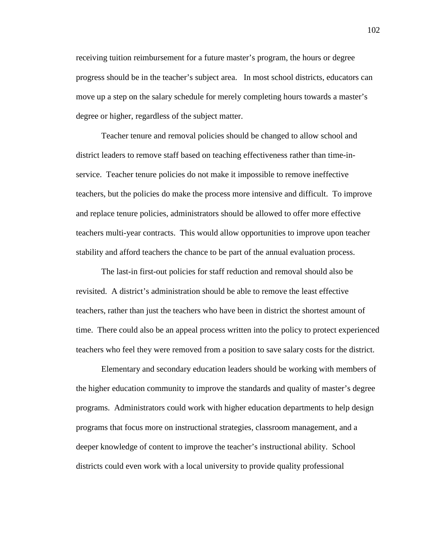receiving tuition reimbursement for a future master's program, the hours or degree progress should be in the teacher's subject area. In most school districts, educators can move up a step on the salary schedule for merely completing hours towards a master's degree or higher, regardless of the subject matter.

 Teacher tenure and removal policies should be changed to allow school and district leaders to remove staff based on teaching effectiveness rather than time-inservice. Teacher tenure policies do not make it impossible to remove ineffective teachers, but the policies do make the process more intensive and difficult. To improve and replace tenure policies, administrators should be allowed to offer more effective teachers multi-year contracts. This would allow opportunities to improve upon teacher stability and afford teachers the chance to be part of the annual evaluation process.

The last-in first-out policies for staff reduction and removal should also be revisited. A district's administration should be able to remove the least effective teachers, rather than just the teachers who have been in district the shortest amount of time. There could also be an appeal process written into the policy to protect experienced teachers who feel they were removed from a position to save salary costs for the district.

Elementary and secondary education leaders should be working with members of the higher education community to improve the standards and quality of master's degree programs. Administrators could work with higher education departments to help design programs that focus more on instructional strategies, classroom management, and a deeper knowledge of content to improve the teacher's instructional ability. School districts could even work with a local university to provide quality professional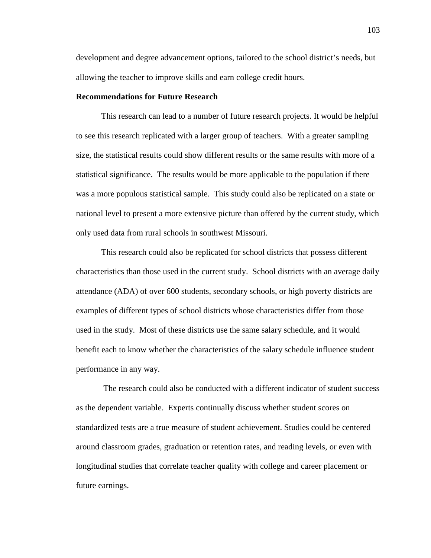development and degree advancement options, tailored to the school district's needs, but allowing the teacher to improve skills and earn college credit hours.

## **Recommendations for Future Research**

This research can lead to a number of future research projects. It would be helpful to see this research replicated with a larger group of teachers. With a greater sampling size, the statistical results could show different results or the same results with more of a statistical significance. The results would be more applicable to the population if there was a more populous statistical sample. This study could also be replicated on a state or national level to present a more extensive picture than offered by the current study, which only used data from rural schools in southwest Missouri.

 This research could also be replicated for school districts that possess different characteristics than those used in the current study. School districts with an average daily attendance (ADA) of over 600 students, secondary schools, or high poverty districts are examples of different types of school districts whose characteristics differ from those used in the study. Most of these districts use the same salary schedule, and it would benefit each to know whether the characteristics of the salary schedule influence student performance in any way.

 The research could also be conducted with a different indicator of student success as the dependent variable. Experts continually discuss whether student scores on standardized tests are a true measure of student achievement. Studies could be centered around classroom grades, graduation or retention rates, and reading levels, or even with longitudinal studies that correlate teacher quality with college and career placement or future earnings.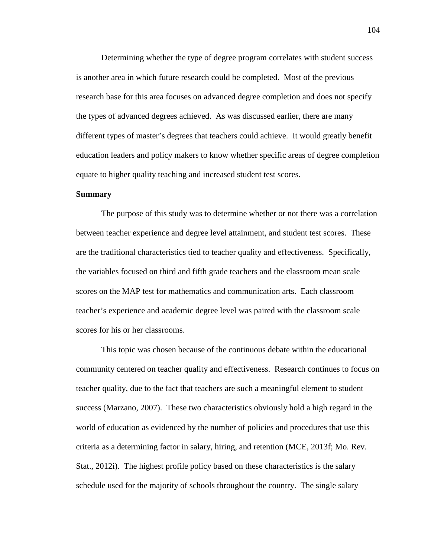Determining whether the type of degree program correlates with student success is another area in which future research could be completed. Most of the previous research base for this area focuses on advanced degree completion and does not specify the types of advanced degrees achieved. As was discussed earlier, there are many different types of master's degrees that teachers could achieve. It would greatly benefit education leaders and policy makers to know whether specific areas of degree completion equate to higher quality teaching and increased student test scores.

### **Summary**

The purpose of this study was to determine whether or not there was a correlation between teacher experience and degree level attainment, and student test scores. These are the traditional characteristics tied to teacher quality and effectiveness. Specifically, the variables focused on third and fifth grade teachers and the classroom mean scale scores on the MAP test for mathematics and communication arts. Each classroom teacher's experience and academic degree level was paired with the classroom scale scores for his or her classrooms.

 This topic was chosen because of the continuous debate within the educational community centered on teacher quality and effectiveness. Research continues to focus on teacher quality, due to the fact that teachers are such a meaningful element to student success (Marzano, 2007). These two characteristics obviously hold a high regard in the world of education as evidenced by the number of policies and procedures that use this criteria as a determining factor in salary, hiring, and retention (MCE, 2013f; Mo. Rev. Stat., 2012i). The highest profile policy based on these characteristics is the salary schedule used for the majority of schools throughout the country. The single salary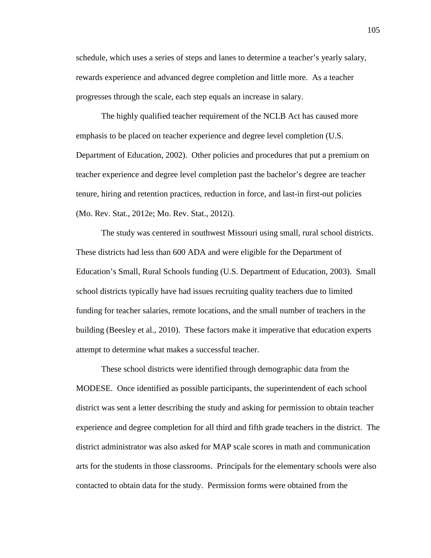schedule, which uses a series of steps and lanes to determine a teacher's yearly salary, rewards experience and advanced degree completion and little more. As a teacher progresses through the scale, each step equals an increase in salary.

 The highly qualified teacher requirement of the NCLB Act has caused more emphasis to be placed on teacher experience and degree level completion (U.S. Department of Education, 2002). Other policies and procedures that put a premium on teacher experience and degree level completion past the bachelor's degree are teacher tenure, hiring and retention practices, reduction in force, and last-in first-out policies (Mo. Rev. Stat., 2012e; Mo. Rev. Stat., 2012i).

 The study was centered in southwest Missouri using small, rural school districts. These districts had less than 600 ADA and were eligible for the Department of Education's Small, Rural Schools funding (U.S. Department of Education, 2003). Small school districts typically have had issues recruiting quality teachers due to limited funding for teacher salaries, remote locations, and the small number of teachers in the building (Beesley et al., 2010). These factors make it imperative that education experts attempt to determine what makes a successful teacher.

 These school districts were identified through demographic data from the MODESE. Once identified as possible participants, the superintendent of each school district was sent a letter describing the study and asking for permission to obtain teacher experience and degree completion for all third and fifth grade teachers in the district. The district administrator was also asked for MAP scale scores in math and communication arts for the students in those classrooms. Principals for the elementary schools were also contacted to obtain data for the study. Permission forms were obtained from the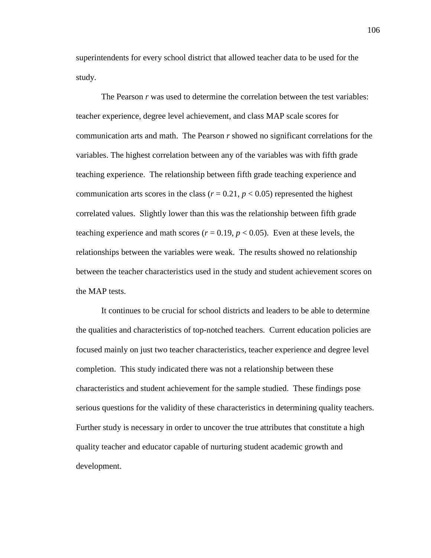superintendents for every school district that allowed teacher data to be used for the study.

The Pearson *r* was used to determine the correlation between the test variables: teacher experience, degree level achievement, and class MAP scale scores for communication arts and math. The Pearson *r* showed no significant correlations for the variables. The highest correlation between any of the variables was with fifth grade teaching experience. The relationship between fifth grade teaching experience and communication arts scores in the class ( $r = 0.21$ ,  $p < 0.05$ ) represented the highest correlated values. Slightly lower than this was the relationship between fifth grade teaching experience and math scores ( $r = 0.19$ ,  $p < 0.05$ ). Even at these levels, the relationships between the variables were weak. The results showed no relationship between the teacher characteristics used in the study and student achievement scores on the MAP tests.

It continues to be crucial for school districts and leaders to be able to determine the qualities and characteristics of top-notched teachers. Current education policies are focused mainly on just two teacher characteristics, teacher experience and degree level completion. This study indicated there was not a relationship between these characteristics and student achievement for the sample studied. These findings pose serious questions for the validity of these characteristics in determining quality teachers. Further study is necessary in order to uncover the true attributes that constitute a high quality teacher and educator capable of nurturing student academic growth and development.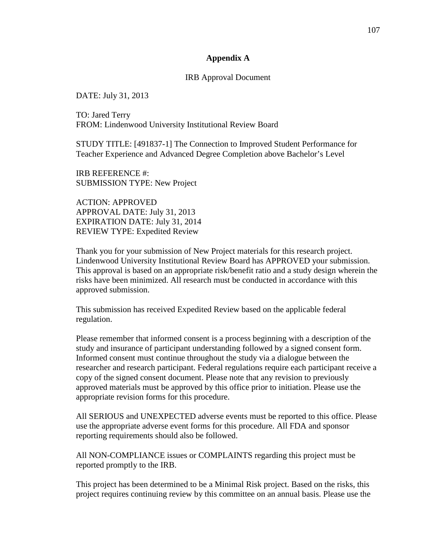## **Appendix A**

## IRB Approval Document

DATE: July 31, 2013

TO: Jared Terry FROM: Lindenwood University Institutional Review Board

STUDY TITLE: [491837-1] The Connection to Improved Student Performance for Teacher Experience and Advanced Degree Completion above Bachelor's Level

IRB REFERENCE #: SUBMISSION TYPE: New Project

ACTION: APPROVED APPROVAL DATE: July 31, 2013 EXPIRATION DATE: July 31, 2014 REVIEW TYPE: Expedited Review

Thank you for your submission of New Project materials for this research project. Lindenwood University Institutional Review Board has APPROVED your submission. This approval is based on an appropriate risk/benefit ratio and a study design wherein the risks have been minimized. All research must be conducted in accordance with this approved submission.

This submission has received Expedited Review based on the applicable federal regulation.

Please remember that informed consent is a process beginning with a description of the study and insurance of participant understanding followed by a signed consent form. Informed consent must continue throughout the study via a dialogue between the researcher and research participant. Federal regulations require each participant receive a copy of the signed consent document. Please note that any revision to previously approved materials must be approved by this office prior to initiation. Please use the appropriate revision forms for this procedure.

All SERIOUS and UNEXPECTED adverse events must be reported to this office. Please use the appropriate adverse event forms for this procedure. All FDA and sponsor reporting requirements should also be followed.

All NON-COMPLIANCE issues or COMPLAINTS regarding this project must be reported promptly to the IRB.

This project has been determined to be a Minimal Risk project. Based on the risks, this project requires continuing review by this committee on an annual basis. Please use the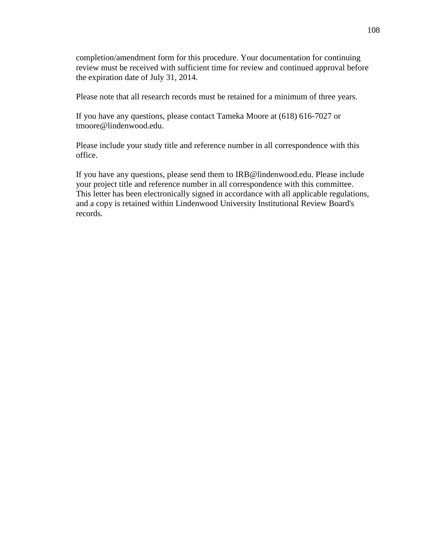completion/amendment form for this procedure. Your documentation for continuing review must be received with sufficient time for review and continued approval before the expiration date of July 31, 2014.

Please note that all research records must be retained for a minimum of three years.

If you have any questions, please contact Tameka Moore at (618) 616-7027 or tmoore@lindenwood.edu.

Please include your study title and reference number in all correspondence with this office.

If you have any questions, please send them to IRB@lindenwood.edu. Please include your project title and reference number in all correspondence with this committee. This letter has been electronically signed in accordance with all applicable regulations, and a copy is retained within Lindenwood University Institutional Review Board's records.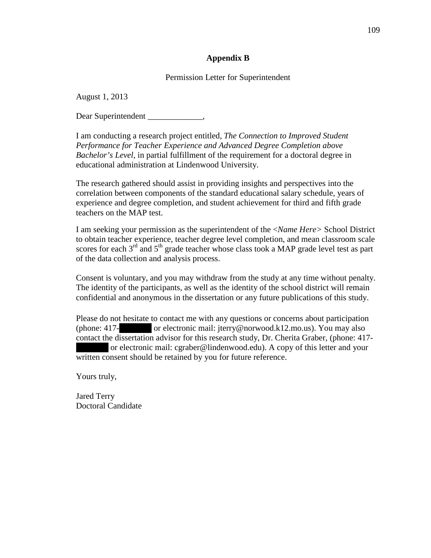# **Appendix B**

# Permission Letter for Superintendent

August 1, 2013

Dear Superintendent \_\_\_\_\_\_\_\_\_\_\_\_

I am conducting a research project entitled*, The Connection to Improved Student Performance for Teacher Experience and Advanced Degree Completion above Bachelor's Level,* in partial fulfillment of the requirement for a doctoral degree in educational administration at Lindenwood University.

The research gathered should assist in providing insights and perspectives into the correlation between components of the standard educational salary schedule, years of experience and degree completion, and student achievement for third and fifth grade teachers on the MAP test.

I am seeking your permission as the superintendent of the <*Name Here>* School District to obtain teacher experience, teacher degree level completion, and mean classroom scale scores for each  $3<sup>rd</sup>$  and  $5<sup>th</sup>$  grade teacher whose class took a MAP grade level test as part of the data collection and analysis process.

Consent is voluntary, and you may withdraw from the study at any time without penalty. The identity of the participants, as well as the identity of the school district will remain confidential and anonymous in the dissertation or any future publications of this study.

Please do not hesitate to contact me with any questions or concerns about participation (phone: 417-<br>or electronic mail: jterry@norwood.k12.mo.us). You may also contact the dissertation advisor for this research study, Dr. Cherita Graber, (phone: 417 or electronic mail: cgraber@lindenwood.edu). A copy of this letter and your written consent should be retained by you for future reference.

Yours truly,

Jared Terry Doctoral Candidate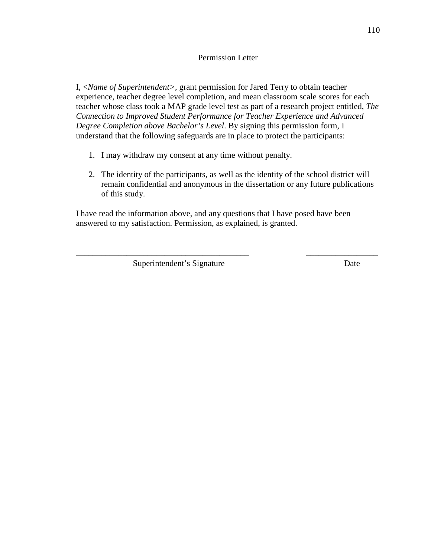# Permission Letter

I, <*Name of Superintendent>,* grant permission for Jared Terry to obtain teacher experience, teacher degree level completion, and mean classroom scale scores for each teacher whose class took a MAP grade level test as part of a research project entitled, *The Connection to Improved Student Performance for Teacher Experience and Advanced Degree Completion above Bachelor's Level*. By signing this permission form, I understand that the following safeguards are in place to protect the participants:

- 1. I may withdraw my consent at any time without penalty.
- 2. The identity of the participants, as well as the identity of the school district will remain confidential and anonymous in the dissertation or any future publications of this study.

\_\_\_\_\_\_\_\_\_\_\_\_\_\_\_\_\_\_\_\_\_\_\_\_\_\_\_\_\_\_\_\_\_\_\_\_\_\_\_\_\_ \_\_\_\_\_\_\_\_\_\_\_\_\_\_\_\_\_

I have read the information above, and any questions that I have posed have been answered to my satisfaction. Permission, as explained, is granted.

Superintendent's Signature Date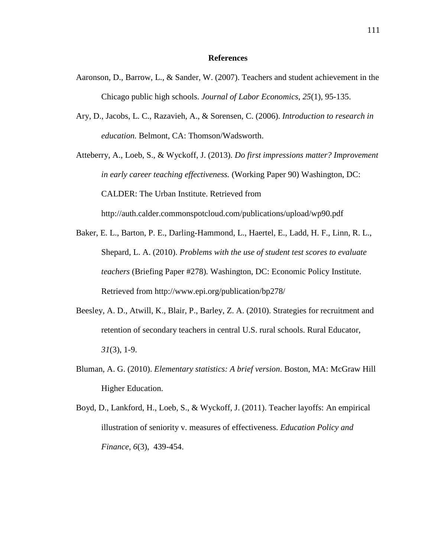#### **References**

- Aaronson, D., Barrow, L., & Sander, W. (2007). Teachers and student achievement in the Chicago public high schools. *Journal of Labor Economics*, *25*(1), 95-135.
- Ary, D., Jacobs, L. C., Razavieh, A., & Sorensen, C. (2006). *Introduction to research in education.* Belmont, CA: Thomson/Wadsworth.

Atteberry, A., Loeb, S., & Wyckoff, J. (2013). *Do first impressions matter? Improvement in early career teaching effectiveness.* (Working Paper 90) Washington, DC: CALDER: The Urban Institute. Retrieved from http://auth.calder.commonspotcloud.com/publications/upload/wp90.pdf

- Baker, E. L., Barton, P. E., Darling-Hammond, L., Haertel, E., Ladd, H. F., Linn, R. L., Shepard, L. A. (2010). *Problems with the use of student test scores to evaluate teachers* (Briefing Paper #278)*.* Washington, DC: Economic Policy Institute. Retrieved from http://www.epi.org/publication/bp278/
- Beesley, A. D., Atwill, K., Blair, P., Barley, Z. A. (2010). Strategies for recruitment and retention of secondary teachers in central U.S. rural schools. Rural Educator, *31*(3), 1-9.
- Bluman, A. G. (2010). *Elementary statistics: A brief version*. Boston, MA: McGraw Hill Higher Education.

Boyd, D., Lankford, H., Loeb, S., & Wyckoff, J. (2011). Teacher layoffs: An empirical illustration of seniority v. measures of effectiveness. *Education Policy and Finance*, *6*(3), 439-454.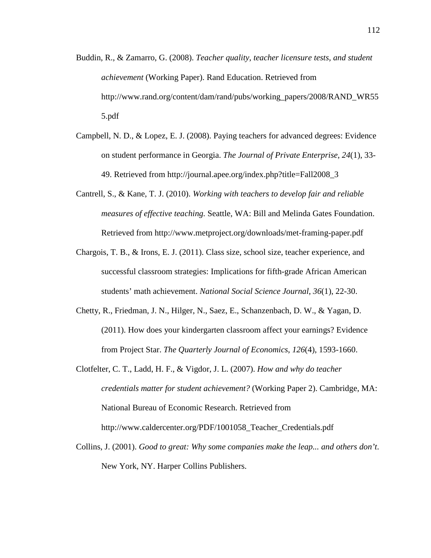- Buddin, R., & Zamarro, G. (2008). *Teacher quality, teacher licensure tests, and student achievement* (Working Paper). Rand Education. Retrieved from http://www.rand.org/content/dam/rand/pubs/working\_papers/2008/RAND\_WR55 5.pdf
- Campbell, N. D., & Lopez, E. J. (2008). Paying teachers for advanced degrees: Evidence on student performance in Georgia. *The Journal of Private Enterprise*, *24*(1), 33- 49. Retrieved from http://journal.apee.org/index.php?title=Fall2008\_3
- Cantrell, S., & Kane, T. J. (2010). *Working with teachers to develop fair and reliable measures of effective teaching.* Seattle, WA: Bill and Melinda Gates Foundation. Retrieved from http://www.metproject.org/downloads/met-framing-paper.pdf
- Chargois, T. B., & Irons, E. J. (2011). Class size, school size, teacher experience, and successful classroom strategies: Implications for fifth-grade African American students' math achievement. *National Social Science Journal*, *36*(1), 22-30.
- Chetty, R., Friedman, J. N., Hilger, N., Saez, E., Schanzenbach, D. W., & Yagan, D. (2011). How does your kindergarten classroom affect your earnings? Evidence from Project Star. *The Quarterly Journal of Economics*, *126*(4), 1593-1660.
- Clotfelter, C. T., Ladd, H. F., & Vigdor, J. L. (2007). *How and why do teacher credentials matter for student achievement?* (Working Paper 2). Cambridge, MA: National Bureau of Economic Research. Retrieved from http://www.caldercenter.org/PDF/1001058\_Teacher\_Credentials.pdf
- Collins, J. (2001). *Good to great: Why some companies make the leap... and others don't*. New York, NY. Harper Collins Publishers.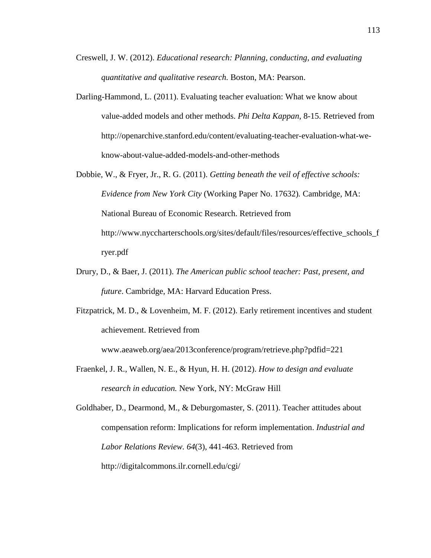- Creswell, J. W. (2012). *Educational research: Planning, conducting, and evaluating quantitative and qualitative research.* Boston, MA: Pearson.
- Darling-Hammond, L. (2011). Evaluating teacher evaluation: What we know about value-added models and other methods. *Phi Delta Kappan*, 8-15. Retrieved from http://openarchive.stanford.edu/content/evaluating-teacher-evaluation-what-weknow-about-value-added-models-and-other-methods
- Dobbie, W., & Fryer, Jr., R. G. (2011). *Getting beneath the veil of effective schools: Evidence from New York City* (Working Paper No. 17632)*.* Cambridge, MA: National Bureau of Economic Research. Retrieved from http://www.nyccharterschools.org/sites/default/files/resources/effective\_schools\_f ryer.pdf
- Drury, D., & Baer, J. (2011). *The American public school teacher: Past, present, and future*. Cambridge, MA: Harvard Education Press.

Fitzpatrick, M. D., & Lovenheim, M. F. (2012). Early retirement incentives and student achievement. Retrieved from

www.aeaweb.org/aea/2013conference/program/retrieve.php?pdfid=221

Fraenkel, J. R., Wallen, N. E., & Hyun, H. H. (2012). *How to design and evaluate research in education.* New York, NY: McGraw Hill

Goldhaber, D., Dearmond, M., & Deburgomaster, S. (2011). Teacher attitudes about compensation reform: Implications for reform implementation. *Industrial and Labor Relations Review. 64*(3), 441-463. Retrieved from http://digitalcommons.ilr.cornell.edu/cgi/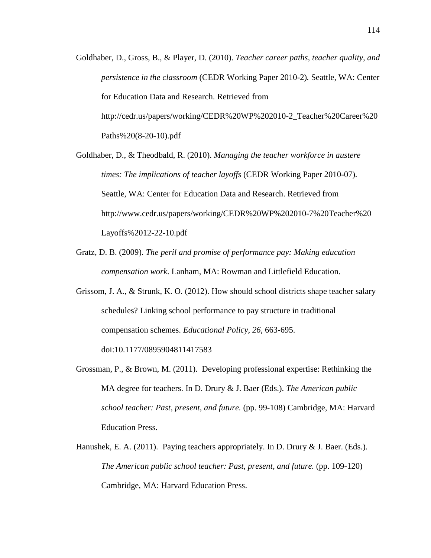- Goldhaber, D., Gross, B., & Player, D. (2010). *Teacher career paths, teacher quality, and persistence in the classroom* (CEDR Working Paper 2010-2)*.* Seattle, WA: Center for Education Data and Research. Retrieved from http://cedr.us/papers/working/CEDR%20WP%202010-2\_Teacher%20Career%20 Paths%20(8-20-10).pdf
- Goldhaber, D., & Theodbald, R. (2010). *Managing the teacher workforce in austere times: The implications of teacher layoffs* (CEDR Working Paper 2010-07)*.* Seattle, WA: Center for Education Data and Research. Retrieved from http://www.cedr.us/papers/working/CEDR%20WP%202010-7%20Teacher%20 Layoffs%2012-22-10.pdf
- Gratz, D. B. (2009). *The peril and promise of performance pay: Making education compensation work*. Lanham, MA: Rowman and Littlefield Education.
- Grissom, J. A., & Strunk, K. O. (2012). How should school districts shape teacher salary schedules? Linking school performance to pay structure in traditional compensation schemes. *Educational Policy*, *26*, 663-695. doi:10.1177/0895904811417583
- Grossman, P., & Brown, M. (2011). Developing professional expertise: Rethinking the MA degree for teachers. In D. Drury & J. Baer (Eds.). *The American public school teacher: Past, present, and future.* (pp. 99-108) Cambridge, MA: Harvard Education Press.
- Hanushek, E. A. (2011). Paying teachers appropriately. In D. Drury & J. Baer. (Eds.). *The American public school teacher: Past, present, and future.* (pp. 109-120) Cambridge, MA: Harvard Education Press.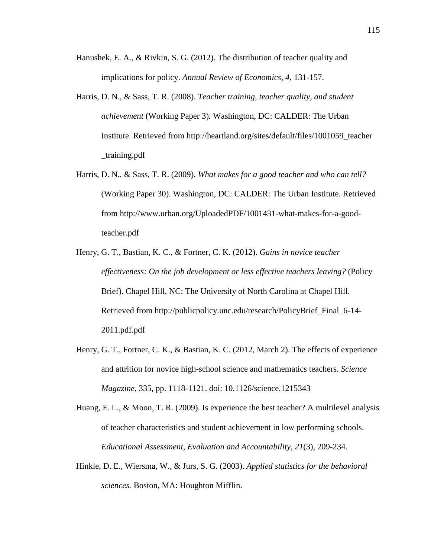- Hanushek, E. A., & Rivkin, S. G. (2012). The distribution of teacher quality and implications for policy. *Annual Review of Economics*, *4*, 131-157.
- Harris, D. N., & Sass, T. R. (2008). *Teacher training, teacher quality, and student achievement* (Working Paper 3)*.* Washington, DC: CALDER: The Urban Institute. Retrieved from http://heartland.org/sites/default/files/1001059\_teacher \_training.pdf
- Harris, D. N., & Sass, T. R. (2009). *What makes for a good teacher and who can tell?*  (Working Paper 30). Washington, DC: CALDER: The Urban Institute. Retrieved from http://www.urban.org/UploadedPDF/1001431-what-makes-for-a-goodteacher.pdf
- Henry, G. T., Bastian, K. C., & Fortner, C. K. (2012). *Gains in novice teacher effectiveness: On the job development or less effective teachers leaving?* (Policy Brief). Chapel Hill, NC: The University of North Carolina at Chapel Hill. Retrieved from http://publicpolicy.unc.edu/research/PolicyBrief\_Final\_6-14- 2011.pdf.pdf
- Henry, G. T., Fortner, C. K., & Bastian, K. C. (2012, March 2). The effects of experience and attrition for novice high-school science and mathematics teachers. *Science Magazine*, 335, pp. 1118-1121. doi: 10.1126/science.1215343
- Huang, F. L., & Moon, T. R. (2009). Is experience the best teacher? A multilevel analysis of teacher characteristics and student achievement in low performing schools. *Educational Assessment, Evaluation and Accountability*, *21*(3), 209-234.
- Hinkle, D. E., Wiersma, W., & Jurs, S. G. (2003). *Applied statistics for the behavioral sciences.* Boston, MA: Houghton Mifflin.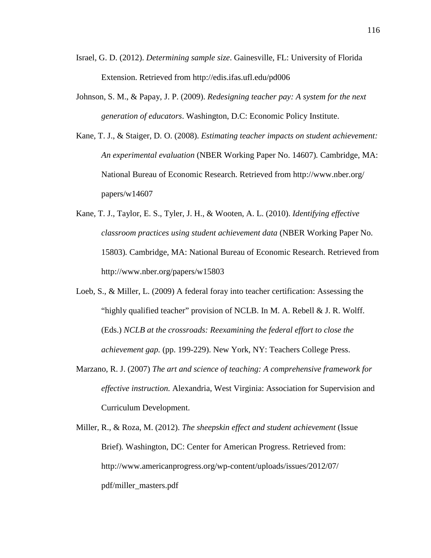- Israel, G. D. (2012). *Determining sample size*. Gainesville, FL: University of Florida Extension. Retrieved from http://edis.ifas.ufl.edu/pd006
- Johnson, S. M., & Papay, J. P. (2009). *Redesigning teacher pay: A system for the next generation of educators*. Washington, D.C: Economic Policy Institute.
- Kane, T. J., & Staiger, D. O. (2008). *Estimating teacher impacts on student achievement: An experimental evaluation* (NBER Working Paper No. 14607)*.* Cambridge, MA: National Bureau of Economic Research. Retrieved from http://www.nber.org/ papers/w14607
- Kane, T. J., Taylor, E. S., Tyler, J. H., & Wooten, A. L. (2010). *Identifying effective classroom practices using student achievement data* (NBER Working Paper No. 15803)*.* Cambridge, MA: National Bureau of Economic Research. Retrieved from http://www.nber.org/papers/w15803
- Loeb, S., & Miller, L. (2009) A federal foray into teacher certification: Assessing the "highly qualified teacher" provision of NCLB. In M. A. Rebell & J. R. Wolff. (Eds.) *NCLB at the crossroads: Reexamining the federal effort to close the achievement gap.* (pp. 199-229). New York, NY: Teachers College Press.
- Marzano, R. J. (2007) *The art and science of teaching: A comprehensive framework for effective instruction.* Alexandria, West Virginia: Association for Supervision and Curriculum Development.
- Miller, R., & Roza, M. (2012). *The sheepskin effect and student achievement* (Issue Brief)*.* Washington, DC: Center for American Progress. Retrieved from: http://www.americanprogress.org/wp-content/uploads/issues/2012/07/ pdf/miller\_masters.pdf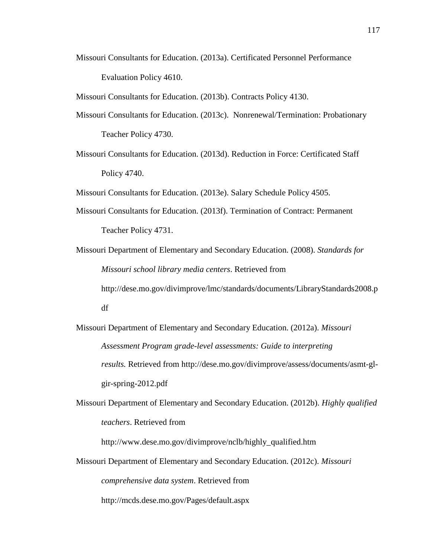Missouri Consultants for Education. (2013a). Certificated Personnel Performance Evaluation Policy 4610.

Missouri Consultants for Education. (2013b). Contracts Policy 4130.

- Missouri Consultants for Education. (2013c). Nonrenewal/Termination: Probationary Teacher Policy 4730.
- Missouri Consultants for Education. (2013d). Reduction in Force: Certificated Staff Policy 4740.

Missouri Consultants for Education. (2013e). Salary Schedule Policy 4505.

- Missouri Consultants for Education. (2013f). Termination of Contract: Permanent Teacher Policy 4731.
- Missouri Department of Elementary and Secondary Education. (2008). *Standards for Missouri school library media centers*. Retrieved from http://dese.mo.gov/divimprove/lmc/standards/documents/LibraryStandards2008.p df
- Missouri Department of Elementary and Secondary Education. (2012a). *Missouri Assessment Program grade-level assessments: Guide to interpreting results.* Retrieved from http://dese.mo.gov/divimprove/assess/documents/asmt-glgir-spring-2012.pdf
- Missouri Department of Elementary and Secondary Education. (2012b). *Highly qualified teachers*. Retrieved from

http://www.dese.mo.gov/divimprove/nclb/highly\_qualified.htm

Missouri Department of Elementary and Secondary Education. (2012c). *Missouri comprehensive data system*. Retrieved from http://mcds.dese.mo.gov/Pages/default.aspx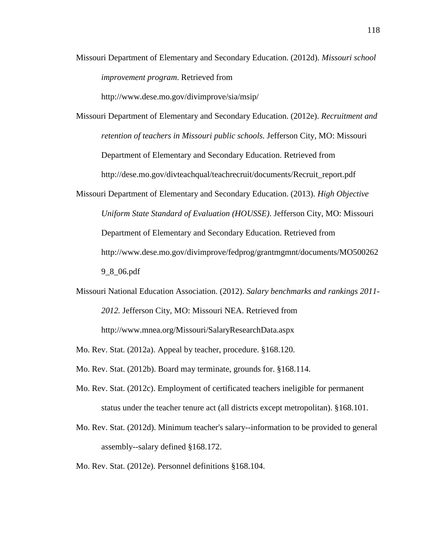Missouri Department of Elementary and Secondary Education. (2012d). *Missouri school improvement program*. Retrieved from

http://www.dese.mo.gov/divimprove/sia/msip/

- Missouri Department of Elementary and Secondary Education. (2012e). *Recruitment and retention of teachers in Missouri public schools.* Jefferson City, MO: Missouri Department of Elementary and Secondary Education. Retrieved from http://dese.mo.gov/divteachqual/teachrecruit/documents/Recruit\_report.pdf
- Missouri Department of Elementary and Secondary Education. (2013). *High Objective Uniform State Standard of Evaluation (HOUSSE)*. Jefferson City, MO: Missouri Department of Elementary and Secondary Education. Retrieved from http://www.dese.mo.gov/divimprove/fedprog/grantmgmnt/documents/MO500262 9\_8\_06.pdf
- Missouri National Education Association. (2012). *Salary benchmarks and rankings 2011- 2012.* Jefferson City, MO: Missouri NEA. Retrieved from http://www.mnea.org/Missouri/SalaryResearchData.aspx
- Mo. Rev. Stat. (2012a). Appeal by teacher, procedure. §168.120.
- Mo. Rev. Stat. (2012b). Board may terminate, grounds for. §168.114.
- Mo. Rev. Stat. (2012c). Employment of certificated teachers ineligible for permanent status under the teacher tenure act (all districts except metropolitan). §168.101.
- Mo. Rev. Stat. (2012d). Minimum teacher's salary--information to be provided to general assembly--salary defined §168.172.
- Mo. Rev. Stat. (2012e). Personnel definitions §168.104.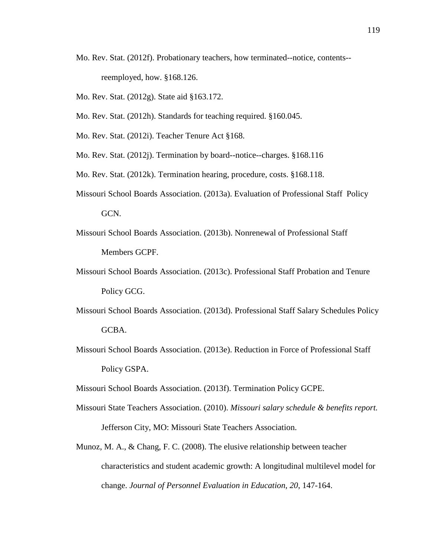- Mo. Rev. Stat. (2012f). Probationary teachers, how terminated--notice, contents- reemployed, how. §168.126.
- Mo. Rev. Stat. (2012g). State aid §163.172.
- Mo. Rev. Stat. (2012h). Standards for teaching required. §160.045.
- Mo. Rev. Stat. (2012i). Teacher Tenure Act §168.
- Mo. Rev. Stat. (2012j). Termination by board--notice--charges. §168.116
- Mo. Rev. Stat. (2012k). Termination hearing, procedure, costs. §168.118.
- Missouri School Boards Association. (2013a). Evaluation of Professional Staff Policy GCN.
- Missouri School Boards Association. (2013b). Nonrenewal of Professional Staff Members GCPF.
- Missouri School Boards Association. (2013c). Professional Staff Probation and Tenure Policy GCG.
- Missouri School Boards Association. (2013d). Professional Staff Salary Schedules Policy GCBA.
- Missouri School Boards Association. (2013e). Reduction in Force of Professional Staff Policy GSPA.
- Missouri School Boards Association. (2013f). Termination Policy GCPE.
- Missouri State Teachers Association. (2010). *Missouri salary schedule & benefits report.* Jefferson City, MO: Missouri State Teachers Association.
- Munoz, M. A., & Chang, F. C. (2008). The elusive relationship between teacher characteristics and student academic growth: A longitudinal multilevel model for change. *Journal of Personnel Evaluation in Education*, *20*, 147-164.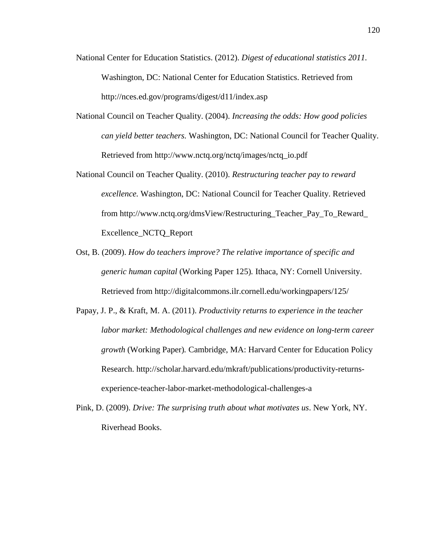- National Center for Education Statistics. (2012). *Digest of educational statistics 2011.* Washington, DC: National Center for Education Statistics. Retrieved from http://nces.ed.gov/programs/digest/d11/index.asp
- National Council on Teacher Quality. (2004). *Increasing the odds: How good policies can yield better teachers.* Washington, DC: National Council for Teacher Quality. Retrieved from http://www.nctq.org/nctq/images/nctq\_io.pdf
- National Council on Teacher Quality. (2010). *Restructuring teacher pay to reward excellence.* Washington, DC: National Council for Teacher Quality. Retrieved from http://www.nctq.org/dmsView/Restructuring\_Teacher\_Pay\_To\_Reward\_ Excellence\_NCTQ\_Report
- Ost, B. (2009). *How do teachers improve? The relative importance of specific and generic human capital* (Working Paper 125)*.* Ithaca, NY: Cornell University. Retrieved from http://digitalcommons.ilr.cornell.edu/workingpapers/125/
- Papay, J. P., & Kraft, M. A. (2011). *Productivity returns to experience in the teacher labor market: Methodological challenges and new evidence on long-term career growth* (Working Paper)*.* Cambridge, MA: Harvard Center for Education Policy Research. http://scholar.harvard.edu/mkraft/publications/productivity-returnsexperience-teacher-labor-market-methodological-challenges-a
- Pink, D. (2009). *Drive: The surprising truth about what motivates us*. New York, NY. Riverhead Books.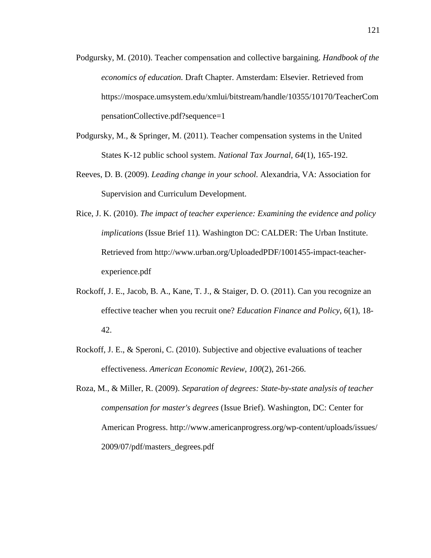- Podgursky, M. (2010). Teacher compensation and collective bargaining. *Handbook of the economics of education.* Draft Chapter. Amsterdam: Elsevier. Retrieved from https://mospace.umsystem.edu/xmlui/bitstream/handle/10355/10170/TeacherCom pensationCollective.pdf?sequence=1
- Podgursky, M., & Springer, M. (2011). Teacher compensation systems in the United States K-12 public school system. *National Tax Journal*, *64*(1), 165-192.
- Reeves, D. B. (2009). *Leading change in your school.* Alexandria, VA: Association for Supervision and Curriculum Development.
- Rice, J. K. (2010). *The impact of teacher experience: Examining the evidence and policy implications* (Issue Brief 11)*.* Washington DC: CALDER: The Urban Institute. Retrieved from http://www.urban.org/UploadedPDF/1001455-impact-teacherexperience.pdf
- Rockoff, J. E., Jacob, B. A., Kane, T. J., & Staiger, D. O. (2011). Can you recognize an effective teacher when you recruit one? *Education Finance and Policy*, *6*(1), 18- 42.
- Rockoff, J. E., & Speroni, C. (2010). Subjective and objective evaluations of teacher effectiveness. *American Economic Review*, *100*(2), 261-266.
- Roza, M., & Miller, R. (2009). *Separation of degrees: State-by-state analysis of teacher compensation for master's degrees* (Issue Brief)*.* Washington, DC: Center for American Progress. http://www.americanprogress.org/wp-content/uploads/issues/ 2009/07/pdf/masters\_degrees.pdf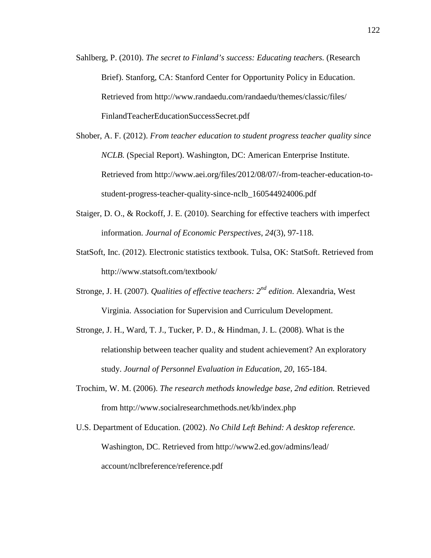- Sahlberg, P. (2010). *The secret to Finland's success: Educating teachers.* (Research Brief). Stanforg, CA: Stanford Center for Opportunity Policy in Education. Retrieved from http://www.randaedu.com/randaedu/themes/classic/files/ FinlandTeacherEducationSuccessSecret.pdf
- Shober, A. F. (2012). *From teacher education to student progress teacher quality since NCLB.* (Special Report). Washington, DC: American Enterprise Institute. Retrieved from http://www.aei.org/files/2012/08/07/-from-teacher-education-tostudent-progress-teacher-quality-since-nclb\_160544924006.pdf
- Staiger, D. O., & Rockoff, J. E. (2010). Searching for effective teachers with imperfect information. *Journal of Economic Perspectives*, *24*(3), 97-118.
- StatSoft, Inc. (2012). Electronic statistics textbook. Tulsa, OK: StatSoft. Retrieved from http://www.statsoft.com/textbook/
- Stronge, J. H. (2007). *Qualities of effective teachers: 2nd edition*. Alexandria, West Virginia. Association for Supervision and Curriculum Development.
- Stronge, J. H., Ward, T. J., Tucker, P. D., & Hindman, J. L. (2008). What is the relationship between teacher quality and student achievement? An exploratory study. *Journal of Personnel Evaluation in Education*, *20*, 165-184.
- Trochim, W. M. (2006). *The research methods knowledge base, 2nd edition.* Retrieved from http://www.socialresearchmethods.net/kb/index.php
- U.S. Department of Education. (2002). *No Child Left Behind: A desktop reference.* Washington, DC. Retrieved from http://www2.ed.gov/admins/lead/ account/nclbreference/reference.pdf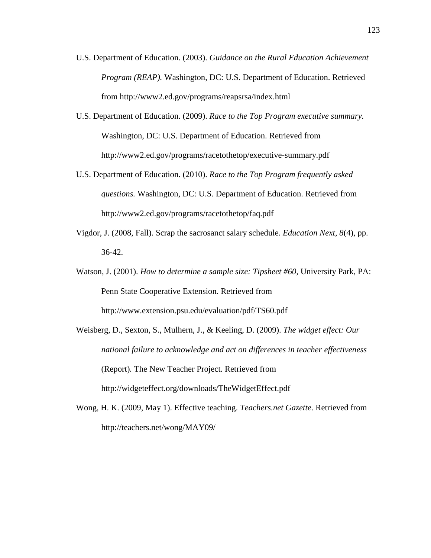- U.S. Department of Education. (2003). *Guidance on the Rural Education Achievement Program (REAP).* Washington, DC: U.S. Department of Education. Retrieved from http://www2.ed.gov/programs/reapsrsa/index.html
- U.S. Department of Education. (2009). *Race to the Top Program executive summary.* Washington, DC: U.S. Department of Education. Retrieved from http://www2.ed.gov/programs/racetothetop/executive-summary.pdf
- U.S. Department of Education. (2010). *Race to the Top Program frequently asked questions.* Washington, DC: U.S. Department of Education. Retrieved from http://www2.ed.gov/programs/racetothetop/faq.pdf
- Vigdor, J. (2008, Fall). Scrap the sacrosanct salary schedule. *Education Next*, *8*(4), pp. 36-42.
- Watson, J. (2001). *How to determine a sample size: Tipsheet #60*, University Park, PA: Penn State Cooperative Extension. Retrieved from http://www.extension.psu.edu/evaluation/pdf/TS60.pdf
- Weisberg, D., Sexton, S., Mulhern, J., & Keeling, D. (2009). *The widget effect: Our national failure to acknowledge and act on differences in teacher effectiveness*  (Report)*.* The New Teacher Project. Retrieved from http://widgeteffect.org/downloads/TheWidgetEffect.pdf
- Wong, H. K. (2009, May 1). Effective teaching. *Teachers.net Gazette*. Retrieved from http://teachers.net/wong/MAY09/